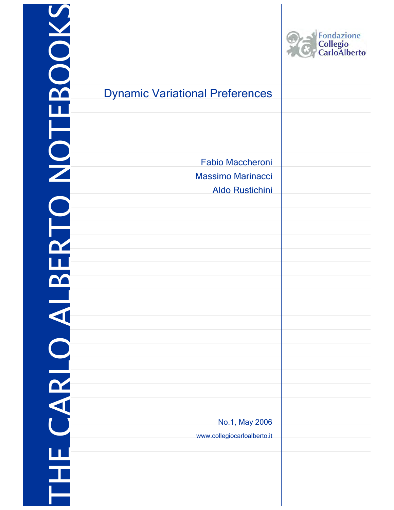| BOOKS      |                                        | Fondazione<br>Collegio<br>CarloAlberto |
|------------|----------------------------------------|----------------------------------------|
|            | <b>Dynamic Variational Preferences</b> |                                        |
|            |                                        |                                        |
|            |                                        |                                        |
| EQNI       |                                        |                                        |
|            | <b>Fabio Maccheroni</b>                |                                        |
|            | <b>Massimo Marinacci</b>               |                                        |
|            | <b>Aldo Rustichini</b>                 |                                        |
|            |                                        |                                        |
| È          |                                        |                                        |
|            |                                        |                                        |
|            |                                        |                                        |
|            |                                        |                                        |
|            |                                        |                                        |
|            |                                        |                                        |
|            |                                        |                                        |
|            |                                        |                                        |
|            |                                        |                                        |
|            |                                        |                                        |
| <b>ARL</b> |                                        |                                        |
|            |                                        |                                        |
|            | No.1, May 2006                         |                                        |
|            | www.collegiocarloalberto.it            |                                        |
|            |                                        |                                        |
| T          |                                        |                                        |
|            |                                        |                                        |
|            |                                        |                                        |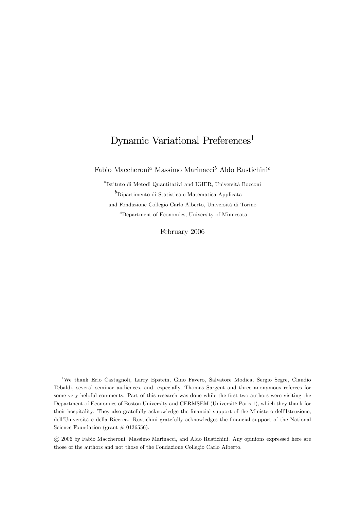# Dynamic Variational Preferences<sup>1</sup>

Fabio Maccheroni<sup>a</sup> Massimo Marinacci<sup>b</sup> Aldo Rustichini<sup>c</sup>

 ${}^{a}$ Istituto di Metodi Quantitativi and IGIER, Università Bocconi  ${}^{b}$ Dipartimento di Statistica e Matematica Applicata and Fondazione Collegio Carlo Alberto, Università di Torino c Department of Economics, University of Minnesota

February 2006

1We thank Erio Castagnoli, Larry Epstein, Gino Favero, Salvatore Modica, Sergio Segre, Claudio Tebaldi, several seminar audiences, and, especially, Thomas Sargent and three anonymous referees for some very helpful comments. Part of this research was done while the first two authors were visiting the Department of Economics of Boston University and CERMSEM (Université Paris 1), which they thank for their hospitality. They also gratefully acknowledge the financial support of the Ministero dell'Istruzione, dell'Università e della Ricerca. Rustichini gratefully acknowledges the financial support of the National Science Foundation (grant  $\#$  0136556).

°c 2006 by Fabio Maccheroni, Massimo Marinacci, and Aldo Rustichini. Any opinions expressed here are those of the authors and not those of the Fondazione Collegio Carlo Alberto.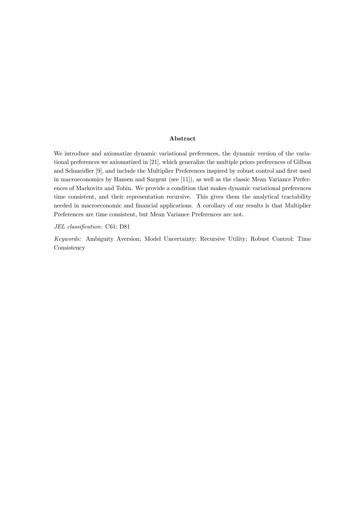#### Abstract

We introduce and axiomatize dynamic variational preferences, the dynamic version of the variational preferences we axiomatized in [21], which generalize the multiple priors preferences of Gilboa and Schmeidler [9], and include the Multiplier Preferences inspired by robust control and first used in macroeconomics by Hansen and Sargent (see [11]), as well as the classic Mean Variance Preferences of Markovitz and Tobin. We provide a condition that makes dynamic variational preferences time consistent, and their representation recursive. This gives them the analytical tractability needed in macroeconomic and financial applications. A corollary of our results is that Multiplier Preferences are time consistent, but Mean Variance Preferences are not.

JEL classification: C61; D81

Keywords: Ambiguity Aversion; Model Uncertainty; Recursive Utility; Robust Control; Time **Consistency**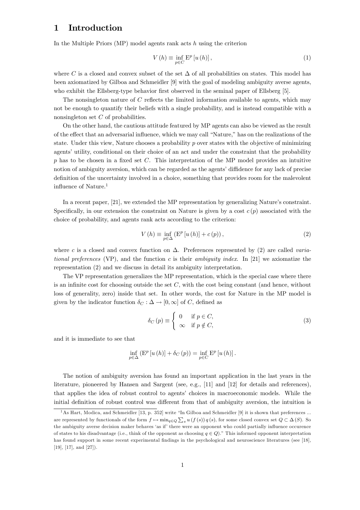# 1 Introduction

In the Multiple Priors (MP) model agents rank acts  $h$  using the criterion

$$
V(h) \equiv \inf_{p \in C} E^p[u(h)], \qquad (1)
$$

where C is a closed and convex subset of the set  $\Delta$  of all probabilities on states. This model has been axiomatized by Gilboa and Schmeidler [9] with the goal of modeling ambiguity averse agents, who exhibit the Ellsberg-type behavior first observed in the seminal paper of Ellsberg [5].

The nonsingleton nature of C reflects the limited information available to agents, which may not be enough to quantify their beliefs with a single probability, and is instead compatible with a nonsingleton set C of probabilities.

On the other hand, the cautious attitude featured by MP agents can also be viewed as the result of the effect that an adversarial influence, which we may call "Nature," has on the realizations of the state. Under this view, Nature chooses a probability  $p$  over states with the objective of minimizing agents' utility, conditional on their choice of an act and under the constraint that the probability  $p$  has to be chosen in a fixed set  $C$ . This interpretation of the MP model provides an intuitive notion of ambiguity aversion, which can be regarded as the agents' diffidence for any lack of precise definition of the uncertainty involved in a choice, something that provides room for the malevolent influence of Nature.<sup>1</sup>

In a recent paper, [21], we extended the MP representation by generalizing Nature's constraint. Specifically, in our extension the constraint on Nature is given by a cost  $c(p)$  associated with the choice of probability, and agents rank acts according to the criterion:

$$
V(h) \equiv \inf_{p \in \Delta} \left( \mathcal{E}^p \left[ u(h) \right] + c(p) \right),\tag{2}
$$

where c is a closed and convex function on  $\Delta$ . Preferences represented by (2) are called variational preferences (VP), and the function c is their ambiguity index. In [21] we axiomatize the representation (2) and we discuss in detail its ambiguity interpretation.

The VP representation generalizes the MP representation, which is the special case where there is an infinite cost for choosing outside the set  $C$ , with the cost being constant (and hence, without loss of generality, zero) inside that set. In other words, the cost for Nature in the MP model is given by the indicator function  $\delta_C : \Delta \to [0, \infty]$  of C, defined as

$$
\delta_C(p) \equiv \begin{cases} 0 & \text{if } p \in C, \\ \infty & \text{if } p \notin C, \end{cases}
$$
 (3)

and it is immediate to see that

$$
\inf_{p\in\Delta} \left( \mathcal{E}^p\left[ u\left( h\right) \right] + \delta_C\left( p\right) \right) = \inf_{p\in C} \mathcal{E}^p\left[ u\left( h\right) \right].
$$

The notion of ambiguity aversion has found an important application in the last years in the literature, pioneered by Hansen and Sargent (see, e.g., [11] and [12] for details and references), that applies the idea of robust control to agents' choices in macroeconomic models. While the initial definition of robust control was different from that of ambiguity aversion, the intuition is

<sup>&</sup>lt;sup>1</sup>As Hart, Modica, and Schmeidler [13, p. 352] write "In Gilboa and Schmeidler [9] it is shown that preferences ... are represented by functionals of the form  $f \mapsto \min_{q \in Q} \sum_s u(f(s)) q(s)$ , for some closed convex set  $Q \subset \Delta(S)$ . So the ambiguity averse decision maker behaves 'as if' there were an opponent who could partially influence occurence of states to his disadvantage (i.e., think of the opponent as choosing  $q \in Q$ )." This informed opponent interpretation has found support in some recent experimental findings in the psychological and neuroscience literatures (see [18], [19], [17], and [27]).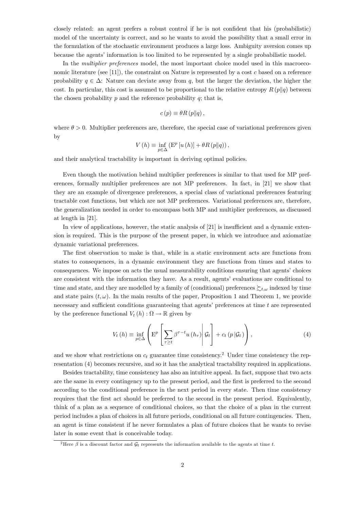closely related: an agent prefers a robust control if he is not confident that his (probabilistic) model of the uncertainty is correct, and so he wants to avoid the possibility that a small error in the formulation of the stochastic environment produces a large loss. Ambiguity aversion comes up because the agents' information is too limited to be represented by a single probabilistic model.

In the *multiplier preferences* model, the most important choice model used in this macroeconomic literature (see [11]), the constraint on Nature is represented by a cost c based on a reference probability  $q \in \Delta$ : Nature can deviate away from q, but the larger the deviation, the higher the cost. In particular, this cost is assumed to be proportional to the relative entropy  $R(p||q)$  between the chosen probability  $p$  and the reference probability  $q$ ; that is,

$$
c(p) \equiv \theta R(p||q),
$$

where  $\theta > 0$ . Multiplier preferences are, therefore, the special case of variational preferences given by

$$
V(h) \equiv \inf_{p \in \Delta} \left( \mathcal{E}^p \left[ u(h) \right] + \theta R\left( p \| q \right) \right),\,
$$

and their analytical tractability is important in deriving optimal policies.

Even though the motivation behind multiplier preferences is similar to that used for MP preferences, formally multiplier preferences are not MP preferences. In fact, in [21] we show that they are an example of divergence preferences, a special class of variational preferences featuring tractable cost functions, but which are not MP preferences. Variational preferences are, therefore, the generalization needed in order to encompass both MP and multiplier preferences, as discussed at length in [21].

In view of applications, however, the static analysis of [21] is insufficient and a dynamic extension is required. This is the purpose of the present paper, in which we introduce and axiomatize dynamic variational preferences.

The first observation to make is that, while in a static environment acts are functions from states to consequences, in a dynamic environment they are functions from times and states to consequences. We impose on acts the usual measurability conditions ensuring that agents' choices are consistent with the information they have. As a result, agents' evaluations are conditional to time and state, and they are modelled by a family of (conditional) preferences  $\sum_{t,\omega}$  indexed by time and state pairs  $(t, \omega)$ . In the main results of the paper, Proposition 1 and Theorem 1, we provide necessary and sufficient conditions guaranteeing that agents' preferences at time t are represented by the preference functional  $V_t(h)$ :  $\Omega \to \mathbb{R}$  given by

$$
V_{t}(h) \equiv \inf_{p \in \Delta} \left( \mathbf{E}^{p} \left[ \sum_{\tau \geq t} \beta^{\tau - t} u(h_{\tau}) \middle| \mathcal{G}_{t} \right] + c_{t} \left( p | \mathcal{G}_{t} \right) \right), \tag{4}
$$

and we show what restrictions on  $c_t$  guarantee time consistency.<sup>2</sup> Under time consistency the representation (4) becomes recursive, and so it has the analytical tractability required in applications.

Besides tractability, time consistency has also an intuitive appeal. In fact, suppose that two acts are the same in every contingency up to the present period, and the first is preferred to the second according to the conditional preference in the next period in every state. Then time consistency requires that the first act should be preferred to the second in the present period. Equivalently, think of a plan as a sequence of conditional choices, so that the choice of a plan in the current period includes a plan of choices in all future periods, conditional on all future contingencies. Then, an agent is time consistent if he never formulates a plan of future choices that he wants to revise later in some event that is conceivable today.

<sup>&</sup>lt;sup>2</sup>Here  $\beta$  is a discount factor and  $\mathcal{G}_t$  represents the information available to the agents at time t.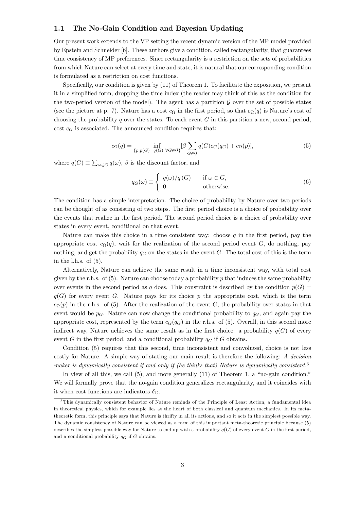#### 1.1 The No-Gain Condition and Bayesian Updating

Our present work extends to the VP setting the recent dynamic version of the MP model provided by Epstein and Schneider [6]. These authors give a condition, called rectangularity, that guarantees time consistency of MP preferences. Since rectangularity is a restriction on the sets of probabilities from which Nature can select at every time and state, it is natural that our corresponding condition is formulated as a restriction on cost functions.

Specifically, our condition is given by (11) of Theorem 1. To facilitate the exposition, we present it in a simplified form, dropping the time index (the reader may think of this as the condition for the two-period version of the model). The agent has a partition  $\mathcal G$  over the set of possible states (see the picture at p. 7). Nature has a cost  $c_{\Omega}$  in the first period, so that  $c_{\Omega}(q)$  is Nature's cost of choosing the probability  $q$  over the states. To each event  $G$  in this partition a new, second period, cost  $c_G$  is associated. The announced condition requires that:

$$
c_{\Omega}(q) = \inf_{\{p:p(G)=q(G)\ \forall G \in \mathcal{G}\}} [\beta \sum_{G \in \mathcal{G}} q(G)c_G(q_G) + c_{\Omega}(p)],\tag{5}
$$

where  $q(G) \equiv \sum_{\omega \in G} q(\omega)$ ,  $\beta$  is the discount factor, and

$$
q_G(\omega) \equiv \begin{cases} q(\omega)/q(G) & \text{if } \omega \in G, \\ 0 & \text{otherwise.} \end{cases}
$$
 (6)

The condition has a simple interpretation. The choice of probability by Nature over two periods can be thought of as consisting of two steps. The first period choice is a choice of probability over the events that realize in the first period. The second period choice is a choice of probability over states in every event, conditional on that event.

Nature can make this choice in a time consistent way: choose  $q$  in the first period, pay the appropriate cost  $c_{\Omega}(q)$ , wait for the realization of the second period event G, do nothing, pay nothing, and get the probability  $q_G$  on the states in the event G. The total cost of this is the term in the l.h.s. of  $(5)$ .

Alternatively, Nature can achieve the same result in a time inconsistent way, with total cost given by the r.h.s. of  $(5)$ . Nature can choose today a probability p that induces the same probability over events in the second period as q does. This constraint is described by the condition  $p(G)$  $q(G)$  for every event G. Nature pays for its choice p the appropriate cost, which is the term  $c_{\Omega}(p)$  in the r.h.s. of (5). After the realization of the event G, the probability over states in that event would be  $p<sub>G</sub>$ . Nature can now change the conditional probability to  $q<sub>G</sub>$ , and again pay the appropriate cost, represented by the term  $c_G(q_G)$  in the r.h.s. of (5). Overall, in this second more indirect way, Nature achieves the same result as in the first choice: a probability  $q(G)$  of every event G in the first period, and a conditional probability  $q_G$  if G obtains.

Condition (5) requires that this second, time inconsistent and convoluted, choice is not less costly for Nature. A simple way of stating our main result is therefore the following: A decision maker is dynamically consistent if and only if (he thinks that) Nature is dynamically consistent.<sup>3</sup>

In view of all this, we call (5), and more generally (11) of Theorem 1, a "no-gain condition." We will formally prove that the no-gain condition generalizes rectangularity, and it coincides with it when cost functions are indicators  $\delta_C$ .

<sup>&</sup>lt;sup>3</sup>This dynamically consistent behavior of Nature reminds of the Principle of Least Action, a fundamental idea in theoretical physics, which for example lies at the heart of both classical and quantum mechanics. In its metatheoretic form, this principle says that Nature is thrifty in all its actions, and so it acts in the simplest possible way. The dynamic consistency of Nature can be viewed as a form of this important meta-theoretic principle because (5) describes the simplest possible way for Nature to end up with a probability  $q(G)$  of every event G in the first period, and a conditional probability  $q_G$  if G obtains.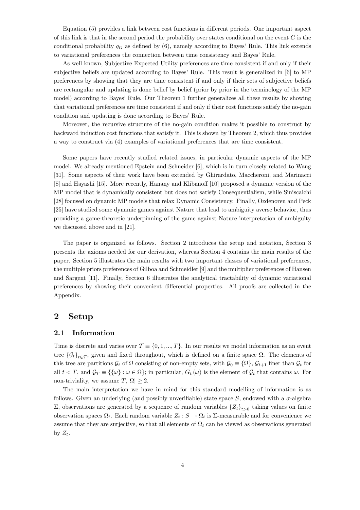Equation (5) provides a link between cost functions in different periods. One important aspect of this link is that in the second period the probability over states conditional on the event  $G$  is the conditional probability  $q_G$  as defined by (6), namely according to Bayes' Rule. This link extends to variational preferences the connection between time consistency and Bayes' Rule.

As well known, Subjective Expected Utility preferences are time consistent if and only if their subjective beliefs are updated according to Bayes' Rule. This result is generalized in [6] to MP preferences by showing that they are time consistent if and only if their sets of subjective beliefs are rectangular and updating is done belief by belief (prior by prior in the terminology of the MP model) according to Bayes' Rule. Our Theorem 1 further generalizes all these results by showing that variational preferences are time consistent if and only if their cost functions satisfy the no-gain condition and updating is done according to Bayes' Rule.

Moreover, the recursive structure of the no-gain condition makes it possible to construct by backward induction cost functions that satisfy it. This is shown by Theorem 2, which thus provides a way to construct via (4) examples of variational preferences that are time consistent.

Some papers have recently studied related issues, in particular dynamic aspects of the MP model. We already mentioned Epstein and Schneider [6], which is in turn closely related to Wang [31]. Some aspects of their work have been extended by Ghirardato, Maccheroni, and Marinacci [8] and Hayashi [15]. More recently, Hanany and Klibanoff [10] proposed a dynamic version of the MP model that is dynamically consistent but does not satisfy Consequentialism, while Siniscalchi [28] focused on dynamic MP models that relax Dynamic Consistency. Finally, Ozdenoren and Peck [25] have studied some dynamic games against Nature that lead to ambiguity averse behavior, thus providing a game-theoretic underpinning of the game against Nature interpretation of ambiguity we discussed above and in [21].

The paper is organized as follows. Section 2 introduces the setup and notation, Section 3 presents the axioms needed for our derivation, whereas Section 4 contains the main results of the paper. Section 5 illustrates the main results with two important classes of variational preferences, the multiple priors preferences of Gilboa and Schmeidler [9] and the multiplier preferences of Hansen and Sargent [11]. Finally, Section 6 illustrates the analytical tractability of dynamic variational preferences by showing their convenient differential properties. All proofs are collected in the Appendix.

# 2 Setup

#### 2.1 Information

Time is discrete and varies over  $\mathcal{T} \equiv \{0, 1, ..., T\}$ . In our results we model information as an event tree  $\{\mathcal{G}_t\}_{t\in\mathcal{T}}$ , given and fixed throughout, which is defined on a finite space  $\Omega$ . The elements of this tree are partitions  $\mathcal{G}_t$  of  $\Omega$  consisting of non-empty sets, with  $\mathcal{G}_0 \equiv \{\Omega\}, \mathcal{G}_{t+1}$  finer than  $\mathcal{G}_t$  for all  $t < T$ , and  $\mathcal{G}_T \equiv \{\{\omega\} : \omega \in \Omega\}$ ; in particular,  $G_t(\omega)$  is the element of  $\mathcal{G}_t$  that contains  $\omega$ . For non-triviality, we assume  $T, |\Omega| \geq 2$ .

The main interpretation we have in mind for this standard modelling of information is as follows. Given an underlying (and possibly unverifiable) state space S, endowed with a  $\sigma$ -algebra Σ, observations are generated by a sequence of random variables  ${Z_t}_{t>0}$  taking values on finite observation spaces  $\Omega_t$ . Each random variable  $Z_t : S \to \Omega_t$  is  $\Sigma$ -measurable and for convenience we assume that they are surjective, so that all elements of  $\Omega_t$  can be viewed as observations generated by  $Z_t$ .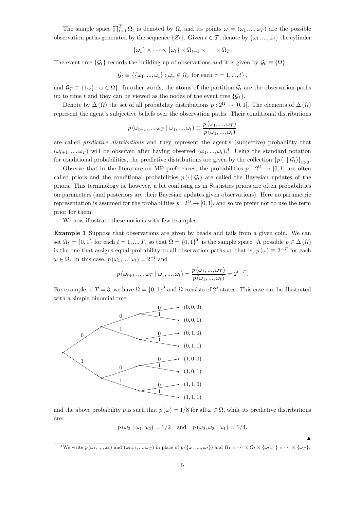The sample space  $\prod_{t=1}^{T} \Omega_t$  is denoted by  $\Omega$ , and its points  $\omega = (\omega_1, ..., \omega_T)$  are the possible observation paths generated by the sequence  $\{Z_t\}$ . Given  $t \in \mathcal{T}$ , denote by  $\{\omega_1, ..., \omega_t\}$  the cylinder

$$
\{\omega_1\} \times \cdots \times \{\omega_t\} \times \Omega_{t+1} \times \cdots \times \Omega_T.
$$

The event tree  $\{\mathcal{G}_t\}$  records the building up of observations and it is given by  $\mathcal{G}_0 \equiv \{\Omega\},\$ 

$$
\mathcal{G}_t \equiv \{\{\omega_1, ..., \omega_t\} : \omega_\tau \in \Omega_\tau \text{ for each } \tau = 1, ..., t\},\
$$

and  $\mathcal{G}_T \equiv \{\{\omega\} : \omega \in \Omega\}$ . In other words, the atoms of the partition  $\mathcal{G}_t$  are the observation paths up to time t and they can be viewed as the nodes of the event tree  $\{\mathcal{G}_t\}$ .

Denote by  $\Delta(\Omega)$  the set of all probability distributions  $p: 2^{\Omega} \to [0, 1]$ . The elements of  $\Delta(\Omega)$ represent the agent's subjective beliefs over the observation paths. Their conditional distributions

$$
p(\omega_{t+1},...,\omega_T \mid \omega_1,...,\omega_t) \equiv \frac{p(\omega_1,...,\omega_T)}{p(\omega_1,...,\omega_t)}
$$

are called predictive distributions and they represent the agent's (subjective) probability that  $(\omega_{t+1}, ..., \omega_T)$  will be observed after having observed  $(\omega_1, ..., \omega_t)^{4}$ . Using the standard notation for conditional probabilities, the predictive distributions are given by the collection  $\{p(\cdot | \mathcal{G}_t)\}_{t>0}$ .

Observe that in the literature on MP preferences, the probabilities  $p: 2^{\Omega} \to [0,1]$  are often called priors and the conditional probabilities  $p\left(\cdot \mid \mathcal{G}_t\right)$  are called the Bayesian updates of the priors. This terminology is, however, a bit confusing as in Statistics priors are often probabilities on parameters (and posteriors are their Bayesian updates given observations). Here no parametric representation is assumed for the probabilities  $p: 2^{\Omega} \to [0, 1]$ , and so we prefer not to use the term prior for them.

We now illustrate these notions with few examples.

Example 1 Suppose that observations are given by heads and tails from a given coin. We can set  $\Omega_t = \{0, 1\}$  for each  $t = 1, ..., T$ , so that  $\Omega = \{0, 1\}^T$  is the sample space. A possible  $p \in \Delta(\Omega)$ is the one that assigns equal probability to all observation paths  $\omega$ ; that is,  $p(\omega) \equiv 2^{-T}$  for each  $\omega \in \Omega$ . In this case,  $p(\omega_1, ..., \omega_t)=2^{-t}$  and

$$
p(\omega_{t+1}, ..., \omega_T | \omega_1, ..., \omega_t) = \frac{p(\omega_1, ..., \omega_T)}{p(\omega_1, ..., \omega_t)} = 2^{t-T}.
$$

For example, if  $T = 3$ , we have  $\Omega = \{0, 1\}^3$  and  $\Omega$  consists of  $2^3$  states. This case can be illustrated with a simple binomial tree



and the above probability p is such that  $p(\omega) = 1/8$  for all  $\omega \in \Omega$ , while its predictive distributions are:

$$
p(\omega_3 | \omega_1, \omega_2) = 1/2
$$
 and  $p(\omega_2, \omega_3 | \omega_1) = 1/4$ .

 $\blacktriangle$ 

<sup>&</sup>lt;sup>4</sup>We write  $p(\omega_1, ..., \omega_t)$  and  $(\omega_{t+1}, ..., \omega_T)$  in place of  $p(\{\omega_1, ..., \omega_t\})$  and  $\Omega_1 \times \cdots \times \Omega_t \times {\{\omega_{t+1}\}} \times \cdots \times {\{\omega_T\}}$ .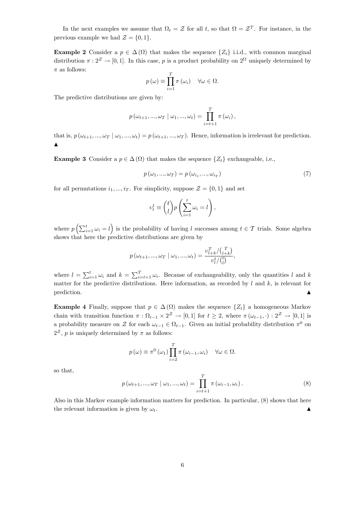In the next examples we assume that  $\Omega_t = \mathcal{Z}$  for all t, so that  $\Omega = \mathcal{Z}^T$ . For instance, in the previous example we had  $\mathcal{Z} = \{0, 1\}.$ 

**Example 2** Consider a  $p \in \Delta(\Omega)$  that makes the sequence  $\{Z_t\}$  i.i.d., with common marginal distribution  $\pi : 2^{\mathcal{Z}} \to [0, 1]$ . In this case, p is a product probability on  $2^{\Omega}$  uniquely determined by  $\pi$  as follows:

$$
p(\omega) \equiv \prod_{i=1}^{T} \pi(\omega_i) \quad \forall \omega \in \Omega.
$$

The predictive distributions are given by:

$$
p(\omega_{t+1},...,\omega_T \mid \omega_1,...,\omega_t) = \prod_{i=t+1}^T \pi(\omega_i),
$$

that is,  $p(\omega_{t+1}, ..., \omega_T | \omega_1, ..., \omega_t) = p(\omega_{t+1}, ..., \omega_T)$ . Hence, information is irrelevant for prediction.  $\blacktriangle$ 

**Example 3** Consider a  $p \in \Delta(\Omega)$  that makes the sequence  $\{Z_t\}$  exchangeable, i.e.,

$$
p(\omega_1, ..., \omega_T) = p(\omega_{i_1}, ..., \omega_{i_T})
$$
\n
$$
(7)
$$

for all permutations  $i_1, ..., i_T$ . For simplicity, suppose  $\mathcal{Z} = \{0, 1\}$  and set

$$
v_l^t \equiv \binom{t}{l} p \left( \sum_{i=1}^t \omega_i = l \right),
$$

where  $p\left(\sum_{i=1}^t \omega_i = l\right)$  is the probability of having l successes among  $t \in \mathcal{T}$  trials. Some algebra shows that here the predictive distributions are given by

$$
p(\omega_{t+1},...,\omega_T \mid \omega_1,...,\omega_t) = \frac{\upsilon_{l+k}^T / \binom{T}{l+k}}{\upsilon_l^t / \binom{t}{l}},
$$

where  $l = \sum_{i=1}^{t} \omega_i$  and  $k = \sum_{i=t+1}^{T} \omega_i$ . Because of exchangeability, only the quantities l and k matter for the predictive distributions. Here information, as recorded by  $l$  and  $k$ , is relevant for  $\blacksquare$  prediction.

**Example 4** Finally, suppose that  $p \in \Delta(\Omega)$  makes the sequence  $\{Z_t\}$  a homogeneous Markov chain with transition function  $\pi : \Omega_{t-1} \times 2^{\mathcal{Z}} \to [0,1]$  for  $t \geq 2$ , where  $\pi(\omega_{t-1}, \cdot): 2^{\mathcal{Z}} \to [0,1]$  is a probability measure on  $\mathcal Z$  for each  $\omega_{t-1} \in \Omega_{t-1}$ . Given an initial probability distribution  $\pi^0$  on  $2^{\mathcal{Z}}$ , p is uniquely determined by  $\pi$  as follows:

$$
p(\omega) \equiv \pi^{0}(\omega_{1}) \prod_{i=2}^{T} \pi(\omega_{i-1}, \omega_{i}) \quad \forall \omega \in \Omega.
$$

so that,

$$
p(\omega_{t+1}, ..., \omega_T | \omega_1, ..., \omega_t) = \prod_{i=t+1}^T \pi(\omega_{i-1}, \omega_i).
$$
 (8)

Also in this Markov example information matters for prediction. In particular, (8) shows that here the relevant information is given by  $\omega_t$ .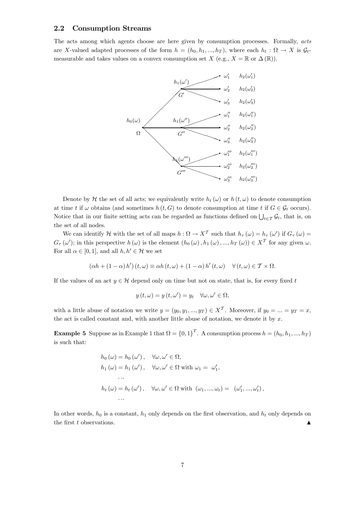#### 2.2 Consumption Streams

The acts among which agents choose are here given by consumption processes. Formally, acts are X-valued adapted processes of the form  $h = (h_0, h_1, ..., h_T)$ , where each  $h_t : \Omega \to X$  is  $\mathcal{G}_t$ measurable and takes values on a convex consumption set  $X$  (e.g.,  $X = \mathbb{R}$  or  $\Delta(\mathbb{R})$ ).



Denote by H the set of all acts; we equivalently write  $h_t(\omega)$  or  $h(t, \omega)$  to denote consumption at time t if  $\omega$  obtains (and sometimes  $h(t, G)$  to denote consumption at time t if  $G \in \mathcal{G}_t$  occurs). Notice that in our finite setting acts can be regarded as functions defined on  $\bigcup_{t\in\mathcal{T}}\mathcal{G}_t$ , that is, on the set of all nodes.

We can identify H with the set of all maps  $h: \Omega \to X^T$  such that  $h_\tau(\omega) = h_\tau(\omega')$  if  $G_\tau(\omega) =$  $G_{\tau}(\omega')$ ; in this perspective  $h(\omega)$  is the element  $(h_0(\omega), h_1(\omega), ..., h_T(\omega)) \in X^T$  for any given  $\omega$ . For all  $\alpha \in [0, 1]$ , and all  $h, h' \in \mathcal{H}$  we set

$$
(\alpha h + (1 - \alpha) h') (t, \omega) \equiv \alpha h (t, \omega) + (1 - \alpha) h' (t, \omega) \quad \forall (t, \omega) \in \mathcal{T} \times \Omega.
$$

If the values of an act  $y \in H$  depend only on time but not on state, that is, for every fixed t

$$
y(t, \omega) = y(t, \omega') = y_t \quad \forall \omega, \omega' \in \Omega,
$$

with a little abuse of notation we write  $y = (y_0, y_1, ..., y_T) \in X^T$ . Moreover, if  $y_0 = ... = y_T = x$ , the act is called constant and, with another little abuse of notation, we denote it by  $x$ .

**Example 5** Suppose as in Example 1 that  $\Omega = \{0, 1\}^T$ . A consumption process  $h = (h_0, h_1, ..., h_T)$ is such that:

$$
h_0(\omega) = h_0(\omega'), \quad \forall \omega, \omega' \in \Omega,
$$
  
\n
$$
h_1(\omega) = h_1(\omega'), \quad \forall \omega, \omega' \in \Omega \text{ with } \omega_1 = \omega'_1,
$$
  
\n...  
\n
$$
h_t(\omega) = h_t(\omega'), \quad \forall \omega, \omega' \in \Omega \text{ with } (\omega_1, ..., \omega_t) = (\omega'_1, ..., \omega'_t),
$$
  
\n...

In other words,  $h_0$  is a constant,  $h_1$  only depends on the first observation, and  $h_t$  only depends on the first  $t$  observations.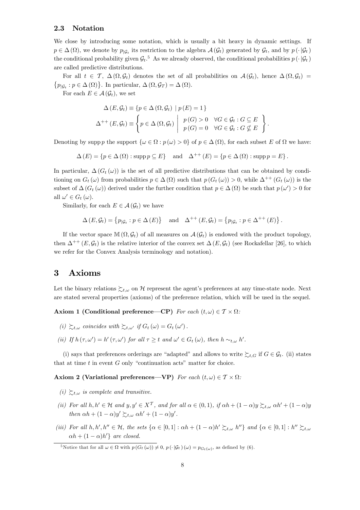#### 2.3 Notation

We close by introducing some notation, which is usually a bit heavy in dynamic settings. If  $p \in \Delta(\Omega)$ , we denote by  $p_{\vert G_t}$  its restriction to the algebra  $\mathcal{A}(\mathcal{G}_t)$  generated by  $\mathcal{G}_t$ , and by  $p(\cdot|\mathcal{G}_t)$ the conditional probability given  $\mathcal{G}_t$ .<sup>5</sup> As we already observed, the conditional probabilities  $p(\cdot|\mathcal{G}_t)$ are called predictive distributions.

For all  $t \in \mathcal{T}$ ,  $\Delta(\Omega, \mathcal{G}_t)$  denotes the set of all probabilities on  $\mathcal{A}(\mathcal{G}_t)$ , hence  $\Delta(\Omega, \mathcal{G}_t)$  ${p_{\vert \mathcal{G}_t : p \in \Delta(\Omega)}}$ . In particular,  $\Delta(\Omega, \mathcal{G}_T) = \Delta(\Omega)$ .

For each  $E \in \mathcal{A}(\mathcal{G}_t)$ , we set

$$
\Delta(E, \mathcal{G}_t) \equiv \{ p \in \Delta(\Omega, \mathcal{G}_t) \mid p(E) = 1 \}
$$
  

$$
\Delta^{++}(E, \mathcal{G}_t) \equiv \left\{ p \in \Delta(\Omega, \mathcal{G}_t) \mid p(G) > 0 \quad \forall G \in \mathcal{G}_t : G \subseteq E \right\}.
$$

Denoting by supp p the support  $\{\omega \in \Omega : p(\omega) > 0\}$  of  $p \in \Delta(\Omega)$ , for each subset E of  $\Omega$  we have:

 $\Delta(E) = \{p \in \Delta(\Omega) : \text{supp } p \subset E\}$  and  $\Delta^{++}(E) = \{p \in \Delta(\Omega) : \text{supp } p = E\}.$ 

In particular,  $\Delta(G_t(\omega))$  is the set of all predictive distributions that can be obtained by conditioning on  $G_t(\omega)$  from probabilities  $p \in \Delta(\Omega)$  such that  $p(G_t(\omega)) > 0$ , while  $\Delta^{++}(G_t(\omega))$  is the subset of  $\Delta(G_t(\omega))$  derived under the further condition that  $p \in \Delta(\Omega)$  be such that  $p(\omega') > 0$  for all  $\omega' \in G_t(\omega)$ .

Similarly, for each  $E \in \mathcal{A}(\mathcal{G}_t)$  we have

$$
\Delta(E, \mathcal{G}_t) = \{ p_{|\mathcal{G}_t} : p \in \Delta(E) \} \quad \text{and} \quad \Delta^{++}(E, \mathcal{G}_t) = \{ p_{|\mathcal{G}_t} : p \in \Delta^{++}(E) \}.
$$

If the vector space  $\mathbb{M}(\Omega, \mathcal{G}_t)$  of all measures on  $\mathcal{A}(\mathcal{G}_t)$  is endowed with the product topology, then  $\Delta^{++}(E,\mathcal{G}_t)$  is the relative interior of the convex set  $\Delta(E,\mathcal{G}_t)$  (see Rockafellar [26], to which we refer for the Convex Analysis terminology and notation).

# 3 Axioms

Let the binary relations  $\succsim_{t,\omega}$  on H represent the agent's preferences at any time-state node. Next are stated several properties (axioms) of the preference relation, which will be used in the sequel.

Axiom 1 (Conditional preference—CP) For each  $(t, \omega) \in \mathcal{T} \times \Omega$ :

- (i)  $\sum_{t,\omega}$  coincides with  $\sum_{t,\omega'}$  if  $G_t(\omega) = G_t(\omega')$ .
- (ii) If  $h(\tau, \omega') = h'(\tau, \omega')$  for all  $\tau \geq t$  and  $\omega' \in G_t(\omega)$ , then  $h \sim_{t, \omega} h'.$

(i) says that preferences orderings are "adapted" and allows to write  $\sum_{t,G}$  if  $G \in \mathcal{G}_t$ . (ii) states that at time  $t$  in event  $G$  only "continuation acts" matter for choice.

Axiom 2 (Variational preferences—VP) For each  $(t, \omega) \in \mathcal{T} \times \Omega$ :

- (i)  $\sum_{t,\omega}$  is complete and transitive.
- (ii) For all  $h, h' \in \mathcal{H}$  and  $y, y' \in X^{\mathcal{T}}$ , and for all  $\alpha \in (0, 1)$ , if  $\alpha h + (1 \alpha)y \succsim_{t, \omega} \alpha h' + (1 \alpha)y$ then  $\alpha h + (1 - \alpha)y' \succsim_{t,\omega} \alpha h' + (1 - \alpha)y'.$
- (iii) For all  $h, h', h'' \in \mathcal{H}$ , the sets  $\{\alpha \in [0,1]: \alpha h + (1-\alpha)h' \succsim_{t,\omega} h''\}$  and  $\{\alpha \in [0,1]: h'' \succsim_{t,\omega} h''\}$  $\alpha h + (1 - \alpha)h'$  are closed.

<sup>&</sup>lt;sup>5</sup>Notice that for all  $\omega \in \Omega$  with  $p(G_t(\omega)) \neq 0, p(\cdot | \mathcal{G}_t)(\omega) = p_{G_t(\omega)}$ , as defined by (6).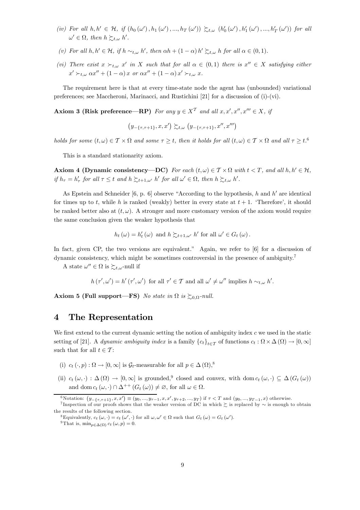- (iv) For all  $h, h' \in H$ , if  $(h_0(\omega'), h_1(\omega'), ..., h_T(\omega')) \succsim_{t,\omega} (h'_0(\omega'), h'_1(\omega'), ..., h'_T(\omega'))$  for all  $\omega' \in \Omega$ , then  $h \succsim_{t,\omega} h'.$
- (v) For all  $h, h' \in \mathcal{H}$ , if  $h \sim_{t,\omega} h'$ , then  $\alpha h + (1 \alpha) h' \succsim_{t,\omega} h$  for all  $\alpha \in (0,1)$ .
- (vi) There exist  $x \succ_{t,\omega} x'$  in X such that for all  $\alpha \in (0,1)$  there is  $x'' \in X$  satisfying either  $x' \succ_{t,\omega} \alpha x'' + (1 - \alpha) x \text{ or } \alpha x'' + (1 - \alpha) x' \succ_{t,\omega} x.$

The requirement here is that at every time-state node the agent has (unbounded) variational preferences; see Maccheroni, Marinacci, and Rustichini [21] for a discussion of (i)-(vi).

Axiom 3 (Risk preference—RP) For any  $y \in X<sup>T</sup>$  and all  $x, x', x'', x''' \in X$ , if

$$
\left(y_{-\{\tau,\tau+1\}},x,x'\right) \succsim_{t,\omega} \left(y_{-\{\tau,\tau+1\}},x'',x''' \right)
$$

holds for some  $(t, \omega) \in \mathcal{T} \times \Omega$  and some  $\tau \geq t$ , then it holds for all  $(t, \omega) \in \mathcal{T} \times \Omega$  and all  $\tau \geq t$ .<sup>6</sup>

This is a standard stationarity axiom.

Axiom 4 (Dynamic consistency—DC) For each  $(t, \omega) \in \mathcal{T} \times \Omega$  with  $t < T$ , and all  $h, h' \in \mathcal{H}$ , if  $h_{\tau} = h'_{\tau}$  for all  $\tau \leq t$  and  $h \succsim_{t+\frac{1}{\tau}} h'$  for all  $\omega' \in \Omega$ , then  $h \succsim_{t,\omega} h'$ .

As Epstein and Schneider [6, p. 6] observe "According to the hypothesis, h and h' are identical for times up to t, while h is ranked (weakly) better in every state at  $t + 1$ . 'Therefore', it should be ranked better also at  $(t, \omega)$ . A stronger and more customary version of the axiom would require the same conclusion given the weaker hypothesis that

$$
h_t(\omega) = h'_t(\omega)
$$
 and  $h \succsim_{t+1,\omega'} h'$  for all  $\omega' \in G_t(\omega)$ .

In fact, given CP, the two versions are equivalent." Again, we refer to [6] for a discussion of dynamic consistency, which might be sometimes controversial in the presence of ambiguity.<sup>7</sup>

A state  $\omega'' \in \Omega$  is  $\succsim_{t,\omega}$ -null if

$$
h(\tau', \omega') = h'(\tau', \omega') \text{ for all } \tau' \in \mathcal{T} \text{ and all } \omega' \neq \omega'' \text{ implies } h \sim_{t, \omega} h'.
$$

Axiom 5 (Full support—FS) No state in  $\Omega$  is  $\succeq_{0,\Omega}$ -null.

# 4 The Representation

We first extend to the current dynamic setting the notion of ambiguity index  $c$  we used in the static setting of [21]. A dynamic ambiguity index is a family  ${c_t}_{t\in\mathcal{T}}$  of functions  $c_t : \Omega \times \Delta(\Omega) \to [0,\infty]$ such that for all  $t \in \mathcal{T}$ :

- (i)  $c_t(\cdot, p) : \Omega \to [0, \infty]$  is  $\mathcal{G}_t$ -measurable for all  $p \in \Delta(\Omega)$ ,<sup>8</sup>
- (ii)  $c_t(\omega, \cdot) : \Delta(\Omega) \to [0, \infty]$  is grounded,<sup>9</sup> closed and convex, with dom  $c_t(\omega, \cdot) \subseteq \Delta(G_t(\omega))$ and dom  $c_t(\omega, \cdot) \cap \Delta^{++}(G_t(\omega)) \neq \emptyset$ , for all  $\omega \in \Omega$ .

<sup>6</sup> Notation:  $(y_{-\{\tau,\tau+1\}}, x, x') \equiv (y_0, ..., y_{\tau-1}, x, x')$ 

The 7 Inspection of our proofs shows that the weaker version of DC in which  $\succeq$  is replaced by  $\sim$  is enough to obtain the results of the following section.

<sup>&</sup>lt;sup>8</sup>Equivalently,  $c_t(\omega, \cdot) = c_t(\omega', \cdot)$  for all  $\omega, \omega' \in \Omega$  such that  $G_t(\omega) = G_t(\omega').$ 

<sup>&</sup>lt;sup>9</sup>That is, min<sub>p∈△( $\Omega$ )</sub>  $c_t(\omega, p) = 0$ .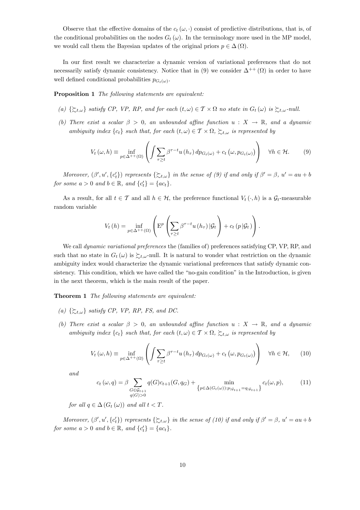Observe that the effective domains of the  $c_t(\omega, \cdot)$  consist of predictive distributions, that is, of the conditional probabilities on the nodes  $G_t(\omega)$ . In the terminology more used in the MP model, we would call them the Bayesian updates of the original priors  $p \in \Delta(\Omega)$ .

In our first result we characterize a dynamic version of variational preferences that do not necessarily satisfy dynamic consistency. Notice that in (9) we consider  $\Delta^{++}(\Omega)$  in order to have well defined conditional probabilities  $p_{G_t(\omega)}$ .

Proposition 1 The following statements are equivalent:

- (a)  $\{\succsim_{t,\omega}\}\$  satisfy CP, VP, RP, and for each  $(t,\omega) \in \mathcal{T} \times \Omega$  no state in  $G_t(\omega)$  is  $\succsim_{t,\omega}$ -null.
- (b) There exist a scalar  $\beta > 0$ , an unbounded affine function  $u : X \to \mathbb{R}$ , and a dynamic ambiguity index  ${c_t}$  such that, for each  $(t, \omega) \in \mathcal{T} \times \Omega$ ,  $\succsim t, \omega$  is represented by

$$
V_t(\omega, h) \equiv \inf_{p \in \Delta^{++}(\Omega)} \left( \int \sum_{\tau \ge t} \beta^{\tau - t} u(h_\tau) \, dp_{G_t(\omega)} + c_t \left( \omega, p_{G_t(\omega)} \right) \right) \quad \forall h \in \mathcal{H}.
$$
 (9)

Moreover,  $(\beta', u', \{c_t'\})$  represents  $\{\succsim_{t,\omega}\}$  in the sense of  $(\beta)$  if and only if  $\beta' = \beta$ ,  $u' = au + b$ for some  $a > 0$  and  $b \in \mathbb{R}$ , and  $\{c_t'\} = \{ac_t\}.$ 

As a result, for all  $t \in \mathcal{T}$  and all  $h \in \mathcal{H}$ , the preference functional  $V_t(\cdot, h)$  is a  $\mathcal{G}_t$ -measurable random variable

$$
V_t(h) = \inf_{p \in \Delta^{++}(\Omega)} \left( \mathbb{E}^p \left( \sum_{\tau \ge t} \beta^{\tau - t} u(h_\tau) | \mathcal{G}_t \right) + c_t (p | \mathcal{G}_t) \right).
$$

We call *dynamic variational preferences* the (families of) preferences satisfying CP, VP, RP, and such that no state in  $G_t(\omega)$  is  $\succsim_{t,\omega}$ -null. It is natural to wonder what restriction on the dynamic ambiguity index would characterize the dynamic variational preferences that satisfy dynamic consistency. This condition, which we have called the "no-gain condition" in the Introduction, is given in the next theorem, which is the main result of the paper.

Theorem 1 The following statements are equivalent:

- (a)  $\{\succ_{t,\omega}\}$  satisfy CP, VP, RP, FS, and DC.
- (b) There exist a scalar  $\beta > 0$ , an unbounded affine function  $u : X \to \mathbb{R}$ , and a dynamic ambiguity index  ${c_t}$  such that, for each  $(t, \omega) \in T \times \Omega$ ,  $\sum_{t,\omega}$  is represented by

$$
V_t(\omega, h) \equiv \inf_{p \in \Delta^{++}(\Omega)} \left( \int \sum_{\tau \ge t} \beta^{\tau - t} u(h_\tau) \, dp_{G_t(\omega)} + c_t \left( \omega, p_{G_t(\omega)} \right) \right) \quad \forall h \in \mathcal{H}, \qquad (10)
$$

and

$$
c_t(\omega, q) = \beta \sum_{\substack{G \in \mathcal{G}_{t+1} \\ q(G) > 0}} q(G)c_{t+1}(G, q_G) + \min_{\substack{p \in \Delta(G_t(\omega)) : p_{|\mathcal{G}_{t+1}} = q_{|\mathcal{G}_{t+1}}}} c_t(\omega, p), \tag{11}
$$

for all  $q \in \Delta(G_t(\omega))$  and all  $t < T$ .

Moreover,  $(\beta', u', \{c_t'\})$  represents  $\{\succsim_{t,\omega}\}$  in the sense of (10) if and only if  $\beta' = \beta$ ,  $u' = au + b$ for some  $a > 0$  and  $b \in \mathbb{R}$ , and  $\{c_t'\} = \{ac_t\}.$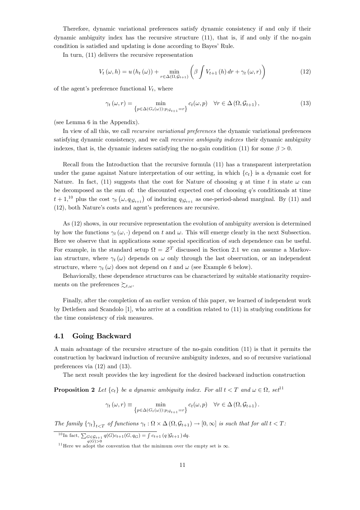Therefore, dynamic variational preferences satisfy dynamic consistency if and only if their dynamic ambiguity index has the recursive structure (11), that is, if and only if the no-gain condition is satisfied and updating is done according to Bayes' Rule.

In turn, (11) delivers the recursive representation

$$
V_{t}\left(\omega,h\right)=u\left(h_{t}\left(\omega\right)\right)+\min_{r\in\Delta\left(\Omega,\mathcal{G}_{t+1}\right)}\left(\beta\int V_{t+1}\left(h\right)dr+\gamma_{t}\left(\omega,r\right)\right)\tag{12}
$$

of the agent's preference functional  $V_t$ , where

$$
\gamma_t(\omega, r) = \min_{\{p \in \Delta(G_t(\omega)) : p_{|\mathcal{G}_{t+1}} = r\}} c_t(\omega, p) \quad \forall r \in \Delta(\Omega, \mathcal{G}_{t+1}), \tag{13}
$$

(see Lemma 6 in the Appendix).

In view of all this, we call recursive variational preferences the dynamic variational preferences satisfying dynamic consistency, and we call *recursive ambiguity indexes* their dynamic ambiguity indexes, that is, the dynamic indexes satisfying the no-gain condition (11) for some  $\beta > 0$ .

Recall from the Introduction that the recursive formula (11) has a transparent interpretation under the game against Nature interpretation of our setting, in which  ${c_t}$  is a dynamic cost for Nature. In fact, (11) suggests that the cost for Nature of choosing q at time t in state  $\omega$  can be decomposed as the sum of: the discounted expected cost of choosing  $q$ 's conditionals at time  $t+1,^{10}$  plus the cost  $\gamma_t(\omega, q_{|\mathcal{G}_{t+1}})$  of inducing  $q_{|\mathcal{G}_{t+1}}$  as one-period-ahead marginal. By (11) and (12), both Nature's costs and agent's preferences are recursive.

As (12) shows, in our recursive representation the evolution of ambiguity aversion is determined by how the functions  $\gamma_t(\omega, \cdot)$  depend on t and  $\omega$ . This will emerge clearly in the next Subsection. Here we observe that in applications some special specification of such dependence can be useful. For example, in the standard setup  $\Omega = \mathcal{Z}^T$  discussed in Section 2.1 we can assume a Markovian structure, where  $\gamma_t(\omega)$  depends on  $\omega$  only through the last observation, or an independent structure, where  $\gamma_t(\omega)$  does not depend on t and  $\omega$  (see Example 6 below).

Behaviorally, these dependence structures can be characterized by suitable stationarity requirements on the preferences  $\succsim_{t,\omega}$ .

Finally, after the completion of an earlier version of this paper, we learned of independent work by Detlefsen and Scandolo [1], who arrive at a condition related to (11) in studying conditions for the time consistency of risk measures.

#### 4.1 Going Backward

A main advantage of the recursive structure of the no-gain condition (11) is that it permits the construction by backward induction of recursive ambiguity indexes, and so of recursive variational preferences via (12) and (13).

The next result provides the key ingredient for the desired backward induction construction

**Proposition 2** Let  $\{c_t\}$  be a dynamic ambiguity index. For all  $t < T$  and  $\omega \in \Omega$ , set<sup>11</sup>

$$
\gamma_t(\omega, r) \equiv \min_{\{p \in \Delta(G_t(\omega)) : p \mid \mathcal{G}_{t+1} = r\}} c_t(\omega, p) \quad \forall r \in \Delta(\Omega, \mathcal{G}_{t+1}).
$$

The family  $\{\gamma_t\}_{t \leq T}$  of functions  $\gamma_t : \Omega \times \Delta(\Omega, \mathcal{G}_{t+1}) \to [0, \infty]$  is such that for all  $t < T$ :

<sup>10</sup>In fact,  $\sum_{G \in \mathcal{G}_{t+1}} q(G)c_{t+1}(G, q_G) = \int c_{t+1}(q | \mathcal{G}_{t+1}) dq.$ 

<sup>&</sup>lt;sup>11</sup> Here we adopt the convention that the minimum over the empty set is  $\infty$ .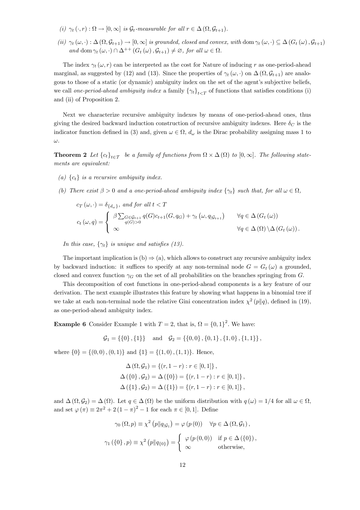- (i)  $\gamma_t(\cdot, r) : \Omega \to [0, \infty]$  is  $\mathcal{G}_t$ -measurable for all  $r \in \Delta(\Omega, \mathcal{G}_{t+1})$ .
- (ii)  $\gamma_t(\omega, \cdot) : \Delta(\Omega, \mathcal{G}_{t+1}) \to [0, \infty]$  is grounded, closed and convex, with dom  $\gamma_t(\omega, \cdot) \subseteq \Delta(G_t(\omega), \mathcal{G}_{t+1})$ and dom  $\gamma_t(\omega, \cdot) \cap \Delta^{++}(G_t(\omega), \mathcal{G}_{t+1}) \neq \emptyset$ , for all  $\omega \in \Omega$ .

The index  $\gamma_t(\omega, r)$  can be interpreted as the cost for Nature of inducing r as one-period-ahead marginal, as suggested by (12) and (13). Since the properties of  $\gamma_t(\omega, \cdot)$  on  $\Delta(\Omega, \mathcal{G}_{t+1})$  are analogous to those of a static (or dynamic) ambiguity index on the set of the agent's subjective beliefs, we call one-period-ahead ambiguity index a family  $\{\gamma_t\}_{t \in \mathcal{T}}$  of functions that satisfies conditions (i) and (ii) of Proposition 2.

Next we characterize recursive ambiguity indexes by means of one-period-ahead ones, thus giving the desired backward induction construction of recursive ambiguity indexes. Here  $\delta_C$  is the indicator function defined in (3) and, given  $\omega \in \Omega$ ,  $d_{\omega}$  is the Dirac probability assigning mass 1 to ω.

**Theorem 2** Let  ${c_t}_{t\in\mathcal{I}}$  be a family of functions from  $\Omega \times \Delta(\Omega)$  to  $[0,\infty]$ . The following statements are equivalent:

- (a)  ${c_t}$  is a recursive ambiguity index.
- (b) There exist  $\beta > 0$  and a one-period-ahead ambiguity index  $\{\gamma_t\}$  such that, for all  $\omega \in \Omega$ ,

$$
c_T(\omega, \cdot) = \delta_{\{d_{\omega}\}}, \text{ and for all } t < T
$$
  
\n
$$
c_t(\omega, q) = \begin{cases} \beta \sum_{q(G) > 0} \epsilon_{q(G) > 0} q(G) c_{t+1}(G, q_G) + \gamma_t(\omega, q_{|G_{t+1}}) & \forall q \in \Delta(G_t(\omega)) \\ \infty & \forall q \in \Delta(\Omega) \setminus \Delta(G_t(\omega)). \end{cases}
$$

In this case,  $\{\gamma_t\}$  is unique and satisfies (13).

The important implication is  $(b) \Rightarrow (a)$ , which allows to construct any recursive ambiguity index by backward induction: it suffices to specify at any non-terminal node  $G = G_t(\omega)$  a grounded, closed and convex function  $\gamma_G$  on the set of all probabilities on the branches springing from G.

This decomposition of cost functions in one-period-ahead components is a key feature of our derivation. The next example illustrates this feature by showing what happens in a binomial tree if we take at each non-terminal node the relative Gini concentration index  $\chi^2(p||q)$ , defined in (19), as one-period-ahead ambiguity index.

**Example 6** Consider Example 1 with  $T = 2$ , that is,  $\Omega = \{0, 1\}^2$ . We have:

$$
\mathcal{G}_1 = \{\{0\}, \{1\}\}\
$$
 and  $\mathcal{G}_2 = \{\{0,0\}, \{0,1\}, \{1,0\}, \{1,1\}\}\$ ,

where  $\{0\} = \{(0,0), (0,1)\}\$  and  $\{1\} = \{(1,0), (1,1)\}\$ . Hence,

$$
\Delta(\Omega, \mathcal{G}_1) = \{(r, 1 - r) : r \in [0, 1]\},\
$$
  

$$
\Delta(\{0\}, \mathcal{G}_2) = \Delta(\{0\}) = \{(r, 1 - r) : r \in [0, 1]\},\
$$
  

$$
\Delta(\{1\}, \mathcal{G}_2) = \Delta(\{1\}) = \{(r, 1 - r) : r \in [0, 1]\},\
$$

and  $\Delta(\Omega, \mathcal{G}_2) = \Delta(\Omega)$ . Let  $q \in \Delta(\Omega)$  be the uniform distribution with  $q(\omega) = 1/4$  for all  $\omega \in \Omega$ . and set  $\varphi(\pi) \equiv 2\pi^2 + 2(1 - \pi)^2 - 1$  for each  $\pi \in [0, 1]$ . Define

$$
\gamma_0(\Omega, p) \equiv \chi^2(p||q_{|\mathcal{G}_1}) = \varphi(p(0)) \quad \forall p \in \Delta(\Omega, \mathcal{G}_1),
$$
  

$$
\gamma_1(\{0\}, p) \equiv \chi^2(p||q_{\{0\}}) = \begin{cases} \varphi(p(0,0)) & \text{if } p \in \Delta(\{0\}), \\ \infty & \text{otherwise,} \end{cases}
$$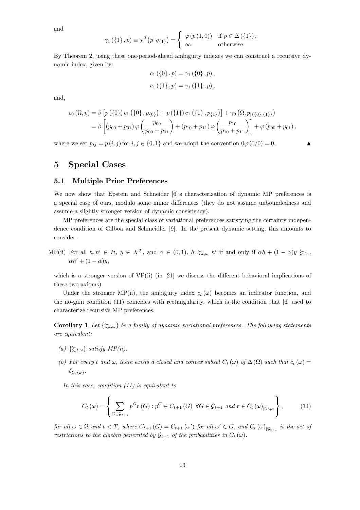and

$$
\gamma_1(\{1\}, p) \equiv \chi^2(p||q_{\{1\}}) = \begin{cases} \varphi(p(1,0)) & \text{if } p \in \Delta(\{1\}), \\ \infty & \text{otherwise,} \end{cases}
$$

By Theorem 2, using these one-period-ahead ambiguity indexes we can construct a recursive dynamic index, given by:

$$
c_1 (\{0\}, p) = \gamma_1 (\{0\}, p),
$$
  

$$
c_1 (\{1\}, p) = \gamma_1 (\{1\}, p),
$$

and,

$$
c_{0} (\Omega, p) = \beta \left[ p(\{0\}) c_{1} (\{0\}, p_{\{0\}}) + p(\{1\}) c_{1} (\{1\}, p_{\{1\}}) \right] + \gamma_{0} (\Omega, p_{|\{\{0\},\{1\}\}})
$$
  
=  $\beta \left[ (p_{00} + p_{01}) \varphi \left( \frac{p_{00}}{p_{00} + p_{01}} \right) + (p_{10} + p_{11}) \varphi \left( \frac{p_{10}}{p_{10} + p_{11}} \right) \right] + \varphi (p_{00} + p_{01}),$ 

where we set  $p_{ij} = p(i, j)$  for  $i, j \in \{0, 1\}$  and we adopt the convention  $0\varphi(0/0) = 0$ .

# 5 Special Cases

#### 5.1 Multiple Prior Preferences

We now show that Epstein and Schneider [6]'s characterization of dynamic MP preferences is a special case of ours, modulo some minor differences (they do not assume unboundedness and assume a slightly stronger version of dynamic consistency).

MP preferences are the special class of variational preferences satisfying the certainty independence condition of Gilboa and Schmeidler [9]. In the present dynamic setting, this amounts to consider:

MP(ii) For all  $h, h' \in \mathcal{H}$ ,  $y \in X^{\mathcal{T}}$ , and  $\alpha \in (0, 1)$ ,  $h \succsim_{t, \omega} h'$  if and only if  $\alpha h + (1 - \alpha)y \succsim_{t, \omega}$  $\alpha h' + (1 - \alpha) u$ 

which is a stronger version of VP(ii) (in [21] we discuss the different behavioral implications of these two axioms).

Under the stronger MP(ii), the ambiguity index  $c_t(\omega)$  becomes an indicator function, and the no-gain condition (11) coincides with rectangularity, which is the condition that [6] used to characterize recursive MP preferences.

**Corollary 1** Let  $\{\xi_{t,\omega}\}\$ be a family of dynamic variational preferences. The following statements are equivalent:

- (a)  $\{\succcurlyeq_{t,\omega}\}\$  satisfy  $MP(ii)$ .
- (b) For every t and  $\omega$ , there exists a closed and convex subset  $C_t(\omega)$  of  $\Delta(\Omega)$  such that  $c_t(\omega)$  =  $\delta_{C_t(\omega)}$ .

In this case, condition  $(11)$  is equivalent to

$$
C_{t}(\omega) = \left\{ \sum_{G \in \mathcal{G}_{t+1}} p^{G} r(G) : p^{G} \in C_{t+1}(G) \ \forall G \in \mathcal{G}_{t+1} \ and \ r \in C_{t}(\omega)_{|\mathcal{G}_{t+1}} \right\},\tag{14}
$$

for all  $\omega \in \Omega$  and  $t < T$ , where  $C_{t+1}(G) = C_{t+1}(\omega')$  for all  $\omega' \in G$ , and  $C_t(\omega)_{|\mathcal{G}_{t+1}}$  is the set of restrictions to the algebra generated by  $\mathcal{G}_{t+1}$  of the probabilities in  $C_t(\omega)$ .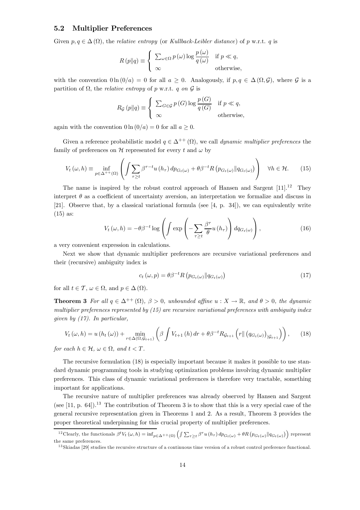#### 5.2 Multiplier Preferences

Given  $p, q \in \Delta(\Omega)$ , the *relative entropy* (or *Kullback-Leibler distance*) of p w.r.t. q is

$$
R(p||q) \equiv \begin{cases} \sum_{\omega \in \Omega} p(\omega) \log \frac{p(\omega)}{q(\omega)} & \text{if } p \ll q, \\ \infty & \text{otherwise,} \end{cases}
$$

with the convention  $0 \ln (0/a) = 0$  for all  $a \ge 0$ . Analogously, if  $p, q \in \Delta(\Omega, \mathcal{G})$ , where  $\mathcal G$  is a partition of  $\Omega$ , the *relative entropy* of p w.r.t. q on  $\mathcal G$  is

$$
R_{\mathcal{G}}(p||q) \equiv \begin{cases} \sum_{G \in \mathcal{G}} p(G) \log \frac{p(G)}{q(G)} & \text{if } p \ll q, \\ \infty & \text{otherwise,} \end{cases}
$$

again with the convention  $0 \ln (0/a) = 0$  for all  $a \ge 0$ .

Given a reference probabilistic model  $q \in \Delta^{++}(\Omega)$ , we call dynamic multiplier preferences the family of preferences on H represented for every t and  $\omega$  by

$$
V_t(\omega, h) \equiv \inf_{p \in \Delta^{++}(\Omega)} \left( \int \sum_{\tau \ge t} \beta^{\tau - t} u(h_\tau) \, dp_{G_t(\omega)} + \theta \beta^{-t} R \left( p_{G_t(\omega)} \| q_{G_t(\omega)} \right) \right) \quad \forall h \in \mathcal{H}.
$$
 (15)

The name is inspired by the robust control approach of Hansen and Sargent  $[11]$ .<sup>12</sup> They interpret  $\theta$  as a coefficient of uncertainty aversion, an interpretation we formalize and discuss in [21]. Observe that, by a classical variational formula (see [4, p. 34]), we can equivalently write (15) as:

$$
V_t(\omega, h) = -\theta \beta^{-t} \log \left( \int \exp \left( -\sum_{\tau \ge t} \frac{\beta^{\tau}}{\theta} u(h_{\tau}) \right) dq_{G_t(\omega)} \right), \qquad (16)
$$

a very convenient expression in calculations.

Next we show that dynamic multiplier preferences are recursive variational preferences and their (recursive) ambiguity index is

$$
c_t(\omega, p) = \theta \beta^{-t} R \left( p_{G_t(\omega)} \| q_{G_t(\omega)} \right) \tag{17}
$$

for all  $t \in \mathcal{T}$ ,  $\omega \in \Omega$ , and  $p \in \Delta(\Omega)$ .

**Theorem 3** For all  $q \in \Delta^{++}(\Omega)$ ,  $\beta > 0$ , unbounded affine  $u : X \to \mathbb{R}$ , and  $\theta > 0$ , the dynamic multiplier preferences represented by  $(15)$  are recursive variational preferences with ambiguity index given by (17). In particular,

$$
V_t(\omega, h) = u(h_t(\omega)) + \min_{r \in \Delta(\Omega, \mathcal{G}_{t+1})} \left( \beta \int V_{t+1}(h) dr + \theta \beta^{-t} R_{\mathcal{G}_{t+1}} \left( r \| \left( q_{G_t(\omega)} \right)_{|\mathcal{G}_{t+1}} \right) \right), \quad (18)
$$

for each  $h \in \mathcal{H}$ ,  $\omega \in \Omega$ , and  $t < T$ .

The recursive formulation (18) is especially important because it makes it possible to use standard dynamic programming tools in studying optimization problems involving dynamic multiplier preferences. This class of dynamic variational preferences is therefore very tractable, something important for applications.

The recursive nature of multiplier preferences was already observed by Hansen and Sargent (see [11, p. 64]).<sup>13</sup> The contribution of Theorem 3 is to show that this is a very special case of the general recursive representation given in Theorems 1 and 2. As a result, Theorem 3 provides the proper theoretical underpinning for this crucial property of multiplier preferences.

<sup>&</sup>lt;sup>12</sup>Clearly, the functionals  $\beta^t V_t(\omega, h) = \inf_{p \in \Delta^{++}(\Omega)} \left( \int \sum_{\tau \geq t} \beta^{\tau} u(h_{\tau}) dp_{G_t(\omega)} + \theta R \left( p_{G_t(\omega)} \| q_{G_t(\omega)} \right) \right)$  represent the same preferences.

 $13$  Skiadas [29] studies the recursive structure of a continuous time version of a robust control preference functional.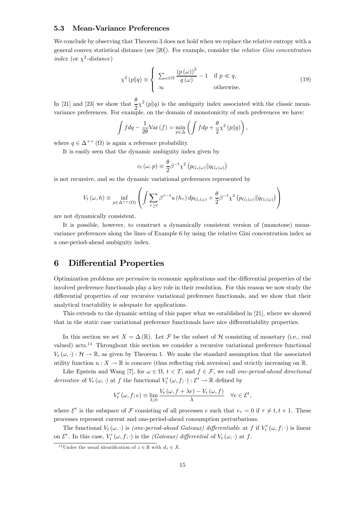#### 5.3 Mean-Variance Preferences

We conclude by observing that Theorem 3 does not hold when we replace the relative entropy with a general convex statistical distance (see [20]). For example, consider the relative Gini concentration index (or  $\chi^2$ -distance)

$$
\chi^2(p||q) \equiv \begin{cases} \sum_{\omega \in \Omega} \frac{(p(\omega))^2}{q(\omega)} - 1 & \text{if } p \ll q, \\ \infty & \text{otherwise.} \end{cases}
$$
(19)

In [21] and [23] we show that  $\frac{\theta}{2} \chi^2(p||q)$  is the ambiguity index associated with the classic meanvariance preferences. For example, on the domain of monotonicity of such preferences we have:

$$
\int f dq - \frac{1}{2\theta} \text{Var}(f) = \min_{p \in \Delta} \left( \int f dp + \frac{\theta}{2} \chi^2 (p||q) \right),
$$

where  $q \in \Delta^{++}(\Omega)$  is again a reference probability.

It is easily seen that the dynamic ambiguity index given by

$$
c_t(\omega, p) \equiv \frac{\theta}{2} \beta^{-t} \chi^2 \left( p_{G_t(\omega)} \| q_{G_t(\omega)} \right)
$$

is not recursive, and so the dynamic variational preferences represented by

$$
V_t(\omega, h) \equiv \inf_{p \in \Delta^{++}(\Omega)} \left( \int \sum_{\tau \ge t} \beta^{\tau - t} u(h_\tau) \, dp_{G_t(\omega)} + \frac{\theta}{2} \beta^{-t} \chi^2 \left( p_{G_t(\omega)} \| q_{G_t(\omega)} \right) \right)
$$

are not dynamically consistent.

It is possible, however, to construct a dynamically consistent version of (monotone) meanvariance preferences along the lines of Example 6 by using the relative Gini concentration index as a one-period-ahead ambiguity index.

# 6 Differential Properties

Optimization problems are pervasive in economic applications and the differential properties of the involved preference functionals play a key role in their resolution. For this reason we now study the differential properties of our recursive variational preference functionals, and we show that their analytical tractability is adequate for applications.

This extends to the dynamic setting of this paper what we established in [21], where we showed that in the static case variational preference functionals have nice differentiability properties.

In this section we set  $X = \Delta(\mathbb{R})$ . Let F be the subset of H consisting of monetary (i.e., real valued) acts.14 Throughout this section we consider a recursive variational preference functional  $V_t(\omega, \cdot): \mathcal{H} \to \mathbb{R}$ , as given by Theorem 1. We make the standard assumption that the associated utility function  $u: X \to \mathbb{R}$  is concave (thus reflecting risk aversion) and strictly increasing on  $\mathbb{R}$ .

Like Epstein and Wang [7], for  $\omega \in \Omega$ ,  $t < T$ , and  $f \in \mathcal{F}$ , we call one-period-ahead directional derivative of  $V_t(\omega, \cdot)$  at f the functional  $V'_t(\omega, f; \cdot) : \mathcal{E}^t \to \mathbb{R}$  defined by

$$
V'_{t}(\omega, f; e) \equiv \lim_{\lambda \downarrow 0} \frac{V_{t}(\omega, f + \lambda e) - V_{t}(\omega, f)}{\lambda} \quad \forall e \in \mathcal{E}^{t},
$$

where  $\mathcal{E}^t$  is the subspace of  $\mathcal F$  consisting of all processes e such that  $e_{\tau} = 0$  if  $\tau \neq t, t + 1$ . These processes represent current and one-period-ahead consumption perturbations.

The functional  $V_t(\omega, \cdot)$  is *(one-period-ahead Gateaux) differentiable* at f if  $V'_t(\omega, f; \cdot)$  is linear on  $\mathcal{E}^t$ . In this case,  $V'_t(\omega, f; \cdot)$  is the *(Gateaux) differential* of  $V_t(\omega, \cdot)$  at f.

<sup>&</sup>lt;sup>14</sup>Under the usual identification of  $z \in \mathbb{R}$  with  $d_z \in X$ .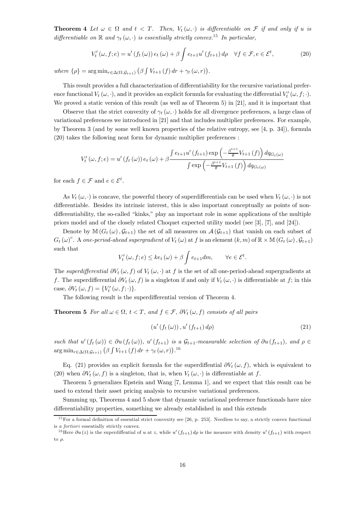**Theorem 4** Let  $\omega \in \Omega$  and  $t < T$ . Then,  $V_t(\omega, \cdot)$  is differentiable on F if and only if u is differentiable on  $\mathbb R$  and  $\gamma_t(\omega, \cdot)$  is essentially strictly convex.<sup>15</sup> In particular,

$$
V'_{t}(\omega, f; e) = u' (f_{t}(\omega)) e_{t}(\omega) + \beta \int e_{t+1} u' (f_{t+1}) d\rho \quad \forall f \in \mathcal{F}, e \in \mathcal{E}^{t}, \tag{20}
$$

where  $\{\rho\} = \arg \min_{r \in \Delta(\Omega, \mathcal{G}_{t+1})} (\beta \int V_{t+1}(f) dr + \gamma_t(\omega, r)).$ 

This result provides a full characterization of differentiability for the recursive variational preference functional  $V_t(\omega, \cdot)$ , and it provides an explicit formula for evaluating the differential  $V'_t(\omega, f; \cdot)$ . We proved a static version of this result (as well as of Theorem 5) in [21], and it is important that

Observe that the strict convexity of  $\gamma_t(\omega, \cdot)$  holds for all divergence preferences, a large class of variational preferences we introduced in [21] and that includes multiplier preferences. For example, by Theorem 3 (and by some well known properties of the relative entropy, see [4, p. 34]), formula (20) takes the following neat form for dynamic multiplier preferences :

$$
V'_{t}(\omega, f; e) = u'(f_{t}(\omega)) e_{t}(\omega) + \beta \frac{\int e_{t+1} u'(f_{t+1}) \exp\left(-\frac{\beta^{t+1}}{\theta} V_{t+1}(f)\right) dq_{G_{t}(\omega)}}{\int \exp\left(-\frac{\beta^{t+1}}{\theta} V_{t+1}(f)\right) dq_{G_{t}(\omega)}}
$$

for each  $f \in \mathcal{F}$  and  $e \in \mathcal{E}^t$ .

As  $V_t(\omega, \cdot)$  is concave, the powerful theory of superdifferentials can be used when  $V_t(\omega, \cdot)$  is not differentiable. Besides its intrinsic interest, this is also important conceptually as points of nondifferentiability, the so-called "kinks," play an important role in some applications of the multiple priors model and of the closely related Choquet expected utility model (see [3], [7], and [24]).

Denote by  $\mathbb{M}(G_t(\omega), \mathcal{G}_{t+1})$  the set of all measures on  $\mathcal{A}(\mathcal{G}_{t+1})$  that vanish on each subset of  $G_t(\omega)$ <sup>c</sup>. A one-period-ahead supergradient of  $V_t(\omega)$  at f is an element  $(k,m)$  of  $\mathbb{R} \times \mathbb{M}$   $(G_t(\omega), \mathcal{G}_{t+1})$ such that

$$
V'_{t}(\omega, f; e) \leq ke_{t}(\omega) + \beta \int e_{t+1} dm, \qquad \forall e \in \mathcal{E}^{t}.
$$

The superdifferential  $\partial V_t(\omega, f)$  of  $V_t(\omega, \cdot)$  at f is the set of all one-period-ahead supergradients at f. The superdifferential  $\partial V_t(\omega, f)$  is a singleton if and only if  $V_t(\omega, \cdot)$  is differentiable at f; in this case,  $\partial V_t(\omega, f) = \{V'_t(\omega, f; \cdot)\}.$ 

The following result is the superdifferential version of Theorem 4.

**Theorem 5** For all  $\omega \in \Omega$ ,  $t < T$ , and  $f \in \mathcal{F}$ ,  $\partial V_t(\omega, f)$  consists of all pairs

$$
\left(u'\left(f_t\left(\omega\right)\right),u'\left(f_{t+1}\right)d\rho\right) \tag{21}
$$

such that  $u'(f_t(\omega)) \in \partial u(f_t(\omega))$ ,  $u'(f_{t+1})$  is a  $\mathcal{G}_{t+1}$ -measurable selection of  $\partial u(f_{t+1})$ , and  $\rho \in$  $\arg \min_{r \in \Delta(\Omega, \mathcal{G}_{t+1})} (\beta \int V_{t+1}(f) dr + \gamma_t(\omega, r))$ .<sup>16</sup>

Eq. (21) provides an explicit formula for the superdiffential  $\partial V_t(\omega, f)$ , which is equivalent to (20) when  $\partial V_t(\omega, f)$  is a singleton, that is, when  $V_t(\omega, \cdot)$  is differentiable at f.

Theorem 5 generalizes Epstein and Wang [7, Lemma 1], and we expect that this result can be used to extend their asset pricing analysis to recursive variational preferences.

Summing up, Theorems 4 and 5 show that dynamic variational preference functionals have nice differentiability properties, something we already established in and this extends

 $15$  For a formal definition of essential strict convexity see [26, p. 253]. Needless to say, a strictly convex functional is a fortiori essentially strictly convex.

<sup>&</sup>lt;sup>16</sup>Here  $\partial u(z)$  is the superdiffential of u at z, while u' $(f_{t+1})$  dp is the measure with density u' $(f_{t+1})$  with respect to  $\rho$ .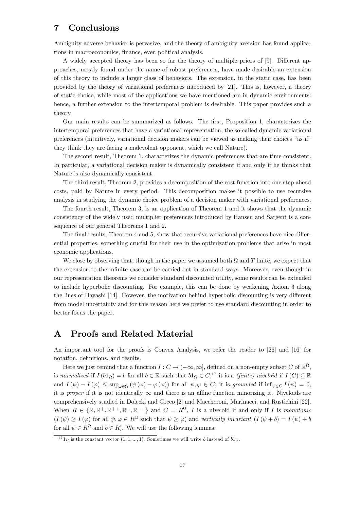# 7 Conclusions

Ambiguity adverse behavior is pervasive, and the theory of ambiguity aversion has found applications in macroeconomics, finance, even political analysis.

A widely accepted theory has been so far the theory of multiple priors of [9]. Different approaches, mostly found under the name of robust preferences, have made desirable an extension of this theory to include a larger class of behaviors. The extension, in the static case, has been provided by the theory of variational preferences introduced by [21]. This is, however, a theory of static choice, while most of the applications we have mentioned are in dynamic environments: hence, a further extension to the intertemporal problem is desirable. This paper provides such a theory.

Our main results can be summarized as follows. The first, Proposition 1, characterizes the intertemporal preferences that have a variational representation, the so-called dynamic variational preferences (intuitively, variational decision makers can be viewed as making their choices "as if" they think they are facing a malevolent opponent, which we call Nature).

The second result, Theorem 1, characterizes the dynamic preferences that are time consistent. In particular, a variational decision maker is dynamically consistent if and only if he thinks that Nature is also dynamically consistent.

The third result, Theorem 2, provides a decomposition of the cost function into one step ahead costs, paid by Nature in every period. This decomposition makes it possible to use recursive analysis in studying the dynamic choice problem of a decision maker with variational preferences.

The fourth result, Theorem 3, is an application of Theorem 1 and it shows that the dynamic consistency of the widely used multiplier preferences introduced by Hansen and Sargent is a consequence of our general Theorems 1 and 2.

The final results, Theorem 4 and 5, show that recursive variational preferences have nice differential properties, something crucial for their use in the optimization problems that arise in most economic applications.

We close by observing that, though in the paper we assumed both  $\Omega$  and T finite, we expect that the extension to the infinite case can be carried out in standard ways. Moreover, even though in our representation theorems we consider standard discounted utility, some results can be extended to include hyperbolic discounting. For example, this can be done by weakening Axiom 3 along the lines of Hayashi [14]. However, the motivation behind hyperbolic discounting is very different from model uncertainty and for this reason here we prefer to use standard discounting in order to better focus the paper.

# A Proofs and Related Material

An important tool for the proofs is Convex Analysis, we refer the reader to [26] and [16] for notation, definitions, and results.

Here we just remind that a function  $I: C \to (-\infty, \infty]$ , defined on a non-empty subset C of  $\mathbb{R}^{\Omega}$ , is normalized if  $I(b1_{\Omega}) = b$  for all  $b \in \mathbb{R}$  such that  $b1_{\Omega} \in C$ ;<sup>17</sup> it is a *(finite) niveloid* if  $I(C) \subseteq \mathbb{R}$ and  $I(\psi) - I(\varphi) \leq \sup_{\omega \in \Omega} (\psi(\omega) - \varphi(\omega))$  for all  $\psi, \varphi \in C$ ; it is grounded if  $\inf_{\psi \in C} I(\psi) = 0$ , it is proper if it is not identically  $\infty$  and there is an affine function minorizing it. Niveloids are comprehensively studied in Dolecki and Greco [2] and Maccheroni, Marinacci, and Rustichini [22]. When  $R \in \{\mathbb{R}, \mathbb{R}^+, \mathbb{R}^+, \mathbb{R}^-, \mathbb{R}^{--}\}$  and  $C = R^{\Omega}, I$  is a niveloid if and only if I is monotonic  $(I(\psi) \geq I(\varphi)$  for all  $\psi, \varphi \in R^{\Omega}$  such that  $\psi \geq \varphi$ ) and vertically invariant  $(I(\psi + b) = I(\psi) + b)$ for all  $\psi \in R^{\Omega}$  and  $b \in R$ ). We will use the following lemmas:

 $171_{\Omega}$  is the constant vector  $(1, 1, ..., 1)$ . Sometimes we will write b instead of  $b1_{\Omega}$ .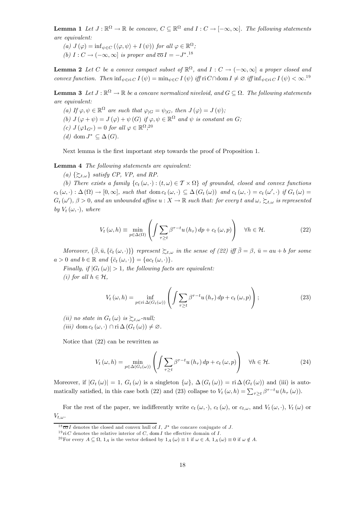**Lemma 1** Let  $J : \mathbb{R}^{\Omega} \to \mathbb{R}$  be concave,  $C \subseteq \mathbb{R}^{\Omega}$  and  $I : C \to [-\infty, \infty]$ . The following statements are equivalent:

(a)  $J(\varphi) = \inf_{\psi \in C} (\langle \varphi, \psi \rangle + I(\psi))$  for all  $\varphi \in \mathbb{R}^{\Omega}$ ; (b)  $I: C \to (-\infty, \infty]$  is proper and  $\overline{co} I = -J^{*}$ .<sup>18</sup>

**Lemma 2** Let C be a convex compact subset of  $\mathbb{R}^{\Omega}$ , and  $I: C \to (-\infty, \infty]$  a proper closed and convex function. Then  $\inf_{\psi \in \mathcal{F}} I(\psi) = \min_{\psi \in C} I(\psi)$  iff  $\text{ri } C \cap \text{dom } I \neq \emptyset$  iff  $\inf_{\psi \in \mathcal{F}} I(\psi) < \infty$ .<sup>19</sup>

**Lemma 3** Let  $J : \mathbb{R}^{\Omega} \to \mathbb{R}$  be a concave normalized niveloid, and  $G \subseteq \Omega$ . The following statements are equivalent:

(a) If  $\varphi, \psi \in \mathbb{R}^{\Omega}$  are such that  $\varphi_{|G} = \psi_{|G}$ , then  $J(\varphi) = J(\psi)$ ; (b)  $J(\varphi + \psi) = J(\varphi) + \psi(G)$  if  $\varphi, \psi \in \mathbb{R}^{\Omega}$  and  $\psi$  is constant on G; (c)  $J(\varphi 1_{G^c})=0$  for all  $\varphi \in \mathbb{R}^{\Omega}$ ;<sup>20</sup> (d) dom  $J^* \subseteq \Delta(G)$ .

Next lemma is the first important step towards the proof of Proposition 1.

Lemma 4 The following statements are equivalent:

(a)  $\{\succsim_{t,\omega}\}$  satisfy CP, VP, and RP.

(b) There exists a family  $\{c_t(\omega, \cdot): (t, \omega) \in \mathcal{T} \times \Omega\}$  of grounded, closed and convex functions  $c_t(\omega, \cdot) : \Delta(\Omega) \to [0, \infty],$  such that dom  $c_t(\omega, \cdot) \subseteq \Delta(G_t(\omega))$  and  $c_t(\omega, \cdot) = c_t(\omega', \cdot)$  if  $G_t(\omega) =$  $G_t(\omega'), \beta > 0$ , and an unbounded affine  $u: X \to \mathbb{R}$  such that: for every t and  $\omega, \succsim_{t,\omega}$  is represented by  $V_t(\omega, \cdot)$ , where

$$
V_t(\omega, h) \equiv \min_{p \in \Delta(\Omega)} \left( \int \sum_{\tau \ge t} \beta^{\tau - t} u(h_\tau) \, dp + c_t(\omega, p) \right) \quad \forall h \in \mathcal{H}.
$$

Moreover,  $(\bar{\beta}, \bar{u}, {\bar{c}_t(\omega, \cdot)})$  represent  $\succsim_{t,\omega}$  in the sense of (22) iff  $\bar{\beta} = \beta$ ,  $\bar{u} = au + b$  for some  $a > 0$  and  $b \in \mathbb{R}$  and  $\{\bar{c}_t(\omega, \cdot)\} = \{ac_t(\omega, \cdot)\}.$ 

Finally, if  $|G_t(\omega)| > 1$ , the following facts are equivalent: (i) for all  $h \in \mathcal{H}$ .

$$
V_t(\omega, h) = \inf_{p \in \text{ri}\,\Delta(G_t(\omega))} \left( \int \sum_{\tau \ge t} \beta^{\tau - t} u(h_\tau) \, dp + c_t(\omega, p) \right); \tag{23}
$$

- (ii) no state in  $G_t(\omega)$  is  $\succsim_{t,\omega}$ -null;
- (iii) dom  $c_t(\omega, \cdot) \cap \text{ri} \Delta(G_t(\omega)) \neq \emptyset$ .

Notice that (22) can be rewritten as

$$
V_t(\omega, h) = \min_{p \in \Delta(G_t(\omega))} \left( \int \sum_{\tau \ge t} \beta^{\tau - t} u(h_\tau) \, dp + c_t(\omega, p) \right) \quad \forall h \in \mathcal{H}.
$$
 (24)

Moreover, if  $|G_t(\omega)| = 1$ ,  $G_t(\omega)$  is a singleton  $\{\omega\}$ ,  $\Delta(G_t(\omega)) = \text{ri } \Delta(G_t(\omega))$  and (iii) is automatically satisfied, in this case both (22) and (23) collapse to  $V_t(\omega, h) = \sum_{\tau \geq t} \beta^{\tau - t} u(h_\tau(\omega))$ .

For the rest of the paper, we indifferently write  $c_t(\omega, \cdot)$ ,  $c_t(\omega)$ , or  $c_{t,\omega}$ , and  $V_t(\omega, \cdot)$ ,  $V_t(\omega)$  or  $V_{t,\omega}$ .

 $18\overline{\text{co}} I$  denotes the closed and convex hull of  $I, J^*$  the concave conjugate of  $J$ .

<sup>&</sup>lt;sup>19</sup>ri C denotes the relative interior of C, dom I the effective domain of I.

<sup>&</sup>lt;sup>20</sup>For every  $A \subseteq \Omega$ ,  $1_A$  is the vector defined by  $1_A(\omega) \equiv 1$  if  $\omega \in A$ ,  $1_A(\omega) \equiv 0$  if  $\omega \notin A$ .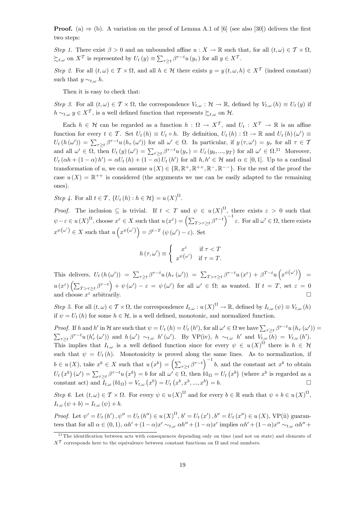**Proof.** (a)  $\Rightarrow$  (b). A variation on the proof of Lemma A.1 of [6] (see also [30]) delivers the first two steps:

Step 1. There exist  $\beta > 0$  and an unbounded affine  $u : X \to \mathbb{R}$  such that, for all  $(t, \omega) \in \mathcal{T} \times \Omega$ ,  $\sum_{t,\omega}$  on  $X^{\mathcal{T}}$  is represented by  $U_t(y) \equiv \sum_{\tau \geq t} \beta^{\tau - t} u(y_\tau)$  for all  $y \in X^{\mathcal{T}}$ .

Step 2. For all  $(t, \omega) \in \mathcal{T} \times \Omega$ , and all  $h \in \mathcal{H}$  there exists  $y = y(t, \omega, h) \in X^{\mathcal{T}}$  (indeed constant) such that  $y \sim_{t,\omega} h$ .

Then it is easy to check that:

Step 3. For all  $(t,\omega) \in \mathcal{T} \times \Omega$ , the correspondence  $V_{t,\omega} : \mathcal{H} \to \mathbb{R}$ , defined by  $V_{t,\omega}(h) \equiv U_t(y)$  if  $h \sim_{t,\omega} y \in X^{\mathcal{T}}$ , is a well defined function that represents  $\succsim_{t,\omega}$  on H.

Each  $h \in \mathcal{H}$  can be regarded as a function  $h : \Omega \to X^{\mathcal{T}}$ , and  $U_t : X^{\mathcal{T}} \to \mathbb{R}$  is an affine function for every  $t \in \mathcal{T}$ . Set  $U_t(h) \equiv U_t \circ h$ . By definition,  $U_t(h) : \Omega \to \mathbb{R}$  and  $U_t(h)(\omega') \equiv$  $U_t(h(\omega')) = \sum_{\tau \geq t} \beta^{\tau-t} u(h_\tau(\omega'))$  for all  $\omega' \in \Omega$ . In particular, if  $y(\tau, \omega') = y_\tau$  for all  $\tau \in \mathcal{T}$ and all  $\omega' \in \Omega$ , then  $U_t(y)(\omega') = \sum_{\tau \geq t} \beta^{\tau-t} u(y_\tau) = U_t(y_0, ..., y_T)$  for all  $\omega' \in \Omega$ .<sup>21</sup> Moreover,  $U_t(\alpha h + (1 - \alpha) h') = \alpha U_t(h) + (1 - \alpha) U_t(h')$  for all  $h, h' \in \mathcal{H}$  and  $\alpha \in [0, 1]$ . Up to a cardinal transformation of u, we can assume  $u(X) \in \{ \mathbb{R}, \mathbb{R}^+, \mathbb{R}^{++}, \mathbb{R}^-, \mathbb{R}^{--} \}$ . For the rest of the proof the case  $u(X) = \mathbb{R}^{++}$  is considered (the arguments we use can be easily adapted to the remaining ones).

Step 4. For all  $t \in \mathcal{T}$ ,  $\{U_t(h) : h \in \mathcal{H}\} = u(X)^{\Omega}$ .

*Proof.* The inclusion  $\subseteq$  is trivial. If  $t < T$  and  $\psi \in u(X)^{\Omega}$ , there exists  $\varepsilon > 0$  such that  $\psi - \varepsilon \in u(X)^{\Omega}$ , choose  $x^{\varepsilon} \in X$  such that  $u(x^{\varepsilon}) = \left(\sum_{T > \tau \geq t} \beta^{\tau - t}\right)^{-1} \varepsilon$ . For all  $\omega' \in \Omega$ , there exists  $x^{\psi(\omega')} \in X$  such that  $u(x^{\psi(\omega')}) = \beta^{t-T} (\psi(\omega') - \varepsilon)$ . Set

$$
h(\tau,\omega') \equiv \begin{cases} x^{\varepsilon} & \text{if } \tau < T \\ x^{\psi(\omega')} & \text{if } \tau = T. \end{cases}
$$

This delivers,  $U_t(h(\omega')) = \sum_{\tau \geq t} \beta^{\tau-t} u(h_\tau(\omega')) = \sum_{T > \tau \geq t} \beta^{\tau-t} u(x^{\varepsilon}) + \beta^{T-t} u(x^{\psi(\omega')}) =$  $u(x^{\varepsilon})\left(\sum_{T>\tau\geq t}\beta^{\tau-t}\right)+\psi(\omega')-\varepsilon\;=\;\psi(\omega')\;\,\mathrm{for\;\,all}\;\,\omega'\,\in\,\Omega;\;\mathrm{as\;\,wanted.}\;\;\mathrm{If}\;\,t\;=\;T,\;\mathrm{set}\;\,\varepsilon\;=\,0$ and choose  $x^{\varepsilon}$  arbitrarily.

Step 5. For all  $(t, \omega) \in \mathcal{T} \times \Omega$ , the correspondence  $I_{t,\omega}: u(X)^{\Omega} \to \mathbb{R}$ , defined by  $I_{t,\omega}(\psi) \equiv V_{t,\omega}(h)$ if  $\psi = U_t(h)$  for some  $h \in \mathcal{H}$ , is a well defined, monotonic, and normalized function.

Proof. If h and h' in H are such that  $\psi = U_t(h) = U_t(h')$ , for all  $\omega' \in \Omega$  we have  $\sum_{\tau \geq t} \beta^{\tau-t} u(h_\tau(\omega')) =$  $\sum_{\tau\geq t}\beta^{\tau-t}u(h'_{\tau}(\omega'))$  and  $h(\omega') \sim_{t,\omega} h'(\omega')$ . By VP(iv),  $h \sim_{t,\omega} h'$  and  $V_{t,\omega}(h) = V_{t,\omega}(h').$ This implies that  $I_{t,\omega}$  is a well defined function since for every  $\psi \in u(X)^{\Omega}$  there is  $h \in \mathcal{H}$ such that  $\psi = U_t(h)$ . Monotonicity is proved along the same lines. As to normalization, if  $b \in u(X)$ , take  $x^b \in X$  such that  $u(x^b) = \left(\sum_{\tau \geq t} \beta^{\tau-t}\right)^{-1} b$ , and the constant act  $x^b$  to obtain  $U_t(x^b)(\omega') = \sum_{\tau \geq t} \beta^{\tau-t} u(x^b) = b$  for all  $\omega' \in \Omega$ , then  $b1_{\Omega} = U_t(x^b)$  (where  $x^b$  is regarded as a constant act) and  $\bar{I}_{t,\omega}(b1_{\Omega}) = V_{t,\omega}(x^{b}) = U_{t}(x^{b}, x^{b}, ..., x^{b})$  $= b.$ 

Step 6. Let  $(t, \omega) \in \mathcal{T} \times \Omega$ . For every  $\psi \in u(X)^{\Omega}$  and for every  $b \in \mathbb{R}$  such that  $\psi + b \in u(X)^{\Omega}$ ,  $I_{t,\omega}(\psi+b)=I_{t,\omega}(\psi)+b.$ 

*Proof.* Let  $\psi' = U_t(h')$ ,  $\psi'' = U_t(h'') \in u(X)^{\Omega}$ ,  $b' = U_t(x')$ ,  $b'' = U_t(x'') \in u(X)$ , VP(ii) guarantees that for all  $\alpha \in (0,1)$ ,  $\alpha h' + (1-\alpha)x' \sim_{t,\omega} \alpha h'' + (1-\alpha)x'$  implies  $\alpha h' + (1-\alpha)x'' \sim_{t,\omega} \alpha h'' +$ 

<sup>&</sup>lt;sup>21</sup>The identification between acts with consequences depending only on time (and not on state) and elements of  $X<sup>T</sup>$  corresponds here to the equivalence between constant functions on  $\Omega$  and real numbers.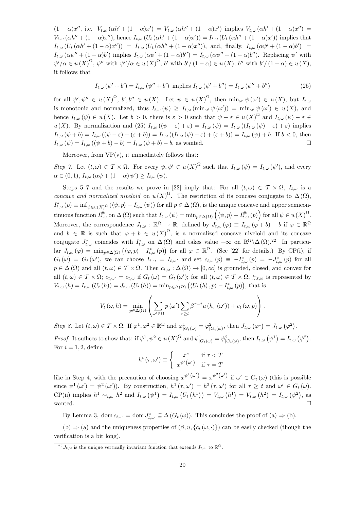$(1 - \alpha)x''$ , i.e.  $V_{t,\omega}(\alpha h' + (1 - \alpha)x') = V_{t,\omega}(\alpha h'' + (1 - \alpha)x')$  implies  $V_{t,\omega}(\alpha h' + (1 - \alpha)x'') =$  $V_{t,\omega}(\alpha h'' + (1-\alpha)x'')$ , hence  $I_{t,\omega}(U_t(\alpha h' + (1-\alpha)x')) = I_{t,\omega}(U_t(\alpha h'' + (1-\alpha)x'))$  implies that  $I_{t,\omega}(U_t(\alpha h' + (1-\alpha)x'')) = I_{t,\omega}(U_t(\alpha h'' + (1-\alpha)x''))$ , and, finally,  $I_{t,\omega}(\alpha \psi' + (1-\alpha)b') =$  $I_{t,\omega}(\alpha\psi'' + (1-\alpha)b')$  implies  $I_{t,\omega}(\alpha\psi' + (1-\alpha)b'') = I_{t,\omega}(\alpha\psi'' + (1-\alpha)b'')$ . Replacing  $\psi'$  with  $\psi'/\alpha \in u(X)^{\Omega}, \psi''$  with  $\psi''/\alpha \in u(X)^{\Omega}, \, b'$  with  $b'/(1-\alpha) \in u(X), \, b''$  with  $b'/(1-\alpha) \in u(X),$ it follows that

$$
I_{t,\omega}(\psi' + b') = I_{t,\omega}(\psi'' + b') \text{ implies } I_{t,\omega}(\psi' + b'') = I_{t,\omega}(\psi'' + b'')
$$
 (25)

for all  $\psi', \psi'' \in u(X)^{\Omega}, \quad b', b'' \in u(X)$ . Let  $\psi \in u(X)^{\Omega}, \quad \text{then } \min_{\omega'} \psi(\omega') \in u(X), \quad \text{but } I_{t,\omega}$ is monotonic and normalized, thus  $I_{t,\omega}(\psi) \geq I_{t,\omega}(\min_{\omega'} \psi(\omega')) = \min_{\omega'} \psi(\omega') \in u(X)$ , and hence  $I_{t,\omega}(\psi) \in u(X)$ . Let  $b > 0$ , there is  $\varepsilon > 0$  such that  $\psi - \varepsilon \in u(X)^{\Omega}$  and  $I_{t,\omega}(\psi) - \varepsilon \in$ u(X). By normalization and (25)  $I_{t,\omega}((\psi-\varepsilon)+\varepsilon)=I_{t,\omega}(\psi)=I_{t,\omega}((I_{t,\omega}(\psi)-\varepsilon)+\varepsilon)$  implies  $I_{t,\omega}(\psi+b)=I_{t,\omega}((\psi-\varepsilon)+(\varepsilon+b))=I_{t,\omega}((I_{t,\omega}(\psi)-\varepsilon)+(\varepsilon+b))=I_{t,\omega}(\psi)+b.$  If  $b<0$ , then  $I_{t,\omega}(\psi) = I_{t,\omega}((\psi + b) - b) = I_{t,\omega}(\psi + b) - b$ , as wanted.

Moreover, from  $VP(v)$ , it immediately follows that:

Step 7. Let  $(t,\omega) \in \mathcal{T} \times \Omega$ . For every  $\psi, \psi' \in u(X)^{\Omega}$  such that  $I_{t,\omega}(\psi) = I_{t,\omega}(\psi')$ , and every  $\alpha \in (0,1), I_{t,\omega} \left( \alpha \psi + (1-\alpha) \psi' \right) \geq I_{t,\omega} \left( \psi \right).$ 

Steps 5–7 and the results we prove in [22] imply that: For all  $(t, \omega) \in \mathcal{T} \times \Omega$ ,  $I_{t,\omega}$  is a concave and normalized niveloid on  $u(X)$ <sup> $\Omega$ </sup>. The restriction of its concave conjugate to  $\Delta(\Omega)$ ,  $I_{t,\omega}^*(p) \equiv \inf_{\psi \in u(X)} \Omega(\langle \psi, p \rangle - I_{t,\omega}(\psi))$  for all  $p \in \Delta(\Omega)$ , is the unique concave and upper semicontinuous function  $I_{t,\omega}^{\#}$  on  $\Delta(\Omega)$  such that  $I_{t,\omega}(\psi) = \min_{p \in \Delta(\Omega)} (\langle \psi, p \rangle - I_{t,\omega}^{\#}(p))$  for all  $\psi \in u(X)^{\Omega}$ . Moreover, the correspondence  $J_{t,\omega}: \mathbb{R}^{\Omega} \to \mathbb{R}$ , defined by  $J_{t,\omega}(\varphi) \equiv I_{t,\omega}(\varphi+b) - b$  if  $\varphi \in \mathbb{R}^{\Omega}$ and  $b \in \mathbb{R}$  is such that  $\varphi + b \in u(X)^{\Omega}$ , is a normalized concave niveloid and its concave conjugate  $J_{t,\omega}^*$  coincides with  $I_{t,\omega}^*$  on  $\Delta(\Omega)$  and takes value  $-\infty$  on  $\mathbb{R}^{\Omega}\setminus\Delta(\Omega).^{22}$  In particular  $J_{t,\omega}(\varphi) = \min_{p \in \Delta(\Omega)} (\langle \varphi, p \rangle - I_{t,\omega}^*(p))$  for all  $\varphi \in \mathbb{R}^{\Omega}$ . (See [22] for details.) By CP(i), if  $G_t(\omega) = G_t(\omega')$ , we can choose  $I_{t,\omega} = I_{t,\omega'}$  and set  $c_{t,\omega}(p) \equiv -I_{t,\omega}^*(p) = -J_{t,\omega}^*(p)$  for all  $p \in \Delta(\Omega)$  and all  $(t, \omega) \in \mathcal{T} \times \Omega$ . Then  $c_{t,\omega} : \Delta(\Omega) \to [0, \infty]$  is grounded, closed, and convex for all  $(t,\omega) \in \mathcal{T} \times \Omega$ ;  $c_{t,\omega'} = c_{t,\omega}$  if  $G_t(\omega) = G_t(\omega')$ ; for all  $(t,\omega) \in \mathcal{T} \times \Omega$ ,  $\succsim_{t,\omega}$  is represented by  $V_{t,\omega}(h) = I_{t,\omega}(U_t(h)) = J_{t,\omega}(U_t(h)) = \min_{p \in \Delta(\Omega)} (\langle U_t(h), p \rangle - I_{t,\omega}^*(p)),$  that is

$$
V_t(\omega, h) = \min_{p \in \Delta(\Omega)} \left( \sum_{\omega' \in \Omega} p(\omega') \sum_{\tau \ge t} \beta^{\tau - t} u(h_\tau(\omega')) + c_t(\omega, p) \right).
$$

Step 8. Let  $(t, \omega) \in \mathcal{T} \times \Omega$ . If  $\varphi^1, \varphi^2 \in \mathbb{R}^{\Omega}$  and  $\varphi^1_{|G_t(\omega)} = \varphi^2_{|G_t(\omega)}$ , then  $J_{t,\omega}(\varphi^1) = J_{t,\omega}(\varphi^2)$ . Proof. It suffices to show that: if  $\psi^1, \psi^2 \in u(X)^{\Omega}$  and  $\psi^1_{|G_t(\omega)} = \psi^2_{|G_t(\omega)}$ , then  $I_{t,\omega}(\psi^1) = I_{t,\omega}(\psi^2)$ .

$$
h^{i}(\tau,\omega') \equiv \begin{cases} x^{\varepsilon} & \text{if } \tau < T \\ x^{\psi^{i}}(\omega') & \text{if } \tau = T \end{cases}
$$

like in Step 4, with the precaution of choosing  $x^{\psi^1(\omega')} = x^{\psi^2(\omega')}$  if  $\omega' \in G_t(\omega)$  (this is possible since  $\psi^1(\omega') = \psi^2(\omega')$ ). By construction,  $h^1(\tau, \omega') = h^2(\tau, \omega')$  for all  $\tau \geq t$  and  $\omega' \in G_t(\omega)$ . CP(ii) implies  $h^1 \sim_{t,\omega} h^2$  and  $I_{t,\omega}(\psi^1) = I_{t,\omega}(U_t(h^1)) = V_{t,\omega}(h^1) = V_{t,\omega}(h^2) = I_{t,\omega}(\psi^2)$ , as wanted.  $\Box$ 

By Lemma 3, dom  $c_{t,\omega} = \text{dom } J_{t,\omega}^* \subseteq \Delta(G_t(\omega))$ . This concludes the proof of  $(a) \Rightarrow (b)$ .

(b)  $\Rightarrow$  (a) and the uniqueness properties of  $(\beta, u, \{c_t(\omega, \cdot)\})$  can be easily checked (though the verification is a bit long).

For  $i = 1, 2$ , define

<sup>&</sup>lt;sup>22</sup>  $J_{t,\omega}$  is the unique vertically invariant function that extends  $I_{t,\omega}$  to  $\mathbb{R}^{\Omega}$ .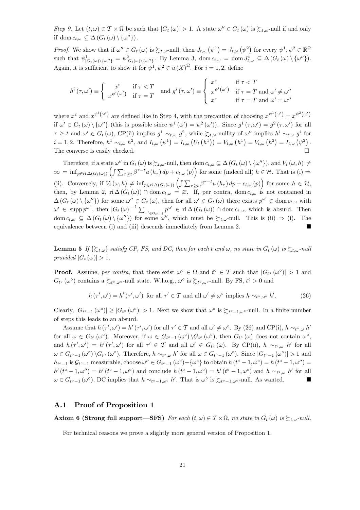Step 9. Let  $(t, \omega) \in \mathcal{T} \times \Omega$  be such that  $|G_t(\omega)| > 1$ . A state  $\omega'' \in G_t(\omega)$  is  $\succsim_{t,\omega}$ -null if and only if dom  $c_{t,\omega} \subseteq \Delta(G_t(\omega) \setminus {\{\omega''\}})$ .

Proof. We show that if  $\omega'' \in G_t(\omega)$  is  $\succsim_{t,\omega}$ -null, then  $J_{t,\omega}(\psi^1) = J_{t,\omega}(\psi^2)$  for every  $\psi^1, \psi^2 \in \mathbb{R}^{\Omega}$ such that  $\psi_{|G_t(\omega)\setminus\{\omega''\}}^1 = \psi_{|G_t(\omega)\setminus\{\omega''\}}^2$ . By Lemma 3, dom  $c_{t,\omega} = \text{dom } J_{t,\omega}^* \subseteq \Delta(G_t(\omega)\setminus\{\omega''\}).$ Again, it is sufficient to show it for  $\psi^1, \psi^2 \in u(X)^\Omega$ . For  $i = 1, 2$ , define

$$
h^{i}(\tau,\omega') \equiv \begin{cases} x^{\varepsilon} & \text{if } \tau < T \\ x^{\psi^{i}}(\omega') & \text{if } \tau = T \end{cases} \text{ and } g^{i}(\tau,\omega') \equiv \begin{cases} x^{\varepsilon} & \text{if } \tau < T \\ x^{\psi^{i}}(\omega') & \text{if } \tau = T \text{ and } \omega' \neq \omega'' \\ x^{\varepsilon} & \text{if } \tau = T \text{ and } \omega' = \omega'' \end{cases}
$$

where  $x^{\varepsilon}$  and  $x^{\psi^{i}(\omega')}$  are defined like in Step 4, with the precaution of choosing  $x^{\psi^{1}(\omega')} = x^{\psi^{2}(\omega')}$ if  $\omega' \in G_t(\omega) \setminus {\{\omega''\}}$  (this is possible since  $\psi^1(\omega') = \psi^2(\omega')$ ). Since  $g^1(\tau, \omega') = g^2(\tau, \omega')$  for all  $\tau \geq t$  and  $\omega' \in G_t(\omega)$ , CP(ii) implies  $g^1 \sim_{t,\omega} g^2$ , while  $\succsim_{t,\omega}$ -nullity of  $\omega''$  implies  $h^i \sim_{t,\omega} g^i$  for  $i = 1, 2$ . Therefore,  $h^1 \sim_{t,\omega} h^2$ , and  $I_{t,\omega}(\psi^1) = I_{t,\omega}(U_t(h^1)) = V_{t,\omega}(h^1) = V_{t,\omega}(h^2) = I_{t,\omega}(\psi^2)$ . The converse is easily checked.  $\Box$ 

Therefore, if a state  $\omega''$  in  $G_t(\omega)$  is  $\succsim_{t,\omega}$ -null, then dom  $c_{t,\omega} \subseteq \Delta(G_t(\omega) \setminus {\{\omega''\}})$ , and  $V_t(\omega, h) \neq$  $\infty = \inf_{p \in \text{ri}\,\Delta(G_t(\omega))} \left( \int \sum_{\tau \geq t} \beta^{\tau-t} u(h_\tau) \, dp + c_{t,\omega}(p) \right)$  for some (indeed all)  $h \in \mathcal{H}$ . That is (i)  $\Rightarrow$ (ii). Conversely, if  $V_t(\omega, h) \neq \inf_{p \in \text{ri } \Delta(G_t(\omega))} \left( \int \sum_{\tau \geq t} \beta^{\tau - t} u(h_\tau) dp + c_{t, \omega}(p) \right)$  for some  $h \in \mathcal{H}$ , then, by Lemma 2,  $\text{ri } \Delta(G_t(\omega)) \cap \text{dom } c_{t,\omega} = \emptyset$ . If, per contra, dom  $c_{t,\omega}$  is not contained in  $\Delta(G_t(\omega) \setminus {\{\omega''\}})$  for some  $\omega'' \in G_t(\omega)$ , then for all  $\omega' \in G_t(\omega)$  there exists  $p^{\omega'} \in \text{dom } c_{t,\omega}$  with  $\omega' \in \text{supp } p^{\omega'}$ , then  $|G_t(\omega)|^{-1} \sum_{\omega' \in G_t(\omega)} p^{\omega'} \in \text{ri } \Delta(G_t(\omega)) \cap \text{dom } c_{t,\omega}$ , which is absurd. Then dom  $c_{t,\omega} \subseteq \Delta(G_t(\omega) \setminus {\{\omega''\}})$  for some  $\omega''$ , which must be  $\succsim_{t,\omega}$ -null. This is (ii)  $\Rightarrow$  (i). The equivalence between (i) and (iii) descends immediately from Lemma 2.  $\blacksquare$ 

**Lemma 5** If  $\{\succsim_{t,\omega}\}$  satisfy CP, FS, and DC, then for each t and  $\omega$ , no state in  $G_t(\omega)$  is  $\succsim_{t,\omega}$ -null provided  $|G_t(\omega)| > 1$ .

**Proof.** Assume, per contra, that there exist  $\omega^{\circ} \in \Omega$  and  $t^{\circ} \in \mathcal{T}$  such that  $|G_{t^{\circ}}(\omega^{\circ})| > 1$  and  $G_{t^{\circ}} (\omega^{\circ})$  contains a  $\succsim_{t^{\circ}, \omega^{\circ}}$ -null state. W.l.o.g.,  $\omega^{\circ}$  is  $\succsim_{t^{\circ}, \omega^{\circ}}$ -null. By FS,  $t^{\circ} > 0$  and

$$
h(\tau', \omega') = h'(\tau', \omega') \text{ for all } \tau' \in \mathcal{T} \text{ and all } \omega' \neq \omega^{\circ} \text{ implies } h \sim_{t^{\circ}, \omega^{\circ}} h'. \tag{26}
$$

Clearly,  $|G_{t^{\circ}-1}(\omega^{\circ})| \geq |G_{t^{\circ}}(\omega^{\circ})| > 1$ . Next we show that  $\omega^{\circ}$  is  $\succsim_{t^{\circ}-1,\omega^{\circ}}$ -null. In a finite number of steps this leads to an absurd.

Assume that  $h(\tau', \omega') = h'(\tau', \omega')$  for all  $\tau' \in \mathcal{T}$  and all  $\omega' \neq \omega^{\circ}$ . By (26) and CP(i),  $h \sim_{t^{\circ}, \omega} h'$ for all  $\omega \in G_{t^{\circ}}(\omega^{\circ})$ . Moreover, if  $\omega \in G_{t^{\circ}-1}(\omega^{\circ}) \backslash G_{t^{\circ}}(\omega^{\circ})$ , then  $G_{t^{\circ}}(\omega)$  does not contain  $\omega^{\circ}$ , and  $h(\tau', \omega') = h'(\tau', \omega')$  for all  $\tau' \in \mathcal{T}$  and all  $\omega' \in G_{t} \circ (\omega)$ . By CP(ii),  $h \sim_{t \circ, \omega} h'$  for all  $\omega \in G_{t^{\circ}-1}(\omega^{\circ}) \backslash G_{t^{\circ}}(\omega^{\circ})$ . Therefore,  $h \sim_{t^{\circ},\omega} h'$  for all  $\omega \in G_{t^{\circ}-1}(\omega^{\circ})$ . Since  $|G_{t^{\circ}-1}(\omega^{\circ})| > 1$  and  $h_{t^{\circ}-1}$  is  $\mathcal{G}_{t^{\circ}-1}$  measurable, choose  $\omega'' \in G_{t^{\circ}-1}(\omega^{\circ}) - \{\omega^{\circ}\}\$ to obtain  $h(t^{\circ}-1,\omega^{\circ}) = h(t^{\circ}-1,\omega'') =$  $h'(t^{\circ}-1,\omega'')=h'(t^{\circ}-1,\omega^{\circ})$  and conclude  $h(t^{\circ}-1,\omega^{\circ})=h'(t^{\circ}-1,\omega^{\circ})$  and  $h \sim_{t^{\circ},\omega} h'$  for all  $\omega \in G_{t^{\circ}-1}(\omega^{\circ}), \text{DC implies that } h \sim_{t^{\circ}-1,\omega^{\circ}} h'. \text{ That is } \omega^{\circ} \text{ is } \sum_{t^{\circ}-1,\omega^{\circ}} \text{ null. As wanted.}$ 

#### A.1 Proof of Proposition 1

**Axiom 6 (Strong full support—SFS)** For each  $(t, \omega) \in T \times \Omega$ , no state in  $G_t(\omega)$  is  $\sum_{t,\omega}$ -null.

For technical reasons we prove a slightly more general version of Proposition 1.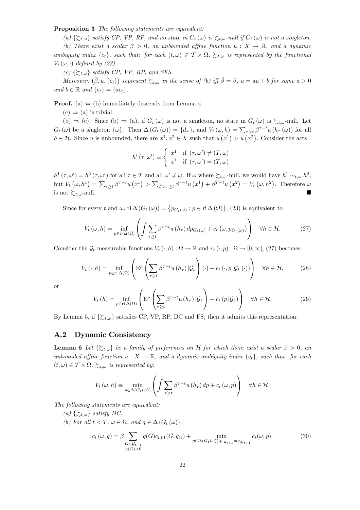Proposition 3 The following statements are equivalent:

(a)  $\{\succsim_{t,\omega}\}$  satisfy CP, VP, RP, and no state in  $G_t(\omega)$  is  $\succsim_{t,\omega}$ -null if  $G_t(\omega)$  is not a singleton.

(b) There exist a scalar  $\beta > 0$ , an unbounded affine function  $u : X \to \mathbb{R}$ , and a dynamic ambiguity index  $\{c_t\}$ , such that: for each  $(t,\omega) \in \mathcal{T} \times \Omega$ ,  $\succsim t,\omega$  is represented by the functional  $V_t(\omega, \cdot)$  defined by (23).

(c)  $\{\succcurlyeq_{t,\omega}\}$  satisfy CP, VP, RP, and SFS.

Moreover,  $(\bar{\beta}, \bar{u}, {\bar{c}_t})$  represent  $\succsim_{t,\omega}$  in the sense of (b) iff  $\bar{\beta} = \beta$ ,  $\bar{u} = au + b$  for some  $a > 0$ and  $b \in \mathbb{R}$  and  $\{\bar{c}_t\} = \{ac_t\}.$ 

**Proof.** (a)  $\Leftrightarrow$  (b) immediately descends from Lemma 4.

 $(c) \Rightarrow (a)$  is trivial.

(b)  $\Rightarrow$  (c). Since (b)  $\Rightarrow$  (a), if  $G_t(\omega)$  is not a singleton, no state in  $G_t(\omega)$  is  $\sum_{t,\omega}$ -null. Let  $G_t(\omega)$  be a singleton  $\{\omega\}$ . Then  $\Delta(G_t(\omega)) = \{d_\omega\}$ , and  $V_t(\omega, h) = \sum_{\tau \geq t} \beta^{\tau - t} u(h_\tau(\omega))$  for all  $h \in \mathcal{H}$ . Since u is unbounded, there are  $x^1, x^2 \in X$  such that  $u(x^1) > u(x^2)$ . Consider the acts

$$
h^{i}(\tau,\omega') \equiv \begin{cases} x^{1} & \text{if } (\tau,\omega') \neq (T,\omega) \\ x^{i} & \text{if } (\tau,\omega') = (T,\omega) \end{cases}
$$

 $h^1(\tau, \omega') = h^2(\tau, \omega')$  for all  $\tau \in \mathcal{T}$  and all  $\omega' \neq \omega$ . If  $\omega$  where  $\succsim_{t,\omega}$ -null, we would have  $h^1 \sim_{t,\omega} h^2$ , but  $V_t(\omega, h^1) = \sum_{\tau \geq t} \beta^{\tau - t} u(x^1) > \sum_{T > \tau \geq t} \beta^{\tau - t} u(x^1) + \beta^{T - t} u(x^2) = V_t(\omega, h^2)$ . Therefore  $\omega$ is not  $\succsim_{t,\omega}$ -null.

Since for every t and  $\omega$ , ri  $\Delta(G_t(\omega)) = \{p_{G_t(\omega)} : p \in \text{ri}\,\Delta(\Omega)\}\$ , (23) is equivalent to

$$
V_t(\omega, h) = \inf_{p \in \text{ri}\,\Delta(\Omega)} \left( \int \sum_{\tau \ge t} \beta^{\tau - t} u(h_\tau) \, dp_{G_t(\omega)} + c_t \left( \omega, p_{G_t(\omega)} \right) \right) \quad \forall h \in \mathcal{H}.
$$
 (27)

Consider the  $\mathcal{G}_t$  measurable functions  $V_t(\cdot, h): \Omega \to \mathbb{R}$  and  $c_t(\cdot, p): \Omega \to [0, \infty]$ , (27) becomes

$$
V_{t}(\cdot,h) = \inf_{p \in \text{ri}\,\Delta(\Omega)} \left( \mathcal{E}^{p} \left( \sum_{\tau \geq t} \beta^{\tau-t} u\left(h_{\tau}\right) | \mathcal{G}_{t} \right) (\cdot) + c_{t} \left( \cdot, p | \mathcal{G}_{t} \left( \cdot \right) \right) \right) \quad \forall h \in \mathcal{H},\tag{28}
$$

or

$$
V_{t}(h) = \inf_{p \in \text{ri}\,\Delta(\Omega)} \left( \mathbf{E}^{p} \left( \sum_{\tau \geq t} \beta^{\tau - t} u(h_{\tau}) \, | \mathcal{G}_{t} \right) + c_{t} \left( p \, | \mathcal{G}_{t} \right) \right) \quad \forall h \in \mathcal{H}.
$$

By Lemma 5, if  $\{\succsim_{t,\omega}\}$  satisfies CP, VP, RP, DC and FS, then it admits this representation.

#### A.2 Dynamic Consistency

**Lemma 6** Let  $\{\succcurlyeq_{t,\omega}\}$  be a family of preferences on H for which there exist a scalar  $\beta > 0$ , an unbounded affine function  $u: X \to \mathbb{R}$ , and a dynamic ambiguity index  $\{c_t\}$ , such that: for each  $(t, \omega) \in \mathcal{T} \times \Omega$ ,  $\succsim_{t, \omega}$  is represented by:

$$
V_t(\omega, h) \equiv \min_{p \in \Delta(G_t(\omega))} \left( \int \sum_{\tau \ge t} \beta^{\tau - t} u(h_\tau) \, dp + c_t(\omega, p) \right) \quad \forall h \in \mathcal{H}.
$$

The following statements are equivalent:

- (a)  $\{\succsim_{t,\omega}\}$  satisfy DC.
- (b) For all  $t < T$ ,  $\omega \in \Omega$ , and  $q \in \Delta(G_t(\omega))$ ,

$$
c_t(\omega, q) = \beta \sum_{\substack{G \in \mathcal{G}_{t+1} \\ q(G) > 0}} q(G)c_{t+1}(G, q_G) + \min_{p \in \Delta(G_t(\omega)) : p_{|\mathcal{G}_{t+1}} = q_{|\mathcal{G}_{t+1}}} c_t(\omega, p). \tag{30}
$$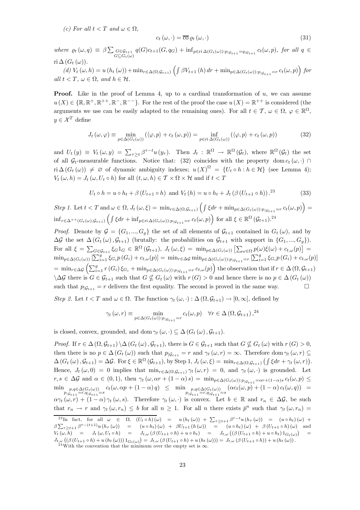(c) For all  $t < T$  and  $\omega \in \Omega$ ,

$$
c_t(\omega,\cdot) = \overline{\mathrm{co}} \,\varrho_t(\omega,\cdot) \tag{31}
$$

where  $\rho_t(\omega, q) \equiv \beta \sum_{G \in \mathcal{G}_{t+1}} q(G)c_{t+1}(G, q_G) + \inf_{p \in \text{ri}\,\Delta(G_t(\omega)): p_{|\mathcal{G}_{t+1}} = q_{|\mathcal{G}_{t+1}|}} c_t(\omega, p)$ , for all  $q \in$  $G\subseteq G_t(\omega)$ ri  $\Delta(G_t(\omega))$ .

(d) 
$$
V_t(\omega, h) = u(h_t(\omega)) + \min_{r \in \Delta(\Omega, \mathcal{G}_{t+1})} \left( \int \beta V_{t+1}(h) dr + \min_{p \in \Delta(G_t(\omega)) : p_{|\mathcal{G}_{t+1}} = r} c_t(\omega, p) \right)
$$
 for all  $t < T$ ,  $\omega \in \Omega$ , and  $h \in \mathcal{H}$ .

**Proof.** Like in the proof of Lemma 4, up to a cardinal transformation of  $u$ , we can assume  $u(X) \in \{ \mathbb{R}, \mathbb{R}^+, \mathbb{R}^{++}, \mathbb{R}^-, \mathbb{R}^{--} \}.$  For the rest of the proof the case  $u(X) = \mathbb{R}^{++}$  is considered (the arguments we use can be easily adapted to the remaining ones). For all  $t \in \mathcal{T}$ ,  $\omega \in \Omega$ ,  $\varphi \in \mathbb{R}^{\Omega}$ ,  $y \in \mathcal{X}^T$  define

$$
J_t(\omega, \varphi) \equiv \min_{p \in \Delta(G_t(\omega))} (\langle \varphi, p \rangle + c_t(\omega, p)) = \inf_{p \in \text{ri } \Delta(G_t(\omega))} (\langle \varphi, p \rangle + c_t(\omega, p))
$$
(32)

and  $U_t(y) \equiv V_t(\omega, y) = \sum_{\tau \geq t} \beta^{\tau - t} u(y_\tau)$ . Then  $J_t : \mathbb{R}^{\Omega} \to \mathbb{R}^{\Omega}(\mathcal{G}_t)$ , where  $\mathbb{R}^{\Omega}(\mathcal{G}_t)$  the set of all  $\mathcal{G}_t$ -measurable functions. Notice that: (32) coincides with the property dom  $c_t(\omega, \cdot)$  $\text{ri } \Delta(G_t(\omega)) \neq \emptyset \text{ of dynamic ambiguity indexes}; u(X)^{\Omega} = \{U_t \circ h : h \in \mathcal{H}\}\$  (see Lemma 4);  $V_t(\omega, h) = J_t(\omega, U_t \circ h)$  for all  $(t, \omega, h) \in \mathcal{T} \times \Omega \times \mathcal{H}$  and if  $t < T$ 

$$
U_t \circ h = u \circ h_t + \beta \left( U_{t+1} \circ h \right) \text{ and } V_t \left( h \right) = u \circ h_t + J_t \left( \beta \left( U_{t+1} \circ h \right) \right).^{23} \tag{33}
$$

Step 1. Let  $t < T$  and  $\omega \in \Omega$ ,  $J_t(\omega, \xi) = \min_{r \in \Delta(\Omega, \mathcal{G}_{t+1})} \left( \int \xi dr + \min_{p \in \Delta(G_t(\omega)) : p_{|\mathcal{G}_{t+1}} = r} c_t(\omega, p) \right) =$  $\inf_{r \in \Delta^{++}(G_t(\omega),\mathcal{G}_{t+1})} \left( \int \xi dr + \inf_{p \in \text{ri}\,\Delta(G_t(\omega)) : p_{|\mathcal{G}_{t+1}} = r} c_t(\omega, p) \right)$  for all  $\xi \in \mathbb{R}^{\Omega} (\mathcal{G}_{t+1})$ .<sup>24</sup>

*Proof.* Denote by  $\mathcal{G} = \{G_1, ..., G_q\}$  the set of all elements of  $\mathcal{G}_{t+1}$  contained in  $G_t(\omega)$ , and by  $\Delta \mathcal{G}$  the set  $\Delta(G_t(\omega), \mathcal{G}_{t+1})$  (brutally: the probabilities on  $\mathcal{G}_{t+1}$  with support in  $\{G_1, ..., G_q\}$ ). For all  $\xi = \sum_{G \in \mathcal{G}_{t+1}} \xi_G 1_G \in \mathbb{R}^{\Omega}(\mathcal{G}_{t+1}), J_t(\omega, \xi) = \min_{p \in \Delta(G_t(\omega))} \left[ \sum_{\omega \in \Omega} p(\omega) \xi(\omega) + c_{t,\omega}(p) \right] =$  $\min_{p \in \Delta(G_t(\omega))} \left[ \sum_{i=1}^g \xi_{G_i} p(G_i) + c_{t,\omega}(p) \right] = \min_{r \in \Delta \mathcal{G}} \min_{p \in \Delta(G_t(\omega)) : p_{|\mathcal{G}_{t+1}} = r} \left[ \sum_{i=1}^g \xi_{G_i} p(G_i) + c_{t,\omega}(p) \right]$  $=\min_{r\in\Delta\mathcal{G}}\left(\sum_{i=1}^g r(G_i)\xi_{G_i}+\min_{p\in\Delta(G_t(\omega)):p_{|\mathcal{G}_{t+1}}=r}c_{t,\omega}(p)\right)$  the observation that if  $r\in\Delta(\Omega,\mathcal{G}_{t+1})$  $\Delta \mathcal{G}$  there is  $G \in \mathcal{G}_{t+1}$  such that  $G \nsubseteq G_t(\omega)$  with  $r(G) > 0$  and hence there is no  $p \in \Delta(G_t(\omega))$ such that  $p_{|\mathcal{G}_{t+1}} = r$  delivers the first equality. The second is proved in the same way.  $\Box$ 

Step 2. Let  $t < T$  and  $\omega \in \Omega$ . The function  $\gamma_t(\omega, \cdot) : \Delta(\Omega, \mathcal{G}_{t+1}) \to [0, \infty]$ , defined by

$$
\gamma_t(\omega, r) \equiv \min_{p \in \Delta(G_t(\omega)) : p_{|\mathcal{G}_{t+1}} = r} c_t(\omega, p) \quad \forall r \in \Delta(\Omega, \mathcal{G}_{t+1}),^{24}
$$

is closed, convex, grounded, and dom  $\gamma_t(\omega, \cdot) \subseteq \Delta(G_t(\omega), \mathcal{G}_{t+1}).$ 

*Proof.* If  $r \in \Delta(\Omega, \mathcal{G}_{t+1}) \setminus \Delta(G_t(\omega), \mathcal{G}_{t+1})$ , there is  $G \in \mathcal{G}_{t+1}$  such that  $G \nsubseteq G_t(\omega)$  with  $r(G) > 0$ , then there is no  $p \in \Delta(G_t(\omega))$  such that  $p_{|\mathcal{G}_{t+1}} = r$  and  $\gamma_t(\omega, r) = \infty$ . Therefore dom  $\gamma_t(\omega, r) \subseteq$  $\Delta(G_t(\omega), \mathcal{G}_{t+1}) = \Delta \mathcal{G}$ . For  $\xi \in \mathbb{R}^{\Omega}(\mathcal{G}_{t+1}),$  by Step 1,  $J_t(\omega, \xi) = \min_{r \in \Delta(\Omega, \mathcal{G}_{t+1})} (\int \xi dr + \gamma_t(\omega, r)).$ Hence,  $J_t(\omega, 0) = 0$  implies that  $\min_{r \in \Delta(\Omega, \mathcal{G}_{t+1})} \gamma_t(\omega, r) = 0$ , and  $\gamma_t(\omega, \cdot)$  is grounded. Let  $r, s \in \Delta \mathcal{G}$  and  $\alpha \in (0, 1)$ , then  $\gamma_t (\omega, \alpha r + (1 - \alpha) s) = \min_{p \in \Delta(G_t(\omega)) : p_{|\mathcal{G}_{t+1}} = \alpha r + (1 - \alpha) s} c_t(\omega, p) \le$  $\min_{\substack{p,q \in \Delta(G_t(\omega)) \\ p_{|\mathcal{G}_{t+1}}=r,q_{|\mathcal{G}_{t+1}}=s}} c_t(\omega, \alpha p + (1-\alpha) q) \leq \min_{\substack{p,q \in \Delta(G_t(\omega)) \\ p_{|\mathcal{G}_{t+1}}=r,q_{|\mathcal{G}_{t+1}}=s}} (\alpha c_t(\omega, p) + (1-\alpha) c_t(\omega, q)) =$  $\alpha\gamma_t(\omega,r) + (1-\alpha)\gamma_t(\omega,s)$ . Therefore  $\gamma_t(\omega,\cdot)$  is convex. Let  $b \in \mathbb{R}$  and  $r_n \in \Delta\mathcal{G}$ , be such that  $r_n \to r$  and  $\gamma_t(\omega, r_n) \leq b$  for all  $n \geq 1$ . For all n there exists  $\bar{p}^n$  such that  $\gamma_t(\omega, r_n) =$ 

<sup>&</sup>lt;sup>23</sup>In fact, for all  $\omega \in \Omega$ ,  $(U_t \circ h)(\omega) = u(h_t(\omega)) + \sum_{\tau \ge t+1} \beta^{\tau-t} u(h_\tau(\omega)) = (u \circ h_t)(\omega) +$  $\beta \sum_{\tau \geq t+1} \beta^{\tau-(t+1)} u(h_{\tau}(\omega)) = (u \circ h_t)(\omega) + \beta U_{t+1}(h(\omega)) = (u \circ h_t)(\omega) + \beta (U_{t+1} \circ h)(\omega)$  and  $V_t(\omega, h)$  =  $J_t(\omega, U_t \circ h)$  =  $J_{t,\omega}(\beta(U_{t+1} \circ h) + u \circ h_t)$  =  $J_{t,\omega}((\beta(U_{t+1} \circ h) + u \circ h_t) 1_{G_t(\omega)})$  =  $J_{t,\omega}((\beta(U_{t+1}\circ h)+u(h_t(\omega)))1_{G_t(\omega)})=J_{t,\omega}(\beta(U_{t+1}\circ h)+u(h_t(\omega)))=J_{t,\omega}(\beta(U_{t+1}\circ h))+u(h_t(\omega)).$ <br><sup>24</sup>With the convention that the minimum over the empty set is  $\infty$ .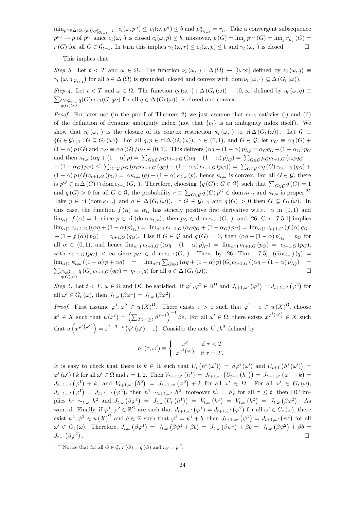$\min_{p^n \in \Delta(G_t(\omega)) : p_{|\mathcal{G}_{t+1}}^n = r_n} c_t(\omega, p^n) \leq c_t(\omega, \bar{p}^n) \leq b$  and  $\bar{p}_{|\mathcal{G}_{t+1}}^n = r_n$ . Take a convergent subsequence  $\bar{p}^{n_j} \to \bar{p}$  of  $\bar{p}^n$ , since  $c_t(\omega, \cdot)$  is closed  $c_t(\omega, \bar{p}) \leq b$ , moreover,  $\bar{p}(G) = \lim_i \bar{p}^{n_j}(G) = \lim_i r_{n_i}(G)$  $r(G)$  for all  $G \in \mathcal{G}_{t+1}$ . In turn this implies  $\gamma_t(\omega, r) \leq c_t(\omega, \bar{p}) \leq b$  and  $\gamma_t(\omega, \cdot)$  is closed.  $\Box$ 

This implies that:

Step 3. Let  $t < T$  and  $\omega \in \Omega$ . The function  $\nu_t(\omega, \cdot) : \Delta(\Omega) \to [0, \infty]$  defined by  $\nu_t(\omega, q) \equiv$  $\gamma_t(\omega, q_{\vert \mathcal{G}_{t+1}})$  for all  $q \in \Delta(\Omega)$  is grounded, closed and convex with dom  $\nu_t(\omega, \cdot) \subseteq \Delta(G_t(\omega))$ .

Step 4. Let  $t < T$  and  $\omega \in \Omega$ . The function  $\eta_t(\omega, \cdot) : \Delta(G_t(\omega)) \to [0, \infty]$  defined by  $\eta_t(\omega, q) \equiv$  $q(G)$ >0  $\sum_{G \in \mathcal{G}_{t+1}} q(G)c_{t+1}(G, q_G)$  for all  $q \in \Delta(G_t(\omega))$ , is closed and convex.

*Proof.* For later use (in the proof of Theorem 2) we just assume that  $c_{t+1}$  satisfies (i) and (ii) of the definition of dynamic ambiguity index (not that  ${c<sub>t</sub>}$ ) is an ambiguity index itself). We show that  $\eta_t(\omega, \cdot)$  is the closure of its convex restriction  $\kappa_t(\omega, \cdot)$  to ri $\Delta(G_t(\omega))$ . Let  $\mathcal{G} \equiv$  $\{G \in \mathcal{G}_{t+1} : G \subseteq G_t(\omega)\}\$ . For all  $q, p \in \text{ri}\,\Delta(G_t(\omega)), \alpha \in (0,1),$  and  $G \in \mathcal{G}$ , let  $\mu_G \equiv \alpha q(G) + \alpha$  $(1 - \alpha) p(G)$  and  $\alpha_G \equiv \alpha q(G) / \mu_G \in (0, 1)$ . This delivers  $(\alpha q + (1 - \alpha) p)_G = \alpha_G q_G + (1 - \alpha_G) p_G$ and then  $\kappa_{t,\omega}$   $(\alpha q + (1 - \alpha) p) = \sum_{G \in \mathcal{G}} \mu_G c_{t+1,G} ((\alpha q + (1 - \alpha) p)_G) = \sum_{G \in \mathcal{G}} \mu_G c_{t+1,G} (\alpha_G q_G)$  $+(1-\alpha_G) p_G \leq \sum_{G \in \mathcal{G}} \mu_G (\alpha_G c_{t+1,G}(q_G) + (1-\alpha_G) c_{t+1,G}(p_G)) = \sum_{G \in \mathcal{G}} \alpha_q(G) c_{t+1,G}(q_G) +$  $(1 - \alpha) p(G) c_{t+1,G} (p_G) = \alpha \kappa_{t,\omega} (q) + (1 - \alpha) \kappa_{t,\omega} (p)$ , hence  $\kappa_{t,\omega}$  is convex. For all  $G \in \mathcal{G}$ , there is  $p^G \in \text{ri } \Delta(G) \cap \text{dom } c_{t+1}(G, \cdot)$ . Therefore, choosing  $\{q(G) : G \in \mathcal{G}\}\$  such that  $\sum_{G \in \mathcal{G}} q(G) = 1$ and  $q(G) > 0$  for all  $G \in \mathcal{G}$ , the probability  $r \equiv \sum_{G \in \mathcal{G}} q(G) p^G \in \text{dom } \kappa_{t,\omega}$  and  $\kappa_{t,\omega}$  is proper.<sup>25</sup> Take  $p \in \text{ri}(\text{dom }\kappa_{t,\omega})$  and  $q \in \Delta(G_t(\omega))$ . If  $G \in \mathcal{G}_{t+1}$  and  $q(G) > 0$  then  $G \subseteq G_t(\omega)$ . In this case, the function  $f(\alpha) \equiv \alpha_G$  has strictly positive first derivative w.r.t.  $\alpha$  in  $(0,1)$  and  $\lim_{\alpha \uparrow 1} f(\alpha) = 1$ ; since  $p \in \text{ri}(\text{dom } \kappa_{t,\omega})$ , then  $p_G \in \text{dom } c_{t+1}(G, \cdot)$ , and [26, Cor. 7.5.1] implies  $\lim_{\alpha \uparrow 1} c_{t+1,G} ((\alpha q + (1 - \alpha) p)_G) = \lim_{\alpha \uparrow 1} c_{t+1,G} (\alpha_G q_G + (1 - \alpha_G) p_G) = \lim_{\alpha \uparrow 1} c_{t+1,G} (f(\alpha) q_G)$  $+(1-f(\alpha))p_G) = c_{t+1,G}(q_G)$ . Else if  $G \in \mathcal{G}$  and  $q(G)=0$ , then  $(\alpha q + (1-\alpha)p)_G = p_G$  for all  $\alpha \in (0,1)$ , and hence  $\lim_{\alpha \uparrow 1} c_{t+1,G} ((\alpha q + (1-\alpha) p)_G) = \lim_{\alpha \uparrow 1} c_{t+1,G} (p_G) = c_{t+1,G} (p_G)$ , with  $c_{t+1,G}$   $(p_G) < \infty$  since  $p_G \in \text{dom } c_{t+1}(G, \cdot)$ . Then, by [26, Thm. 7.5],  $(\overline{\text{co}} \kappa_{t,\omega})(q)$  =  $\lim_{\alpha \uparrow 1} \kappa_{t,\omega} ((1-\alpha)p + \alpha q) = \lim_{\alpha \uparrow 1} \sum_{G \in \mathcal{G}} (\alpha q + (1-\alpha)p) (G)c_{t+1,G} ((\alpha q + (1-\alpha)p)_{G}) =$  $\sum_{G \in \mathcal{G}_{t+1}} q(G) c_{t+1,G} (q_G) = \eta_{t,\omega}(q)$  for all  $q \in \Delta(G_t(\omega))$ .  $q(G)$ >0

Step 5. Let  $t < T$ ,  $\omega \in \Omega$  and DC be satisfied. If  $\varphi^1, \varphi^2 \in \mathbb{R}^{\Omega}$  and  $J_{t+1,\omega'}(\varphi^1) = J_{t+1,\omega'}(\varphi^2)$  for all  $\omega' \in G_t(\omega)$ , then  $J_{t,\omega}(\beta \varphi^1) = J_{t,\omega}(\beta \varphi^2)$ .

*Proof.* First assume  $\varphi^1, \varphi^2 \in u(X)^{\Omega}$ . There exists  $\varepsilon > 0$  such that  $\varphi^i - \varepsilon \in u(X)^{\Omega}$ , choose  $x^{\varepsilon} \in X$  such that  $u(x^{\varepsilon}) = (\sum_{T > \tau \geq t} \beta^{\tau-t})^{-1} \beta \varepsilon$ . For all  $\omega' \in \Omega$ , there exists  $x^{\varphi^{i}(\omega')} \in X$  such that  $u(x^{\varphi^{i}(\omega')}) = \beta^{1-T+t} (\varphi^{i}(\omega') - \varepsilon)$ . Consider the acts  $h^{1}, h^{2}$  defined by

$$
h^{i}(\tau,\omega') \equiv \begin{cases} x^{\varepsilon} & \text{if } \tau < T \\ x^{\varphi^{i}(\omega')} & \text{if } \tau = T. \end{cases}
$$

It is easy to check that there is  $k \in \mathbb{R}$  such that  $U_t(h^i(\omega')) = \beta \varphi^i(\omega')$  and  $U_{t+1}(h^i(\omega')) =$  $\varphi^{i}(\omega') + k$  for all  $\omega' \in \Omega$  and  $i = 1, 2$ . Then  $V_{t+1,\omega'}(h^{1}) = J_{t+1,\omega'}(U_{t+1}(h^{1})) = J_{t+1,\omega'}(\varphi^{1} + k) =$  $J_{t+1,\omega'}(\varphi^1) + k$ , and  $V_{t+1,\omega'}(h^2) = J_{t+1,\omega'}(\varphi^2) + k$  for all  $\omega' \in \Omega$ . For all  $\omega' \in G_t(\omega)$ ,  $J_{t+1,\omega'}\left(\varphi^1\right) = J_{t+1,\omega'}\left(\varphi^2\right)$ , then  $h^1 \sim_{t+1,\omega'} h^2$ ; moreover  $h^1_\tau = h^2_\tau$  for all  $\tau \leq t$ , then DC implies  $h^1 \sim_{t,\omega} h^2$  and  $J_{t,\omega}(\beta \varphi^1) = J_{t,\omega}(U_t(h^1)) = V_{t,\omega}(h^1) = V_{t,\omega}(h^2) = J_{t,\omega}(\beta \varphi^2)$ . As wanted. Finally, if  $\varphi^1, \varphi^2 \in \mathbb{R}^{\Omega}$  are such that  $J_{t+1,\omega'}(\varphi^1) = J_{t+1,\omega'}(\varphi^2)$  for all  $\omega' \in G_t(\omega)$ , there exist  $\psi^1, \psi^2 \in u(X)^{\Omega}$  and  $b \in \mathbb{R}$  such that  $\varphi^i = \psi^i + b$ , then  $J_{t+1,\omega'}(\psi^1) = J_{t+1,\omega'}(\psi^2)$  for all  $\omega' \in G_t(\omega)$ . Therefore,  $J_{t,\omega}(\beta \varphi^1) = J_{t,\omega}(\beta \psi^1 + \beta b) = J_{t,\omega}(\beta \psi^1) + \beta b = J_{t,\omega}(\beta \psi^2) + \beta b =$  $J_{t,\omega}(\beta \varphi^2)$ . The contract of the contract of the contract of the contract of the contract of the contract of the contract of the contract of the contract of the contract of the contract of the contract of the contract of the contrac

<sup>&</sup>lt;sup>25</sup> Notice that for all  $G \in \mathcal{G}$ ,  $r(G) = q(G)$  and  $r_G = p^G$ .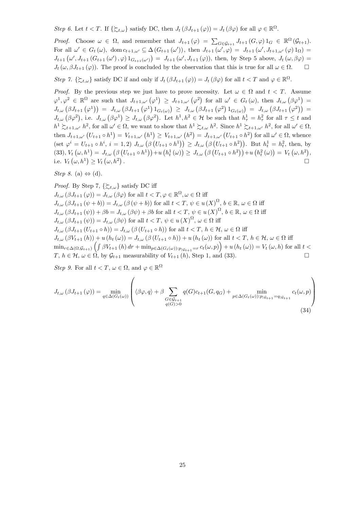Step 6. Let  $t < T$ . If  $\{\succsim_{t,\omega}\}$  satisfy DC, then  $J_t(\beta J_{t+1}(\varphi)) = J_t(\beta \varphi)$  for all  $\varphi \in \mathbb{R}^{\Omega}$ .

Proof. Choose  $\omega \in \Omega$ , and remember that  $J_{t+1}(\varphi) = \sum_{G \in \mathcal{G}_{t+1}} J_{t+1}(G, \varphi) 1_G \in \mathbb{R}^{\Omega}(\mathcal{G}_{t+1}).$ For all  $\omega' \in G_t(\omega)$ , dom  $c_{t+1,\omega'} \subseteq \Delta(G_{t+1}(\omega'))$ , then  $J_{t+1}(\omega', \varphi) = J_{t+1}(\omega', J_{t+1,\omega'}(\varphi) 1_{\Omega}) =$  $J_{t+1}(\omega', J_{t+1}(G_{t+1}(\omega'), \varphi) 1_{G_{t+1}(\omega')}) = J_{t+1}(\omega', J_{t+1}(\varphi)),$  then, by Step 5 above,  $J_t(\omega, \beta \varphi) =$  $J_t(\omega, \beta J_{t+1}(\varphi))$ . The proof is concluded by the observation that this is true for all  $\omega \in \Omega$ .  $\Box$ 

Step 7.  $\{\succsim t, \omega\}$  satisfy DC if and only if  $J_t(\beta J_{t+1}(\varphi)) = J_t(\beta \varphi)$  for all  $t < T$  and  $\varphi \in \mathbb{R}^{\Omega}$ .

*Proof.* By the previous step we just have to prove necessity. Let  $\omega \in \Omega$  and  $t < T$ . Assume  $\varphi^1, \varphi^2 \in \mathbb{R}^{\Omega}$  are such that  $J_{t+1,\omega'}(\varphi^1) \geq J_{t+1,\omega'}(\varphi^2)$  for all  $\omega' \in G_t(\omega)$ , then  $J_{t,\omega}(\beta \varphi^1) =$  $J_{t,\omega}(\beta J_{t+1}(\varphi^1)) = J_{t,\omega}(\beta J_{t+1}(\varphi^1) 1_{G_t(\omega)}) \geq J_{t,\omega}(\beta J_{t+1}(\varphi^2) 1_{G_t(\omega)}) = J_{t,\omega}(\beta J_{t+1}(\varphi^2)) =$  $J_{t,\omega}(\beta \varphi^2)$ , i.e.  $J_{t,\omega}(\beta \varphi^1) \geq J_{t,\omega}(\beta \varphi^2)$ . Let  $h^1, h^2 \in \mathcal{H}$  be such that  $h^1_{\tau} = h^2_{\tau}$  for all  $\tau \leq t$  and  $h^1 \succsim_{t+1,\omega} h^2$ , for all  $\omega' \in \Omega$ , we want to show that  $h^1 \succsim_{t,\omega} h^2$ . Since  $h^1 \succsim_{t+1,\omega'} h^2$ , for all  $\omega' \in \Omega$ , then  $J_{t+1,\omega'}(U_{t+1} \circ h^1) = V_{t+1,\omega'}(h^1) \geq V_{t+1,\omega'}(h^2) = J_{t+1,\omega'}(U_{t+1} \circ h^2)$  for all  $\omega' \in \Omega$ , whence  $(\text{set } \varphi^i = U_{t+1} \circ h^i, i = 1, 2) \ J_{t,\omega}(\beta \left( U_{t+1} \circ h^1 \right)) \geq J_{t,\omega}(\beta \left( U_{t+1} \circ h^2 \right))$ . But  $h_t^1 = h_t^2$ , then, by (33),  $V_t(\omega, h^1) = J_{t,\omega}(\beta(U_{t+1} \circ h^1)) + u(h_t^1(\omega)) \geq J_{t,\omega}(\beta(U_{t+1} \circ h^2)) + u(h_t^2(\omega)) = V_t(\omega, h^2),$ i.e.  $V_t(\omega, h^1) \geq V_t(\omega, h^2)$ . The contract of the contract of the contract of the contract of  $\Box$ 

Step 8. (a)  $\Leftrightarrow$  (d).

*Proof.* By Step 7, 
$$
\{\succ_{t,\omega}\}
$$
 satisfy DC iff  
\n
$$
J_{t,\omega}(\beta J_{t+1}(\varphi)) = J_{t,\omega}(\beta \varphi)
$$
 for all  $t < T, \varphi \in \mathbb{R}^{\Omega}, \omega \in \Omega$  iff  
\n
$$
J_{t,\omega}(\beta J_{t+1}(\psi + b)) = J_{t,\omega}(\beta(\psi + b))
$$
 for all  $t < T, \psi \in u(X)^{\Omega}, b \in \mathbb{R}, \omega \in \Omega$  iff  
\n
$$
J_{t,\omega}(\beta J_{t+1}(\psi)) + \beta b = J_{t,\omega}(\beta \psi) + \beta b
$$
 for all  $t < T, \psi \in u(X)^{\Omega}, b \in \mathbb{R}, \omega \in \Omega$  iff  
\n
$$
J_{t,\omega}(\beta J_{t+1}(\psi)) = J_{t,\omega}(\beta \psi)
$$
 for all  $t < T, \psi \in u(X)^{\Omega}, \omega \in \Omega$  iff  
\n
$$
J_{t,\omega}(\beta J_{t+1}(U_{t+1} \circ h)) = J_{t,\omega}(\beta(U_{t+1} \circ h))
$$
 for all  $t < T, h \in \mathcal{H}, \omega \in \Omega$  iff  
\n
$$
J_{t,\omega}(\beta V_{t+1}(h)) + u(h_t(\omega)) = J_{t,\omega}(\beta(U_{t+1} \circ h)) + u(h_t(\omega))
$$
 for all  $t < T, h \in \mathcal{H}, \omega \in \Omega$  iff  
\n
$$
\min_{r \in \Delta(\Omega, \mathcal{G}_{t+1})} \left( \int \beta V_{t+1}(h) dr + \min_{p \in \Delta(G_t(\omega)) : p_{|\mathcal{G}_{t+1}} = r} c_t(\omega, p) \right) + u(h_t(\omega)) = V_t(\omega, h)
$$
 for all  $t < T, h \in \mathcal{H}, \omega \in \Omega$ , by  $\mathcal{G}_{t+1}$  measurable of  $V_{t+1}(h)$ , Step 1, and (33).

Step 9. For all  $t < T$ ,  $\omega \in \Omega$ , and  $\varphi \in \mathbb{R}^{\Omega}$ 

$$
J_{t,\omega}(\beta J_{t+1}(\varphi)) = \min_{q \in \Delta(G_t(\omega))} \left( \langle \beta \varphi, q \rangle + \beta \sum_{\substack{G \in \mathcal{G}_{t+1} \\ q(G) > 0}} q(G)c_{t+1}(G, q_G) + \min_{p \in \Delta(G_t(\omega)) : p_{|\mathcal{G}_{t+1}} = q_{|\mathcal{G}_{t+1}}} c_t(\omega, p) \right)
$$
\n(34)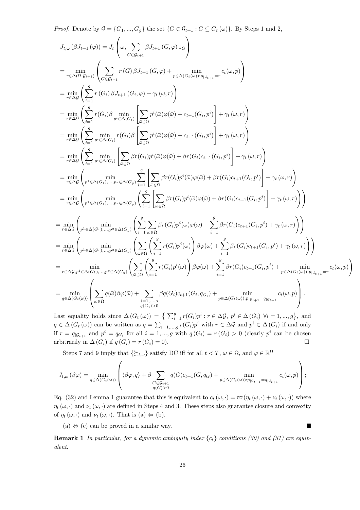*Proof.* Denote by  $\mathcal{G} = \{G_1, ..., G_g\}$  the set  $\{G \in \mathcal{G}_{t+1} : G \subseteq G_t(\omega)\}$ . By Steps 1 and 2,

$$
J_{t,\omega}(\beta J_{t+1}(\varphi)) = J_{t}\left(\omega, \sum_{G \in \mathcal{G}_{t+1}} \beta J_{t+1}(G,\varphi) 1_G\right)
$$
\n
$$
= \min_{r \in \Delta(G, \mathcal{G}_{t+1})} \left( \sum_{G \in \mathcal{G}_{t+1}} r(G) \beta J_{t+1}(G,\varphi) + \sum_{p \in \Delta(G, \{\omega\})} \min_{r|g_{\{t+1\}} = r} c_{t}(\omega, p) \right)
$$
\n
$$
= \min_{r \in \Delta(G)} \left( \sum_{i=1}^{g} r(G_{i}) \beta J_{t+1}(G_{i},\varphi) + \gamma_{t}(\omega,r) \right)
$$
\n
$$
= \min_{r \in \Delta(G)} \left( \sum_{i=1}^{g} \min_{p' \in \Delta(G_{i})} r(G_{i}) \beta \left[ \sum_{\omega \in \Omega} p^{i}(\bar{\omega}) \varphi(\bar{\omega}) + c_{t+1}(G_{i},p^{i}) \right] + \gamma_{t}(\omega,r) \right)
$$
\n
$$
= \min_{r \in \Delta(G)} \left( \sum_{i=1}^{g} \min_{p' \in \Delta(G_{i})} \left[ \sum_{\omega \in \Omega} \beta^{r}(\bar{\omega}) \varphi(\bar{\omega}) + c_{t+1}(G_{i},p^{i}) \right] + \gamma_{t}(\omega,r) \right)
$$
\n
$$
= \min_{r \in \Delta(G)} \left( \sum_{i=1}^{g} \min_{p' \in \Delta(G_{i})} \left[ \sum_{\omega \in \Omega} \beta^{r}(G_{i}) p^{i}(\bar{\omega}) \varphi(\bar{\omega}) + \beta r(G_{i}) c_{t+1}(G_{i},p^{i}) \right] + \gamma_{t}(\omega,r) \right)
$$
\n
$$
= \min_{r \in \Delta(G)} \left( \sum_{p^{1} \in \Delta(G_{1}), \dots, p^{g} \in \Delta(G_{g})} \sum_{i=1}^{g} \left[ \sum_{\omega \in \Omega} \beta^{r}(G_{i}) p^{i}(\bar{\omega}) \varphi(\bar{\omega}) + \beta r(G_{i}) c_{t+1}(G_{i},p^{i}) \right] + \gamma_{t}(\omega,r) \right)
$$
\n
$$
= \min_{r \in \Delta(G)} \left( \sum_{p^{1
$$

Last equality holds since  $\Delta(G_t(\omega)) = \{ \sum_{i=1}^g r(G_i)p^i : r \in \Delta \mathcal{G}, p^i \in \Delta(G_i) \ \forall i = 1, ..., g \},\$ and  $q \in \Delta(G_t(\omega))$  can be written as  $q = \sum_{i=1,\dots,g} r(G_i)p^i$  with  $r \in \Delta\mathcal{G}$  and  $p^i \in \Delta(G_i)$  if and only if  $r = q_{\vert \mathcal{G}_{t+1}}$  and  $p^i = q_{G_i}$  for all  $i = 1, ..., g$  with  $q(G_i) = r(G_i) > 0$  (clearly  $p^i$  can be chosen arbitrarily in  $\Delta(G_i)$  if  $q(G_i) = r(G_i) = 0$ .

Steps 7 and 9 imply that  $\{\succcurlyeq_{t,\omega}\}$  satisfy DC iff for all  $t < T, \omega \in \Omega$ , and  $\varphi \in \mathbb{R}^{\Omega}$ 

$$
J_{t,\omega}\left(\beta\varphi\right) = \min_{q \in \Delta(G_t(\omega))}\left( \langle \beta\varphi, q \rangle + \beta \sum_{\substack{G \in \mathcal{G}_{t+1} \\ q(G) > 0}} q(G)c_{t+1}(G, q_G) + \min_{p \in \Delta(G_t(\omega)) : p_{|\mathcal{G}_{t+1}} = q_{|\mathcal{G}_{t+1}} } c_t(\omega, p) \right);
$$

Eq. (32) and Lemma 1 guarantee that this is equivalent to  $c_t(\omega, \cdot) = \overline{co}(\eta_t(\omega, \cdot) + \nu_t(\omega, \cdot))$  where  $\eta_t(\omega, \cdot)$  and  $\nu_t(\omega, \cdot)$  are defined in Steps 4 and 3. These steps also guarantee closure and convexity of  $\eta_t(\omega, \cdot)$  and  $\nu_t(\omega, \cdot)$ . That is (a)  $\Leftrightarrow$  (b).

 $(a) \Leftrightarrow (c)$  can be proved in a similar way.

**Remark 1** In particular, for a dynamic ambiguity index  $\{c_t\}$  conditions (30) and (31) are equivalent.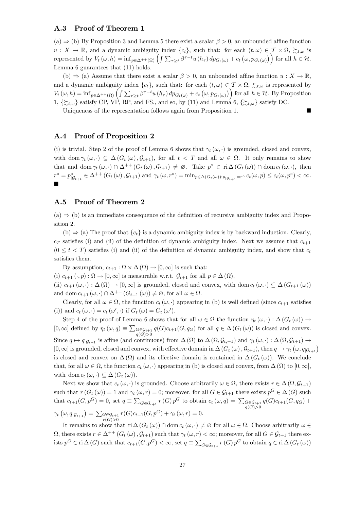#### A.3 Proof of Theorem 1

 $(a) \Rightarrow$  (b) By Proposition 3 and Lemma 5 there exist a scalar  $\beta > 0$ , an unbounded affine function  $u: X \to \mathbb{R}$ , and a dynamic ambiguity index  $\{c_t\}$ , such that: for each  $(t, \omega) \in \mathcal{T} \times \Omega$ ,  $\sum_{t,\omega}$  is represented by  $V_t(\omega, h) = \inf_{p \in \Delta^{++}(\Omega)} \left( \int \sum_{\tau \geq t} \beta^{\tau - t} u(h_\tau) dp_{G_t(\omega)} + c_t (\omega, p_{G_t(\omega)}) \right)$  for all  $h \in \mathcal{H}$ . Lemma 6 guarantees that (11) holds.

(b)  $\Rightarrow$  (a) Assume that there exist a scalar  $\beta > 0$ , an unbounded affine function  $u : X \to \mathbb{R}$ , and a dynamic ambiguity index  ${c_t}$ , such that: for each  $(t, \omega) \in \mathcal{T} \times \Omega$ ,  $\succsim t, \omega$  is represented by  $V_t(\omega, h) = \inf_{p \in \Delta^{++}(\Omega)} \left( \int \sum_{\tau \geq t} \beta^{\tau - t} u(h_\tau) dp_{G_t(\omega)} + c_t(\omega, p_{G_t(\omega)}) \right)$  for all  $h \in \mathcal{H}$ . By Proposition 1,  $\{\succcurlyeq_{t,\omega}\}$  satisfy CP, VP, RP, and FS., and so, by (11) and Lemma 6,  $\{\succcurlyeq_{t,\omega}\}$  satisfy DC.

Uniqueness of the representation follows again from Proposition 1.

### A.4 Proof of Proposition 2

(i) is trivial. Step 2 of the proof of Lemma 6 shows that  $\gamma_t(\omega, \cdot)$  is grounded, closed and convex, with dom  $\gamma_t(\omega, \cdot) \subset \Delta(G_t(\omega), \mathcal{G}_{t+1}),$  for all  $t < T$  and all  $\omega \in \Omega$ . It only remains to show that and dom  $\gamma_t(\omega, \cdot) \cap \Delta^{++}(G_t(\omega), \mathcal{G}_{t+1}) \neq \emptyset$ . Take  $p^{\circ} \in \text{ri}\,\Delta(G_t(\omega)) \cap \text{dom }c_t(\omega, \cdot)$ , then  $r^{\circ} = p^{\circ}_{|\mathcal{G}_{t+1}} \in \Delta^{++}(G_t(\omega), \mathcal{G}_{t+1})$  and  $\gamma_t(\omega, r^{\circ}) = \min_{p \in \Delta(G_t(\omega)) : p_{|\mathcal{G}_{t+1}} = r^{\circ}} c_t(\omega, p) \leq c_t(\omega, p^{\circ}) < \infty$ . ¥

### A.5 Proof of Theorem 2

 $(a) \Rightarrow (b)$  is an immediate consequence of the definition of recursive ambiguity index and Proposition 2.

(b)  $\Rightarrow$  (a) The proof that  ${c_t}$  is a dynamic ambiguity index is by backward induction. Clearly,  $c_T$  satisfies (i) and (ii) of the definition of dynamic ambiguity index. Next we assume that  $c_{t+1}$  $(0 \leq t < T)$  satisfies (i) and (ii) of the definition of dynamic ambiguity index, and show that  $c_t$ satisfies them.

By assumption,  $c_{t+1}$ :  $\Omega \times \Delta(\Omega) \rightarrow [0,\infty]$  is such that:

(i)  $c_{t+1}(\cdot, p) : \Omega \to [0, \infty]$  is measurable w.r.t.  $\mathcal{G}_{t+1}$  for all  $p \in \Delta(\Omega)$ ,

(ii)  $c_{t+1}(\omega, \cdot) : \Delta(\Omega) \to [0, \infty]$  is grounded, closed and convex, with dom  $c_t(\omega, \cdot) \subseteq \Delta(G_{t+1}(\omega))$ and dom  $c_{t+1}(\omega, \cdot) \cap \Delta^{++}(G_{t+1}(\omega)) \neq \emptyset$ , for all  $\omega \in \Omega$ .

Clearly, for all  $\omega \in \Omega$ , the function  $c_t(\omega, \cdot)$  appearing in (b) is well defined (since  $c_{t+1}$  satisfies (i)) and  $c_t(\omega, \cdot) = c_t(\omega', \cdot)$  if  $G_t(\omega) = G_t(\omega').$ 

Step 4 of the proof of Lemma 6 shows that for all  $\omega \in \Omega$  the function  $\eta_t(\omega, \cdot) : \Delta(G_t(\omega)) \to$  $[0,\infty]$  defined by  $\eta_t(\omega,q) \equiv \sum_{G \in \mathcal{G}_{t+1}} q(G)c_{t+1}(G,q_G)$  for all  $q \in \Delta(G_t(\omega))$  is closed and convex.  $q(G)$  $>$ 0 Since  $q \mapsto q_{|\mathcal{G}_{t+1}|}$  is affine (and continuous) from  $\Delta(\Omega)$  to  $\Delta(\Omega, \mathcal{G}_{t+1})$  and  $\gamma_t(\omega, \cdot) : \Delta(\Omega, \mathcal{G}_{t+1}) \to$  $[0,\infty]$  is grounded, closed and convex, with effective domain in  $\Delta(G_t(\omega), \mathcal{G}_{t+1})$ , then  $q \mapsto \gamma_t(\omega, q_{|\mathcal{G}_{t+1}})$ is closed and convex on  $\Delta(\Omega)$  and its effective domain is contained in  $\Delta(G_t(\omega))$ . We conclude that, for all  $\omega \in \Omega$ , the function  $c_t(\omega, \cdot)$  appearing in (b) is closed and convex, from  $\Delta(\Omega)$  to  $[0, \infty]$ , with dom  $c_t(\omega, \cdot) \subseteq \Delta(G_t(\omega)).$ 

Next we show that  $c_t(\omega, \cdot)$  is grounded. Choose arbitrarily  $\omega \in \Omega$ , there exists  $r \in \Delta(\Omega, \mathcal{G}_{t+1})$ such that  $r(G_t(\omega)) = 1$  and  $\gamma_t(\omega, r) = 0$ ; moreover, for all  $G \in \mathcal{G}_{t+1}$  there exists  $p^G \in \Delta(G)$  such that  $c_{t+1}(G, p^G) = 0$ , set  $q \equiv \sum_{G \in \mathcal{G}_{t+1}} r(G) p^G$  to obtain  $c_t(\omega, q) = \sum_{\substack{G \in \mathcal{G}_{t+1} \\ q(G) > 0}} q(G)c_{t+1}(G, q_G) +$  $\gamma_t(\omega, q_{|\mathcal{G}_{t+1}}) = \sum_{r(G) > 0} \epsilon_{\mathcal{G}_{t+1}} r(G) c_{t+1}(G, p^G) + \gamma_t(\omega, r) = 0.$ 

It remains to show that  $\operatorname{ri} \Delta(G_t(\omega)) \cap \text{dom } c_t(\omega, \cdot) \neq \varnothing$  for all  $\omega \in \Omega$ . Choose arbitrarily  $\omega \in \Omega$  $\Omega$ , there exists  $r \in \Delta^{++}(G_t(\omega), \mathcal{G}_{t+1})$  such that  $\gamma_t(\omega, r) < \infty$ ; moreover, for all  $G \in \mathcal{G}_{t+1}$  there exists  $p^G \in \text{ri } \Delta(G)$  such that  $c_{t+1}(G, p^G) < \infty$ , set  $q \equiv \sum_{G \in \mathcal{G}_{t+1}} r(G) p^G$  to obtain  $q \in \text{ri } \Delta(G_t(\omega))$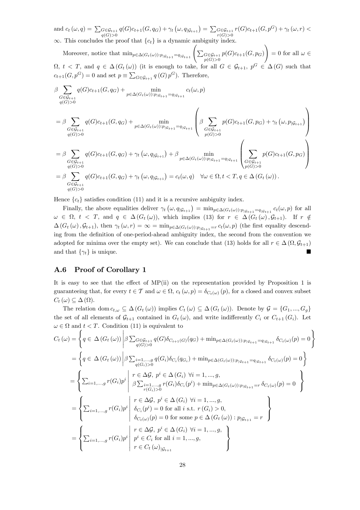and  $c_t(\omega, q) = \sum_{\substack{G \in \mathcal{G}_{t+1} \\ q(G) > 0}} q(G)c_{t+1}(G, q_G) + \gamma_t(\omega, q | \mathcal{G}_{t+1}) = \sum_{\substack{G \in \mathcal{G}_{t+1} \\ r(G) > 0}} r(G)c_{t+1}(G, p^G) + \gamma_t(\omega, r) <$  $\infty$ . This concludes the proof that  ${c_t}$  is a dynamic ambiguity index.

Moreover, notice that  $\min_{p \in \Delta(G_t(\omega)) : p_{|\mathcal{G}_{t+1}} = q_{|\mathcal{G}_{t+1}}}\left(\sum_{p(G)>0}^{G \in \mathcal{G}_{t+1}} p(G)c_{t+1}(G, p_G)\right)$ !  $= 0$  for all  $\omega \in$  $\Omega, t < T$ , and  $q \in \Delta(G_t(\omega))$  (it is enough to take, for all  $G \in \mathcal{G}_{t+1}, p^G \in \Delta(G)$  such that  $c_{t+1}(G, p^G) = 0$  and set  $p \equiv \sum_{G \in \mathcal{G}_{t+1}} q(G) p^G$ . Therefore,

$$
\beta \sum_{\substack{G \in \mathcal{G}_{t+1} \\ q(G) > 0}} q(G)c_{t+1}(G, q_G) + \min_{p \in \Delta(G_t(\omega)) : p_{|\mathcal{G}_{t+1}} = q_{|\mathcal{G}_{t+1}} } c_t(\omega, p)
$$
\n
$$
= \beta \sum_{\substack{G \in \mathcal{G}_{t+1} \\ q(G) > 0}} q(G)c_{t+1}(G, q_G) + \min_{p \in \Delta(G_t(\omega)) : p_{|\mathcal{G}_{t+1}} = q_{|\mathcal{G}_{t+1}} } \left( \beta \sum_{\substack{G \in \mathcal{G}_{t+1} \\ q(G) > 0}} p(G)c_{t+1}(G, p_G) + \gamma_t(\omega, p_{|\mathcal{G}_{t+1}}) \right)
$$
\n
$$
= \beta \sum_{\substack{G \in \mathcal{G}_{t+1} \\ q(G) > 0}} q(G)c_{t+1}(G, q_G) + \gamma_t(\omega, q_{|\mathcal{G}_{t+1}}) + \beta \min_{p \in \Delta(G_t(\omega)) : p_{|\mathcal{G}_{t+1}} = q_{|\mathcal{G}_{t+1}} } \left( \sum_{\substack{G \in \mathcal{G}_{t+1} \\ q(G) > 0}} p(G)c_{t+1}(G, p_G) \right)
$$
\n
$$
= \beta \sum_{\substack{G \in \mathcal{G}_{t+1} \\ q(G) > 0}} q(G)c_{t+1}(G, q_G) + \gamma_t(\omega, q_{|\mathcal{G}_{t+1}}) = c_t(\omega, q) \quad \forall \omega \in \Omega, t < T, q \in \Delta(G_t(\omega)).
$$

Hence  ${c_t}$  satisfies condition (11) and it is a recursive ambiguity index.

Finally, the above equalities deliver  $\gamma_t(\omega, q_{|\mathcal{G}_{t+1}}) = \min_{p \in \Delta(G_t(\omega)) : p_{|\mathcal{G}_{t+1}} = q_{|\mathcal{G}_{t+1}} c_t(\omega, p)$  for all  $\omega \in \Omega$ ,  $t < T$ , and  $q \in \Delta(G_t(\omega))$ , which implies (13) for  $r \in \Delta(G_t(\omega), \mathcal{G}_{t+1})$ . If  $r \notin$  $\Delta(G_t(\omega), \mathcal{G}_{t+1}),$  then  $\gamma_t(\omega, r) = \infty = \min_{p \in \Delta(G_t(\omega)) : p_{|\mathcal{G}_{t+1}} = r} c_t(\omega, p)$  (the first equality descending from the definition of one-period-ahead ambiguity index, the second from the convention we adopted for minima over the empty set). We can conclude that (13) holds for all  $r \in \Delta(\Omega, \mathcal{G}_{t+1})$ and that  $\{\gamma_t\}$  is unique.

### A.6 Proof of Corollary 1

It is easy to see that the effect of MP(ii) on the representation provided by Proposition 1 is guaranteeing that, for every  $t \in \mathcal{T}$  and  $\omega \in \Omega$ ,  $c_t(\omega, p) = \delta_{C_t(\omega)}(p)$ , for a closed and convex subset  $C_t(\omega) \subseteq \Delta(\Omega)$ .

The relation dom  $c_{t,\omega} \subseteq \Delta(G_t(\omega))$  implies  $C_t(\omega) \subseteq \Delta(G_t(\omega))$ . Denote by  $\mathcal{G} = \{G_1, ..., G_q\}$ the set of all elements of  $\mathcal{G}_{t+1}$  contained in  $G_t(\omega)$ , and write indifferently  $C_i$  or  $C_{t+1} (G_i)$ . Let  $\omega \in \Omega$  and  $t < T$ . Condition (11) is equivalent to

$$
C_{t}(\omega) = \left\{ q \in \Delta(G_{t}(\omega)) \middle| \beta \sum_{q(G)>0}^{r} \sum_{q(G)>0}^{r} q(G) \delta_{C_{t+1}(G)}(q_G) + \min_{p \in \Delta(G_{t}(\omega)) : p_{|\mathcal{G}_{t+1}} = q_{|\mathcal{G}_{t+1}}} \delta_{C_{t}(\omega)}(p) = 0 \right\}
$$
  
\n
$$
= \left\{ q \in \Delta(G_{t}(\omega)) \middle| \beta \sum_{i=1,\dots,g}^{r} q(G_{i}) \delta_{C_{i}}(q_G_{i}) + \min_{p \in \Delta(G_{t}(\omega)) : p_{|\mathcal{G}_{t+1}} = q_{|\mathcal{G}_{t+1}}} \delta_{C_{t}(\omega)}(p) = 0 \right\}
$$
  
\n
$$
= \left\{ \sum_{i=1,\dots,g}^{r} (G_{i}) p^{i} \middle| \beta \sum_{i=1,\dots,g}^{r} p(G_{i}) \delta_{C_{i}}(p^{i}) + \min_{p \in \Delta(G_{t}(\omega)) : p_{|\mathcal{G}_{t+1}} = r} \delta_{C_{t}(\omega)}(p) = 0 \right\}
$$
  
\n
$$
= \left\{ \sum_{i=1,\dots,g}^{r} (G_{i}) p^{i} \middle| \delta_{C_{i}}(p^{i}) = 0 \text{ for all } i \text{ s.t. } r(G_{i}) > 0, \delta_{C_{t}(\omega)}(p) = 0 \text{ for some } p \in \Delta(G_{t}(\omega)) : p_{|\mathcal{G}_{t+1}} = r \right\}
$$
  
\n
$$
= \left\{ \sum_{i=1,\dots,g}^{r} (G_{i}) p^{i} \middle| \begin{array}{l} r \in \Delta \mathcal{G}, p^{i} \in \Delta(G_{i}) \forall i = 1,\dots,g, \\ p^{i} \in C_{i} \text{ for all } i = 1,\dots,g, \\ p^{i} \in C_{i} \text{ for all } i = 1,\dots,g, \\ r \in C_{t}(\omega)_{|\mathcal{G}_{t+1}} \end{array} \right\}
$$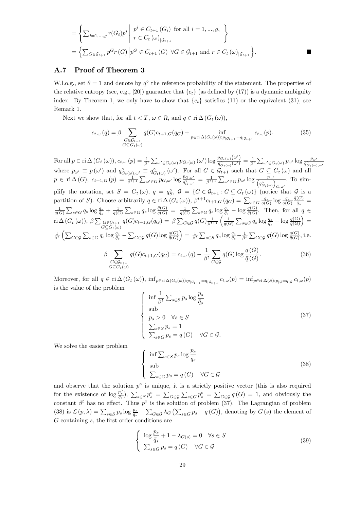$$
= \left\{ \sum_{i=1,\dots,g} r(G_i) p^i \middle| \begin{array}{l} p^i \in C_{t+1} (G_i) \text{ for all } i = 1,\dots,g, \\ r \in C_t (\omega)_{|G_{t+1}} \end{array} \right\}
$$
  
= 
$$
\left\{ \sum_{G \in G_{t+1}} p^G r(G) \middle| p^G \in C_{t+1} (G) \ \forall G \in G_{t+1} \text{ and } r \in C_t (\omega)_{|G_{t+1}} \right\}.
$$

#### A.7 Proof of Theorem 3

W.l.o.g., set  $\theta = 1$  and denote by  $q^{\circ}$  the reference probability of the statement. The properties of the relative entropy (see, e.g., [20]) guarantee that  $\{c_t\}$  (as defined by (17)) is a dynamic ambiguity index. By Theorem 1, we only have to show that  ${c<sub>t</sub>}$  satisfies (11) or the equivalent (31), see Remark 1.

Next we show that, for all  $t < T$ ,  $\omega \in \Omega$ , and  $q \in \text{ri } \Delta(G_t(\omega))$ ,

$$
c_{t,\omega}(q) = \beta \sum_{\substack{G \in \mathcal{G}_{t+1} \\ G \subseteq G_t(\omega)}} q(G)c_{t+1,G}(q_G) + \inf_{p \in \text{ri}\,\Delta(G_t(\omega)) : p_{|\mathcal{G}_{t+1}} = q_{|\mathcal{G}_{t+1}}} c_{t,\omega}(p). \tag{35}
$$

For all  $p \in \text{ri } \Delta(G_t(\omega)), c_{t,\omega}(p) = \frac{1}{\beta^t} \sum_{\omega' \in G_t(\omega)} p_{G_t(\omega)}(\omega') \log \frac{p_{G_t(\omega)}(\omega')}{q_{G_t(\omega)}^2(\omega')}$ For all  $p \in \text{ri}\,\Delta(G_t(\omega))$ ,  $c_{t,\omega}(p) = \frac{1}{\beta^t} \sum_{\omega' \in G_t(\omega)} p_{G_t(\omega)}(\omega') \log \frac{p_{G_t(\omega)}(\omega')}{q_{G_t(\omega)}^{\circ}(\omega')} = \frac{1}{\beta^t} \sum_{\omega' \in G_t(\omega)} p_{\omega'} \log \frac{p_{\omega'}}{q_{G_t(\omega),\omega'}}$ <br>where  $p_{\omega'} \equiv p(\omega')$  and  $q_{G_t(\omega),\omega'}^{\circ} \equiv q_{G_t(\omega)}^{\circ}(\omega')$ . For all  $G \$  $p \in \text{ri}\,\Delta(G),\ c_{t+1,G}(p) = \frac{1}{\beta^{t+1}} \sum_{\omega' \in G} p_{G,\omega'} \log \frac{p_{G,\omega'}}{q_{G,\omega'}^{\circ}} = \frac{1}{\beta^{t+1}} \sum_{\omega' \in G} p_{\omega'} \log \frac{p_{\omega'}}{(q_{G_t(\omega)}^{\circ})}$  $G,\omega'$ . To simplify the notation, set  $S = G_t(\omega)$ ,  $\bar{q} = q_S^{\circ}$ ,  $\mathcal{G} = \{G \in \mathcal{G}_{t+1} : G \subseteq G_t(\omega)\}\$  (notice that  $\mathcal{G}$  is a partition of S). Choose arbitrarily  $q \in \text{ri}\,\Delta(G_t(\omega))$ ,  $\beta^{t+1}c_{t+1,G}(q_G) = \sum_{s \in G} \frac{q_s}{q(G)} \log \frac{q_s}{q(G)}$  $\frac{\bar{q}(G)}{\bar{q}_s} =$  $\frac{1}{q(G)}\sum_{s\in G}q_s\log\frac{q_s}{\bar{q}_s}+\frac{1}{q(G)}\sum_{s\in G}q_s\log\frac{\bar{q}(G)}{q(G)} = \frac{1}{q(G)}\sum_{s\in G}q_s\log\frac{q_s}{\bar{q}_s}-\log\frac{q(G)}{\bar{q}(G)}$ . Then, for all  $q \in$ ri  $\Delta(G_t(\omega)), \beta \sum_{G \in \mathcal{G}_{t+1}}$  $G \subseteq G_t(\omega)$  $q(G)c_{t+1,G}(q_G) = \beta \sum_{G \in \mathcal{G}} q(G) \frac{1}{\beta^{t+1}} \left( \frac{1}{q(G)} \sum_{s \in G} q_s \log \frac{q_s}{\bar{q}_s} - \log \frac{q(G)}{\bar{q}(G)} \right)$  $) =$  $\frac{1}{\beta^t} \left( \sum_{G \in \mathcal{G}} \sum_{s \in G} q_s \log \frac{q_s}{\bar{q}_s} - \sum_{G \in \mathcal{G}} q(G) \log \frac{q(G)}{\bar{q}(G)} \right)$  $=\frac{1}{\beta^t} \sum_{s \in S} q_s \log \frac{q_s}{\bar{q}_s} - \frac{1}{\beta^t} \sum_{G \in \mathcal{G}} q(G) \log \frac{q(G)}{\bar{q}(G)},$  i.e.  $\beta$   $\sum$  $G \in \mathcal{G}_{t+1}$  $G \subseteq G_t(\omega)$  $q(G)c_{t+1,G}(q_G) = c_{t,\omega}(q) - \frac{1}{\beta^t}$  $\sqrt{ }$ G∈G  $q(G) \log \frac{q\left(G\right)}{\bar{q}\left(G\right)}$ . (36)

Moreover, for all  $q \in \text{ri } \Delta(G_t(\omega))$ ,  $\inf_{p \in \text{ri } \Delta(G_t(\omega)) : p_{|\mathcal{G}_{t+1}} = q_{|\mathcal{G}_{t+1}|}} c_{t,\omega}(p) = \inf_{p \in \text{ri } \Delta(S) : p_{|\mathcal{G}} = q_{|\mathcal{G}} c_{t,\omega}(p)}$ is the value of the problem  $\sqrt{ }$ 

$$
\begin{cases}\n\inf \frac{1}{\beta^t} \sum_{s \in S} p_s \log \frac{p_s}{\bar{q}_s} \\
\text{sub} \\
p_s > 0 \quad \forall s \in S \\
\sum_{s \in S} p_s = 1 \\
\sum_{s \in G} p_s = q(G) \quad \forall G \in \mathcal{G}.\n\end{cases}
$$
\n(37)

We solve the easier problem

$$
\begin{cases} \inf \sum_{s \in S} p_s \log \frac{p_s}{\bar{q}_s} \\ \text{sub} \\ \sum_{s \in G} p_s = q(G) \quad \forall G \in \mathcal{G} \end{cases}
$$
 (38)

and observe that the solution  $p^{\circ}$  is unique, it is a strictly positive vector (this is also required for the existence of  $\log \frac{p_s^{\circ}}{\bar{q}_s}$ ,  $\sum_{s \in S} p_s^{\circ} = \sum_{G \in \mathcal{G}} \sum_{s \in G} p_s^{\circ} = \sum_{G \in \mathcal{G}} q(G) = 1$ , and obviously the constant  $\beta^t$  has no effect. Thus  $p^{\circ}$  is the solution of problem (37). The Lagrangian of problem (38) is  $\mathcal{L}(p,\lambda) = \sum_{s \in S} p_s \log \frac{p_s}{\bar{q}_s} - \sum_{G \in \mathcal{G}} \lambda_G \left( \sum_{s \in G} p_s - q(G) \right)$ , denoting by  $G(s)$  the element of G containing s, the first order conditions are

$$
\begin{cases}\n\log \frac{p_s}{\bar{q}_s} + 1 - \lambda_{G(s)} = 0 & \forall s \in S \\
\sum_{s \in G} p_s = q(G) & \forall G \in \mathcal{G}\n\end{cases}
$$
\n(39)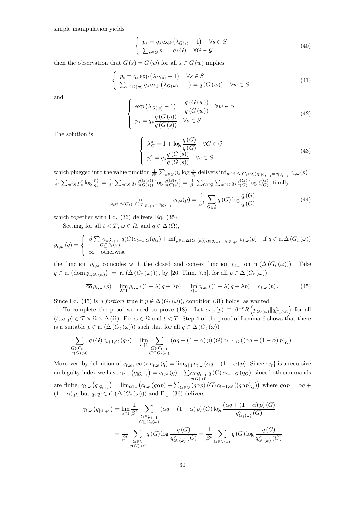simple manipulation yields

$$
\begin{cases}\n p_s = \bar{q}_s \exp\left(\lambda_{G(s)} - 1\right) & \forall s \in S \\
 \sum_{s \in G} p_s = q(G) & \forall G \in \mathcal{G}\n\end{cases}
$$
\n(40)

then the observation that  $G(s) = G(w)$  for all  $s \in G(w)$  implies

$$
\begin{cases}\n p_s = \bar{q}_s \exp\left(\lambda_{G(s)} - 1\right) & \forall s \in S \\
 \sum_{s \in G(w)} \bar{q}_s \exp\left(\lambda_{G(w)} - 1\right) = q\left(G(w)\right) & \forall w \in S\n\end{cases}
$$
\n(41)

and

$$
\begin{cases}\n\exp\left(\lambda_{G(w)} - 1\right) = \frac{q\left(G\left(w\right)\right)}{\bar{q}\left(G\left(w\right)\right)} & \forall w \in S \\
p_s = \bar{q}_s \frac{q\left(G\left(s\right)\right)}{\bar{q}\left(G\left(s\right)\right)} & \forall s \in S.\n\end{cases}\n\tag{42}
$$

The solution is

$$
\begin{cases}\n\lambda_G^{\circ} = 1 + \log \frac{q(G)}{\bar{q}(G)} & \forall G \in \mathcal{G} \\
p_s^{\circ} = \bar{q}_s \frac{q(G(s))}{\bar{q}(G(s))} & \forall s \in S\n\end{cases}
$$
\n(43)

which plugged into the value function  $\frac{1}{\beta^t} \sum_{s \in S} p_s \log \frac{p_s}{q_s}$  delivers  $\inf_{p \in \text{ri } \Delta(G_t(\omega)) : p_{|\mathcal{G}_{t+1}} = q_{|\mathcal{G}_{t+1}|}} c_{t,\omega}(p) =$  $\frac{1}{\beta^t} \sum_{s \in S} p_s^{\circ} \log \frac{p_s^{\circ}}{\bar{q}_s} = \frac{1}{\beta^t} \sum_{s \in S} \bar{q}_s \frac{q(G(s))}{\bar{q}(G(s))} \log \frac{q(G(s))}{\bar{q}(G(s))} = \frac{1}{\beta^t} \sum_{G \in \mathcal{G}} \sum_{s \in G} \bar{q}_s \frac{q(G)}{\bar{q}(G)} \log \frac{q(G)}{\bar{q}(G)},$ finally

$$
\inf_{p \in \text{ri}\,\Delta(G_t(\omega)): p_{|\mathcal{G}_{t+1}} = q_{|\mathcal{G}_{t+1}}} c_{t,\omega}(p) = \frac{1}{\beta^t} \sum_{G \in \mathcal{G}} q(G) \log \frac{q(G)}{\bar{q}(G)}
$$
(44)

which together with Eq. (36) delivers Eq. (35).

Setting, for all  $t < T$ ,  $\omega \in \Omega$ , and  $q \in \Delta(\Omega)$ ,

$$
\varrho_{t,\omega}(q) = \begin{cases} \beta \sum_{G \in \mathcal{G}_{t+1}} q(G)c_{t+1,G}(q_G) + \inf_{p \in \text{ri}\,\Delta(G_t(\omega)) : p_{|\mathcal{G}_{t+1}} = q_{|\mathcal{G}_{t+1}} c_{t,\omega}(p) & \text{if } q \in \text{ri}\,\Delta(G_t(\omega)) \\ \infty & \text{otherwise} \end{cases}
$$

the function  $\rho_{t,\omega}$  coincides with the closed and convex function  $c_{t,\omega}$  on ri  $(\Delta(G_t(\omega)))$ . Take  $q \in \text{ri} \left(\text{dom } \varrho_{t, G_t(\omega)}\right) = \text{ri} \left(\Delta \left(G_t \left(\omega\right)\right)\right), \text{ by } [26, \text{ Thm. 7.5}], \text{ for all } p \in \Delta \left(G_t \left(\omega\right)\right),$ 

$$
\overline{\text{co}}\,\varrho_{t,\omega}(p) = \lim_{\lambda \uparrow 1} \varrho_{t,\omega} \left( (1 - \lambda) \, q + \lambda p \right) = \lim_{\lambda \uparrow 1} c_{t,\omega} \left( (1 - \lambda) \, q + \lambda p \right) = c_{t,\omega}(p) \,. \tag{45}
$$

Since Eq. (45) is a fortiori true if  $p \notin \Delta(G_t(\omega))$ , condition (31) holds, as wanted.

To complete the proof we need to prove (18). Let  $c_{t,\omega}(p) \equiv \beta^{-t} R \left( p_{G_t(\omega)} \| q_{G_t(\omega)}^{\circ} \right)$ ) for all  $(t, \omega, p) \in \mathcal{T} \times \Omega \times \Delta(\Omega)$ . Fix  $\omega \in \Omega$  and  $t < T$ . Step 4 of the proof of Lemma 6 shows that there is a suitable  $p \in \text{ri } (\Delta(G_t(\omega)))$  such that for all  $q \in \Delta(G_t(\omega))$ 

$$
\sum_{\substack{G \in \mathcal{G}_{t+1} \\ q(G) > 0}} q(G) c_{t+1,G} (q_G) = \lim_{\substack{\alpha \uparrow 1 \\ G \subseteq G_t(\omega)}} \sum_{\substack{( \alpha q + (1 - \alpha) p) (G) \\ G \subseteq G_t(\omega)}} (\alpha q + (1 - \alpha) p) (G) c_{t+1,G} ((\alpha q + (1 - \alpha) p)_{G}).
$$

Moreover, by definition of  $c_{t,\omega}$ ,  $\infty > c_{t,\omega}$   $(q) = \lim_{\alpha \uparrow 1} c_{t,\omega}$   $(\alpha q + (1 - \alpha) p)$ . Since  $\{c_t\}$  is a recursive ambiguity index we have  $\gamma_{t,\omega}(q)$   $q_{\mathcal{G}_{t+1}} = c_{t,\omega}(q) - \sum_{q \in \mathcal{G}_{t+1}} q(q) c_{t+1,G}(q)$ , since both summands are finite,  $\gamma_{t,\omega}(q_{|\mathcal{G}_{t+1}}) = \lim_{\alpha \uparrow 1} (c_{t,\omega}(q\alpha p) - \sum_{G \in \mathcal{G}} (q\alpha p)(G) c_{t+1,G}((q\alpha p)_G))$  where  $q\alpha p = \alpha q +$  $(1 - \alpha)p$ , but  $q\alpha p \in \text{ri} (\Delta(G_t(\omega)))$  and Eq. (36) delivers

$$
\gamma_{t,\omega}(q_{|\mathcal{G}_{t+1}}) = \lim_{\alpha \uparrow 1} \frac{1}{\beta^t} \sum_{\substack{G \in \mathcal{G}_{t+1} \\ G \subseteq G_t(\omega)}} (\alpha q + (1 - \alpha) p) (G) \log \frac{(\alpha q + (1 - \alpha) p) (G)}{q_{G_t(\omega)}^{\circ} (G)}
$$

$$
= \frac{1}{\beta^t} \sum_{\substack{G \in \mathcal{G} \\ q(G) > 0}} q(G) \log \frac{q(G)}{q_{G_t(\omega)}^{\circ} (G)} = \frac{1}{\beta^t} \sum_{G \in \mathcal{G}_{t+1}} q(G) \log \frac{q(G)}{q_{G_t(\omega)}^{\circ} (G)}
$$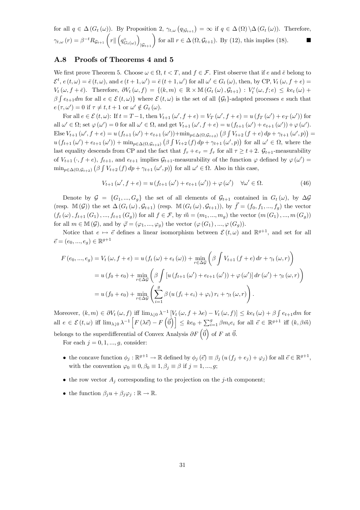for all  $q \in \Delta(G_t(\omega))$ . By Proposition 2,  $\gamma_{t,\omega}(q_{\vert \mathcal{G}_{t+1}}) = \infty$  if  $q \in \Delta(\Omega) \setminus \Delta(G_t(\omega))$ . Therefore,  $\gamma_{t,\omega}\left(r\right)=\beta^{-t}R_{\mathcal{G}_{t+1}}\left(r\|\left(q_{G_{t}(\omega)}^{\circ}\right)\right)$  $\Big|_{\mathcal{G}_{t+1}}\Big)$  for all  $r \in \Delta(\Omega, \mathcal{G}_{t+1})$ . By (12), this implies (18).

### A.8 Proofs of Theorems 4 and 5

We first prove Theorem 5. Choose  $\omega \in \Omega$ ,  $t < T$ , and  $f \in \mathcal{F}$ . First observe that if e and  $\bar{e}$  belong to  $\mathcal{E}^{t}$ ,  $e(t,\omega)=\bar{e}(t,\omega)$ , and  $e(t+1,\omega')=\bar{e}(t+1,\omega')$  for all  $\omega'\in G_t(\omega)$ , then, by CP,  $V_t(\omega, f+e)=$  $V_t(\omega, f + \bar{e})$ . Therefore,  $\partial V_t(\omega, f) = \{(k,m) \in \mathbb{R} \times \mathbb{M} (G_t(\omega), G_{t+1}) : V'_t(\omega, f; e) \leq ke_t(\omega) + \epsilon\}$  $\beta \int e_{t+1}dm$  for all  $e \in \mathcal{E}(t,\omega)$  where  $\mathcal{E}(t,\omega)$  is the set of all  $\{\mathcal{G}_t\}$ -adapted processes e such that  $e(\tau, \omega') = 0$  if  $\tau \neq t, t + 1$  or  $\omega' \notin G_t(\omega)$ .

For all  $e \in \mathcal{E}(t, \omega)$ : If  $t = T - 1$ , then  $V_{t+1}(\omega', f + e) = V_T(\omega', f + e) = u(f_T(\omega') + e_T(\omega'))$  for all  $\omega' \in \Omega$ ; set  $\varphi(\omega') = 0$  for all  $\omega' \in \Omega$ , and get  $V_{t+1}(\omega', f+e) = u(f_{t+1}(\omega') + e_{t+1}(\omega')) + \varphi(\omega').$ Else  $V_{t+1}(\omega', f+e) = u(f_{t+1}(\omega') + e_{t+1}(\omega')) + \min_{p \in \Delta(\Omega, \mathcal{G}_{t+2})} (\beta \int V_{t+2}(f+e) dp + \gamma_{t+1}(\omega', p)) =$  $u(f_{t+1}(\omega') + e_{t+1}(\omega')) + \min_{p \in \Delta(\Omega, \mathcal{G}_{t+2})} (\beta \int V_{t+2}(f) dp + \gamma_{t+1}(\omega', p))$  for all  $\omega' \in \Omega$ , where the last equality descends from CP and the fact that  $f_\tau + e_\tau = f_\tau$  for all  $\tau \geq t+2$ .  $\mathcal{G}_{t+1}$ -measurability of  $V_{t+1}(\cdot, f+e)$ ,  $f_{t+1}$ , and  $e_{t+1}$  implies  $\mathcal{G}_{t+1}$ -measurability of the function  $\varphi$  defined by  $\varphi(\omega') =$  $\min_{p \in \Delta(\Omega, \mathcal{G}_{t+2})} (\beta \int V_{t+2}(f) dp + \gamma_{t+1}(\omega', p))$  for all  $\omega' \in \Omega$ . Also in this case,

$$
V_{t+1}(\omega', f+e) = u(f_{t+1}(\omega') + e_{t+1}(\omega')) + \varphi(\omega') \quad \forall \omega' \in \Omega.
$$
 (46)

Denote by  $\mathcal{G} = \{G_1, ..., G_g\}$  the set of all elements of  $\mathcal{G}_{t+1}$  contained in  $G_t(\omega)$ , by  $\Delta \mathcal{G}$ (resp.  $\mathbb{M}(\mathcal{G})$ ) the set  $\Delta(G_t(\omega), \mathcal{G}_{t+1})$  (resp.  $\mathbb{M}(G_t(\omega), \mathcal{G}_{t+1})$ ), by  $\vec{f} = (f_0, f_1, ..., f_q)$  the vector  $(f_t(\omega), f_{t+1}(G_1), ..., f_{t+1}(G_q))$  for all  $f \in \mathcal{F}$ , by  $\vec{m} = (m_1, ..., m_q)$  the vector  $(m(G_1), ..., m(G_q))$ for all  $m \in \mathbb{M}(\mathcal{G})$ , and by  $\vec{\varphi} = (\varphi_1, ..., \varphi_q)$  the vector  $(\varphi(G_1), ..., \varphi(G_q))$ .

Notice that  $e \mapsto \vec{e}$  defines a linear isomorphism between  $\mathcal{E}(t, \omega)$  and  $\mathbb{R}^{g+1}$ , and set for all  $\vec{e} = (e_0, ..., e_q) \in \mathbb{R}^{g+1}$ 

$$
F(e_0, ..., e_g) = V_t(\omega, f + e) = u(f_t(\omega) + e_t(\omega)) + \min_{r \in \Delta \mathcal{G}} \left( \beta \int V_{t+1}(f + e) dr + \gamma_t(\omega, r) \right)
$$
  
=  $u(f_0 + e_0) + \min_{r \in \Delta \mathcal{G}} \left( \beta \int [u(f_{t+1}(\omega') + e_{t+1}(\omega')) + \varphi(\omega')] dr(\omega') + \gamma_t(\omega, r) \right)$   
=  $u(f_0 + e_0) + \min_{r \in \Delta \mathcal{G}} \left( \sum_{i=1}^g \beta (u(f_i + e_i) + \varphi_i) r_i + \gamma_t(\omega, r) \right).$ 

Moreover,  $(k,m) \in \partial V_t(\omega, f)$  iff  $\lim_{\lambda \downarrow 0} \lambda^{-1} \left[ V_t(\omega, f + \lambda e) - V_t(\omega, f) \right] \leq ke_t(\omega) + \beta \int e_{t+1} dm$  for all  $e \in \mathcal{E}(t, \omega)$  iff  $\lim_{\lambda \downarrow 0} \lambda^{-1} \left[ F(\lambda \vec{e}) - F(\vec{0}) \right] \leq ke_0 + \sum_{i=1}^g \beta m_i e_i$  for all  $\vec{e} \in \mathbb{R}^{g+1}$  iff  $(k, \beta \vec{m})$ belongs to the superdifferential of Convex Analysis  $\partial F(\vec{0})$  of F at  $\vec{0}$ .

For each  $j = 0, 1, ..., q$ , consider:

- the concave function  $\phi_i : \mathbb{R}^{g+1} \to \mathbb{R}$  defined by  $\phi_i(\vec{e}) \equiv \beta_i (u(f_i + e_j) + \varphi_i)$  for all  $\vec{e} \in \mathbb{R}^{g+1}$ , with the convention  $\varphi_0 \equiv 0, \beta_0 \equiv 1, \beta_j \equiv \beta$  if  $j = 1, ..., g;$
- the row vector  $A_i$  corresponding to the projection on the j-th component;
- the function  $\beta_i u + \beta_i \varphi_i : \mathbb{R} \to \mathbb{R}$ .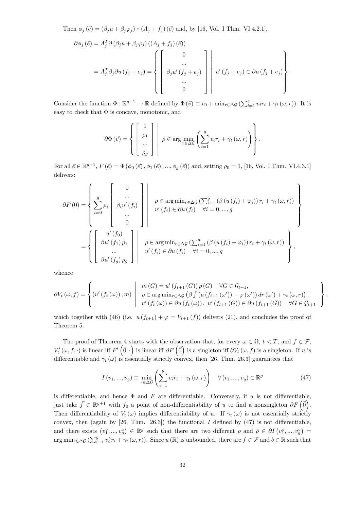Then  $\phi_j(\vec{e})=(\beta_j u+\beta_j\varphi_j) \circ (A_j+f_j)(\vec{e})$  and, by [16, Vol. I Thm. VI.4.2.1],

$$
\partial \phi_j \left( \vec{e} \right) = A_j^T \partial \left( \beta_j u + \beta_j \varphi_j \right) \left( \left( A_j + f_j \right) \left( \vec{e} \right) \right)
$$
  
= 
$$
A_j^T \beta_j \partial u \left( f_j + e_j \right) = \left\{ \begin{bmatrix} 0 \\ \dots \\ \beta_j u' \left( f_j + e_j \right) \\ \dots \\ 0 \end{bmatrix} \right\} u' \left( f_j + e_j \right) \in \partial u \left( f_j + e_j \right) \right\}.
$$

Consider the function  $\Phi : \mathbb{R}^{g+1} \to \mathbb{R}$  defined by  $\Phi(\vec{v}) \equiv v_0 + \min_{r \in \Delta \mathcal{G}} (\sum_{i=1}^g v_i r_i + \gamma_t(\omega, r))$ . It is easy to check that  $\Phi$  is concave, monotonic, and

$$
\partial \Phi(\vec{v}) = \left\{ \begin{bmatrix} 1 \\ \rho_1 \\ \dots \\ \rho_g \end{bmatrix} \middle| \rho \in \arg \min_{r \in \Delta \mathcal{G}} \left( \sum_{i=1}^g v_i r_i + \gamma_t(\omega, r) \right) \right\}.
$$

For all  $\vec{e} \in \mathbb{R}^{g+1}$ ,  $F(\vec{e}) = \Phi(\phi_0(\vec{e}), \phi_1(\vec{e}), \dots, \phi_g(\vec{e}))$  and, setting  $\rho_0 = 1$ , [16, Vol. I Thm. VI.4.3.1] delivers:

$$
\partial F(0) = \left\{ \sum_{i=0}^{g} \rho_i \begin{bmatrix} 0 \\ \dots \\ \beta_i u'(f_i) \\ \dots \\ 0 \end{bmatrix} \middle| \begin{bmatrix} 0 \\ \rho \in \arg \min_{r \in \Delta \mathcal{G}} (\sum_{i=1}^{g} (\beta (u(f_i) + \varphi_i)) r_i + \gamma_t (\omega, r)) \\ u'(f_i) \in \partial u(f_i) \quad \forall i = 0, ..., g \end{bmatrix} \right\}
$$

$$
= \left\{ \begin{bmatrix} u'(f_0) \\ \beta u'(f_1) \rho_1 \\ \dots \\ \beta u'(f_j) \rho_g \end{bmatrix} \middle| \begin{bmatrix} \rho \in \arg \min_{r \in \Delta \mathcal{G}} (\sum_{i=1}^{g} (\beta (u(f_i) + \varphi_i)) r_i + \gamma_t (\omega, r)) \\ u'(f_i) \in \partial u(f_i) \quad \forall i = 0, ..., g \end{bmatrix} \right\},
$$

whence

$$
\partial V_t(\omega, f) = \left\{ (u'(f_t(\omega)), m) \mid \begin{array}{l} m(G) = u'(f_{t+1}(G)) \rho(G) \quad \forall G \in \mathcal{G}_{t+1}, \\ \rho \in \arg \min_{r \in \Delta \mathcal{G}} (\beta \int (u(f_{t+1}(\omega')) + \varphi(\omega')) dr (\omega') + \gamma_t(\omega, r)), \\ u'(f_t(\omega)) \in \partial u(f_t(\omega)), u'(f_{t+1}(G)) \in \partial u(f_{t+1}(G)) \quad \forall G \in \mathcal{G}_{t+1} \end{array} \right\},
$$

which together with (46) (i.e.  $u(f_{t+1}) + \varphi = V_{t+1}(f)$ ) delivers (21), and concludes the proof of Theorem 5.

The proof of Theorem 4 starts with the observation that, for every  $\omega \in \Omega$ ,  $t < T$ , and  $f \in \mathcal{F}$ ,  $V'_t(\omega, f; \cdot)$  is linear iff  $F'(\vec{0}; \cdot)$  is linear iff  $\partial F(\vec{0})$  is a singleton iff  $\partial V_t(\omega, f)$  is a singleton. If u is differentiable and  $\gamma_t(\omega)$  is essentially strictly convex, then [26, Thm. 26.3] guarantees that

$$
I(v_1, ..., v_g) \equiv \min_{r \in \Delta \mathcal{G}} \left( \sum_{i=1}^g v_i r_i + \gamma_t(\omega, r) \right) \quad \forall (v_1, ..., v_g) \in \mathbb{R}^g
$$
 (47)

is differentiable, and hence  $\Phi$  and F are differentiable. Conversely, if u is not differentiable, just take  $\vec{f} \in \mathbb{R}^{g+1}$  with  $f_0$  a point of non-differentiability of u to find a nonsingleton  $\partial F(\vec{0})$ . Then differentiability of  $V_t(\omega)$  implies differentiability of u. If  $\gamma_t(\omega)$  is not essentially strictly convex, then (again by  $[26, Thm. 26.3]$ ) the functional I defined by  $(47)$  is not differentiable, and there exists  $(v_1^{\circ},...,v_g^{\circ}) \in \mathbb{R}^g$  such that there are two different  $\rho$  and  $\overline{\rho} \in \partial I(v_1^{\circ},...,v_g^{\circ}) =$  $\arg\min_{r\in\Delta\mathcal{G}}\left(\sum_{i=1}^gv_i^{\circ}r_i+\gamma_t(\omega,r)\right).$  Since  $u(\mathbb{R})$  is unbounded, there are  $f\in\mathcal{F}$  and  $b\in\mathbb{R}$  such that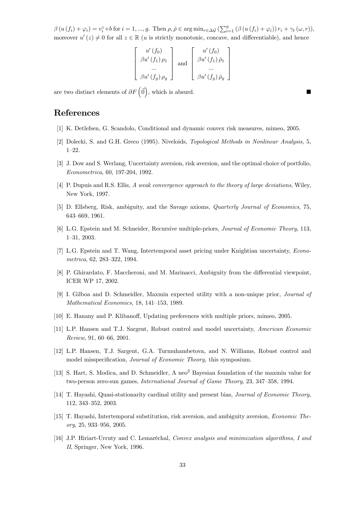$\beta(u(f_i) + \varphi_i) = v_i^{\circ} + b$  for  $i = 1, ..., g$ . Then  $\rho, \bar{\rho} \in \arg \min_{r \in \Delta \mathcal{G}} \left( \sum_{i=1}^{g} (\beta(u(f_i) + \varphi_i)) r_i + \gamma_t(\omega, r) \right),$ moreover  $u'(z) \neq 0$  for all  $z \in \mathbb{R}$  (u is strictly monotonic, concave, and differentiable), and hence

$$
\begin{bmatrix}\nu'(f_0) \\
\beta u'(f_1)\rho_1 \\
\vdots \\
\beta u'(f_g)\rho_g\n\end{bmatrix}\n\text{ and }\n\begin{bmatrix}\nu'(f_0) \\
\beta u'(f_1)\bar{\rho}_1 \\
\vdots \\
\beta u'(f_g)\bar{\rho}_g\n\end{bmatrix}
$$

are two distinct elements of  $\partial F(\vec{0})$ , which is absurd. ■

### References

- [1] K. Detlefsen, G. Scandolo, Conditional and dynamic convex risk measures, mimeo, 2005.
- [2] Dolecki, S. and G.H. Greco (1995). Niveloids, *Topological Methods in Nonlinear Analysis*, 5, 1—22.
- [3] J. Dow and S. Werlang, Uncertainty aversion, risk aversion, and the optimal choice of portfolio, Econometrica, 60, 197-204, 1992.
- [4] P. Dupuis and R.S. Ellis, A weak convergence approach to the theory of large deviations, Wiley, New York, 1997.
- [5] D. Ellsberg, Risk, ambiguity, and the Savage axioms, Quarterly Journal of Economics, 75, 643—669, 1961.
- [6] L.G. Epstein and M. Schneider, Recursive multiple-priors, Journal of Economic Theory, 113, 1—31, 2003.
- [7] L.G. Epstein and T. Wang, Intertemporal asset pricing under Knightian uncertainty, Econometrica, 62, 283—322, 1994.
- [8] P. Ghirardato, F. Maccheroni, and M. Marinacci, Ambiguity from the differential viewpoint, ICER WP 17, 2002.
- [9] I. Gilboa and D. Schmeidler, Maxmin expected utility with a non-unique prior, Journal of Mathematical Economics, 18, 141—153, 1989.
- [10] E. Hanany and P. Klibanoff, Updating preferences with multiple priors, mimeo, 2005.
- [11] L.P. Hansen and T.J. Sargent, Robust control and model uncertainty, American Economic Review, 91, 60—66, 2001.
- [12] L.P. Hansen, T.J. Sargent, G.A. Turmuhambetova, and N. Williams, Robust control and model misspecification, Journal of Economic Theory, this symposium.
- [13] S. Hart, S. Modica, and D. Schmeidler, A neo<sup>2</sup> Bayesian foundation of the maxmin value for two-person zero-sun games, International Journal of Game Theory, 23, 347—358, 1994.
- [14] T. Hayashi, Quasi-stationarity cardinal utility and present bias, Journal of Economic Theory, 112, 343—352, 2003.
- [15] T. Hayashi, Intertemporal substitution, risk aversion, and ambiguity aversion, Economic Theory, 25, 933—956, 2005.
- [16] J.P. Hiriart-Urruty and C. Lemaréchal, Convex analysis and minimization algorithms, I and II, Springer, New York, 1996.